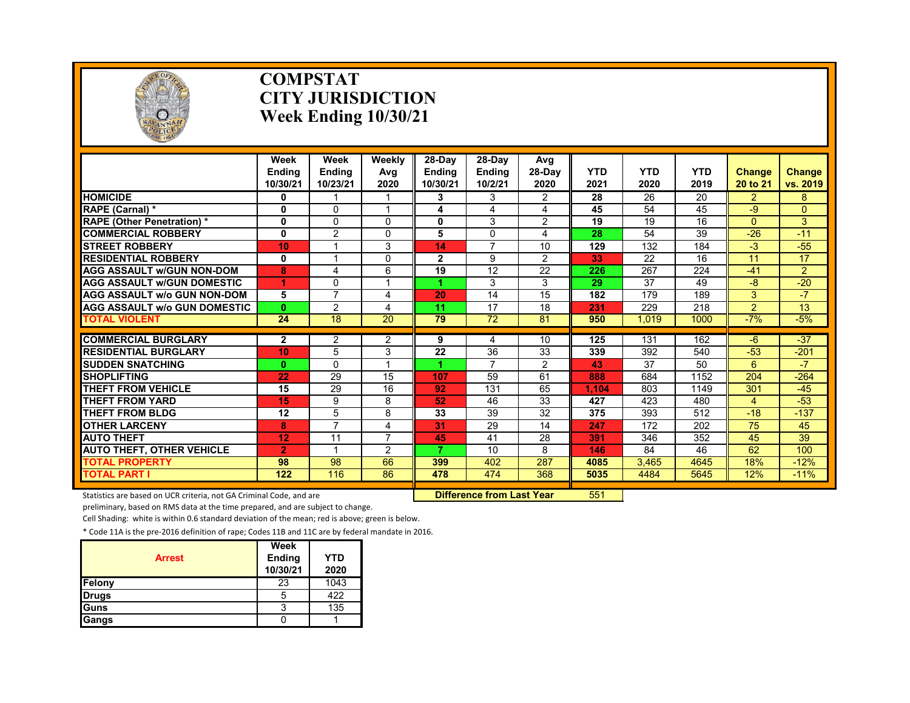

### **COMPSTAT CITY JURISDICTION Week Ending 10/30/21**

|                                                  | Week<br><b>Endina</b><br>10/30/21 | Week<br><b>Endina</b><br>10/23/21 | Weekly<br>Avg<br>2020 | $28-Dav$<br><b>Endina</b><br>10/30/21 | 28-Day<br><b>Endina</b><br>10/2/21 | Avg<br>28-Day<br>2020 | <b>YTD</b><br>2021 | <b>YTD</b><br>2020 | <b>YTD</b><br>2019 | <b>Change</b><br>20 to 21 | Change<br>vs. 2019 |
|--------------------------------------------------|-----------------------------------|-----------------------------------|-----------------------|---------------------------------------|------------------------------------|-----------------------|--------------------|--------------------|--------------------|---------------------------|--------------------|
| <b>HOMICIDE</b>                                  | 0                                 | 1                                 |                       | 3                                     | 3                                  | $\overline{2}$        | $\overline{28}$    | 26                 | $\overline{20}$    | $\overline{2}$            | 8                  |
| RAPE (Carnal) *                                  | 0                                 | 0                                 |                       | 4                                     | 4                                  | 4                     | 45                 | 54                 | 45                 | -9                        | $\overline{0}$     |
| <b>RAPE (Other Penetration) *</b>                | $\mathbf{0}$                      | 0                                 | $\Omega$              | 0                                     | 3                                  | 2                     | 19                 | 19                 | 16                 | $\Omega$                  | 3                  |
| <b>COMMERCIAL ROBBERY</b>                        | $\mathbf{0}$                      | $\overline{2}$                    | $\Omega$              | 5                                     | $\Omega$                           | 4                     | 28                 | 54                 | 39                 | $-26$                     | $-11$              |
| <b>STREET ROBBERY</b>                            | 10                                | 1                                 | 3                     | 14                                    | $\overline{7}$                     | 10                    | 129                | 132                | 184                | $-3$                      | $-55$              |
| <b>RESIDENTIAL ROBBERY</b>                       | 0                                 | 1                                 | $\Omega$              | $\mathbf{2}$                          | 9                                  | 2                     | 33                 | 22                 | 16                 | 11                        | 17                 |
| <b>AGG ASSAULT w/GUN NON-DOM</b>                 | 8                                 | 4                                 | 6                     | 19                                    | 12                                 | 22                    | 226                | 267                | 224                | $-41$                     | $\overline{2}$     |
| <b>AGG ASSAULT W/GUN DOMESTIC</b>                | 1                                 | $\mathbf{0}$                      |                       |                                       | 3                                  | 3                     | 29                 | 37                 | 49                 | $-8$                      | $-20$              |
| <b>AGG ASSAULT w/o GUN NON-DOM</b>               | 5                                 | $\overline{7}$                    | 4                     | 20                                    | 14                                 | 15                    | 182                | 179                | 189                | 3                         | $-7$               |
| <b>AGG ASSAULT w/o GUN DOMESTIC</b>              | $\mathbf{0}$                      | $\overline{2}$                    | 4                     | 11                                    | 17                                 | 18                    | 231                | 229                | 218                | $\overline{2}$            | 13                 |
| <b>TOTAL VIOLENT</b>                             | $\overline{24}$                   | $\overline{18}$                   | $\overline{20}$       | 79                                    | $\overline{72}$                    | 81                    | 950                | 1.019              | 1000               | $-7%$                     | $-5%$              |
| <b>COMMERCIAL BURGLARY</b>                       |                                   |                                   |                       |                                       |                                    | 10                    | 125                | 131                | 162                | $-6$                      | $-37$              |
| <b>RESIDENTIAL BURGLARY</b>                      | $\mathbf{2}$<br>10                | 2<br>5                            | 2<br>3                | 9<br>22                               | 4<br>36                            | 33                    | 339                | 392                | 540                | $-53$                     |                    |
|                                                  |                                   | $\Omega$                          |                       | 4.                                    | $\overline{7}$                     |                       | 43                 | 37                 | 50                 | 6                         | $-201$<br>$-7$     |
| <b>SUDDEN SNATCHING</b><br><b>SHOPLIFTING</b>    | $\bf{0}$                          | 29                                | 15                    | 107                                   | 59                                 | 2<br>61               | 888                | 684                | 1152               | 204                       | $-264$             |
| <b>THEFT FROM VEHICLE</b>                        | 22                                |                                   |                       |                                       |                                    |                       |                    |                    |                    |                           |                    |
|                                                  | 15                                | 29                                | 16<br>8               | 92<br>52                              | 131                                | 65                    | 1.104              | 803                | 1149               | 301                       | $-45$              |
| <b>THEFT FROM YARD</b><br><b>THEFT FROM BLDG</b> | 15                                | 9                                 |                       |                                       | 46                                 | 33                    | 427                | 423                | 480                | 4                         | $-53$              |
|                                                  | 12                                | 5<br>$\overline{7}$               | 8                     | 33                                    | 39                                 | 32                    | 375                | 393                | 512                | $-18$                     | $-137$             |
| <b>OTHER LARCENY</b>                             | 8                                 |                                   | 4<br>$\overline{ }$   | 31                                    | 29                                 | 14                    | 247                | 172                | 202                | 75                        | 45                 |
| <b>AUTO THEFT</b>                                | 12                                | 11                                |                       | 45<br>7                               | 41                                 | 28                    | 391                | 346                | 352                | 45                        | 39                 |
| <b>AUTO THEFT, OTHER VEHICLE</b>                 | $\overline{2}$                    | 1                                 | 2                     |                                       | 10                                 | 8                     | 146                | 84                 | 46                 | 62                        | 100                |
| <b>TOTAL PROPERTY</b>                            | 98                                | 98                                | 66                    | 399                                   | 402                                | 287                   | 4085               | 3.465              | 4645               | 18%                       | $-12%$             |
| <b>TOTAL PART I</b>                              | 122                               | 116                               | 86                    | 478                                   | 474                                | 368                   | 5035               | 4484               | 5645               | 12%                       | $-11%$             |

Statistics are based on UCR criteria, not GA Criminal Code, and are **Difference from Last Year** 551

preliminary, based on RMS data at the time prepared, and are subject to change.

Cell Shading: white is within 0.6 standard deviation of the mean; red is above; green is below.

| <b>Arrest</b> | Week<br>Ending<br>10/30/21 | <b>YTD</b><br>2020 |
|---------------|----------------------------|--------------------|
| Felony        | 23                         | 1043               |
| <b>Drugs</b>  | 5                          | 422                |
| <b>Guns</b>   |                            | 135                |
| Gangs         |                            |                    |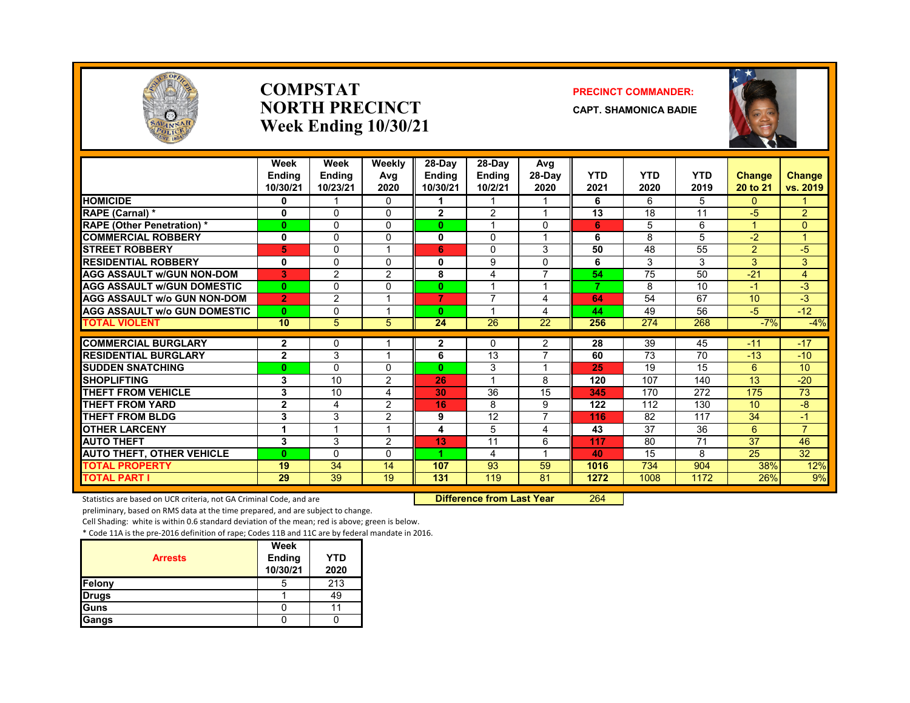

### **COMPSTATNORTH PRECINCTWeek Ending 10/30/21**

### **PRECINCT COMMANDER:**

**CAPT. SHAMONICA BADIE**



|                                     | Week<br><b>Endina</b><br>10/30/21 | Week<br><b>Endina</b><br>10/23/21 | Weekly<br>Avg<br>2020 | 28-Day<br><b>Endina</b><br>10/30/21 | $28-Dav$<br><b>Endina</b><br>10/2/21 | Avg<br>$28-Dav$<br>2020 | <b>YTD</b><br>2021 | <b>YTD</b><br>2020 | <b>YTD</b><br>2019 | <b>Change</b><br>20 to 21 | Change<br>vs. 2019 |
|-------------------------------------|-----------------------------------|-----------------------------------|-----------------------|-------------------------------------|--------------------------------------|-------------------------|--------------------|--------------------|--------------------|---------------------------|--------------------|
| <b>HOMICIDE</b>                     | 0                                 |                                   | 0                     |                                     |                                      |                         | 6                  | 6                  | 5                  | $\mathbf{0}$              |                    |
| RAPE (Carnal) *                     | 0                                 | $\Omega$                          | 0                     | $\mathbf{2}$                        | 2                                    | 1                       | 13                 | 18                 | 11                 | $-5$                      | $\overline{2}$     |
| <b>RAPE (Other Penetration) *</b>   | 0                                 | $\Omega$                          | $\Omega$              | 0                                   |                                      | 0                       | 6                  | 5                  | 6                  |                           | $\Omega$           |
| <b>COMMERCIAL ROBBERY</b>           | 0                                 | $\mathbf{0}$                      | 0                     | 0                                   | 0                                    | 1                       | 6                  | 8                  | 5                  | $-2$                      | 1                  |
| <b>STREET ROBBERY</b>               | 5                                 | $\Omega$                          |                       | 6                                   | $\Omega$                             | 3                       | 50                 | 48                 | 55                 | $\overline{2}$            | $-5$               |
| <b>RESIDENTIAL ROBBERY</b>          | 0                                 | $\Omega$                          | 0                     | 0                                   | 9                                    | 0                       | 6                  | 3                  | 3                  | 3                         | 3                  |
| <b>AGG ASSAULT w/GUN NON-DOM</b>    | 3                                 | $\overline{2}$                    | $\overline{2}$        | 8                                   | 4                                    | $\overline{7}$          | 54                 | 75                 | 50                 | $-21$                     | 4                  |
| <b>AGG ASSAULT W/GUN DOMESTIC</b>   | $\bf{0}$                          | $\Omega$                          | $\Omega$              | 0                                   |                                      | $\overline{\mathbf{A}}$ | 7                  | 8                  | 10                 | $-1$                      | $-3$               |
| <b>AGG ASSAULT w/o GUN NON-DOM</b>  | $\overline{2}$                    | 2                                 |                       | 7                                   | $\overline{\phantom{a}}$             | 4                       | 64                 | 54                 | 67                 | 10                        | $-3$               |
| <b>AGG ASSAULT w/o GUN DOMESTIC</b> | $\mathbf{0}$                      | $\mathbf{0}$                      |                       | 0                                   |                                      | 4                       | 44                 | 49                 | 56                 | $-5$                      | $-12$              |
| <b>TOTAL VIOLENT</b>                | 10                                | 5                                 | 5                     | 24                                  | 26                                   | 22                      | 256                | 274                | 268                | $-7%$                     | $-4%$              |
| <b>COMMERCIAL BURGLARY</b>          | $\overline{2}$                    | $\mathbf{0}$                      |                       | 2                                   | $\Omega$                             | 2                       | 28                 | 39                 | 45                 | $-11$                     | $-17$              |
| <b>RESIDENTIAL BURGLARY</b>         | $\overline{2}$                    | 3                                 |                       | 6                                   | 13                                   | $\overline{7}$          | 60                 | 73                 | 70                 | $-13$                     | $-10$              |
| <b>SUDDEN SNATCHING</b>             | $\bf{0}$                          | $\Omega$                          | 0                     | $\bf{0}$                            | 3                                    | $\overline{ }$          | 25                 | 19                 | 15                 | 6                         | 10                 |
| <b>SHOPLIFTING</b>                  | 3                                 | 10                                | $\overline{2}$        | 26                                  |                                      | 8                       | 120                | 107                | 140                | 13                        | $-20$              |
| <b>THEFT FROM VEHICLE</b>           | 3                                 | 10                                | 4                     | 30                                  | $\overline{36}$                      | 15                      | 345                | 170                | 272                | 175                       | 73                 |
| <b>THEFT FROM YARD</b>              | $\mathbf{2}$                      | 4                                 | $\mathcal{P}$         | 16                                  | 8                                    | 9                       | 122                | 112                | 130                | 10 <sup>1</sup>           | -8                 |
| <b>THEFT FROM BLDG</b>              | 3                                 | 3                                 | 2                     | 9                                   | 12                                   | 7                       | 116                | 82                 | 117                | 34                        | -1                 |
| <b>OTHER LARCENY</b>                | 1                                 | $\overline{\mathbf{A}}$           |                       | 4                                   | 5                                    | 4                       | 43                 | 37                 | 36                 | 6                         | $\overline{7}$     |
| <b>AUTO THEFT</b>                   | 3                                 | 3                                 | 2                     | 13                                  | 11                                   | 6                       | 117                | 80                 | $\overline{71}$    | $\overline{37}$           | 46                 |
| <b>AUTO THEFT, OTHER VEHICLE</b>    | $\bf{0}$                          | $\Omega$                          | 0                     |                                     | 4                                    | $\overline{\mathbf{A}}$ | 40                 | 15                 | 8                  | 25                        | 32                 |
| <b>TOTAL PROPERTY</b>               | 19                                | 34                                | 14                    | 107                                 | 93                                   | 59                      | 1016               | 734                | 904                | 38%                       | 12%                |
| <b>TOTAL PART I</b>                 | 29                                | 39                                | 19                    | 131                                 | 119                                  | 81                      | 1272               | 1008               | 1172               | 26%                       | 9%                 |

Statistics are based on UCR criteria, not GA Criminal Code, and are **Difference from Last Year** 264

preliminary, based on RMS data at the time prepared, and are subject to change.

Cell Shading: white is within 0.6 standard deviation of the mean; red is above; green is below.

|                | Week               |                    |
|----------------|--------------------|--------------------|
| <b>Arrests</b> | Ending<br>10/30/21 | <b>YTD</b><br>2020 |
| Felony         |                    | 213                |
| <b>Drugs</b>   |                    | 49                 |
| Guns           |                    |                    |
| Gangs          |                    |                    |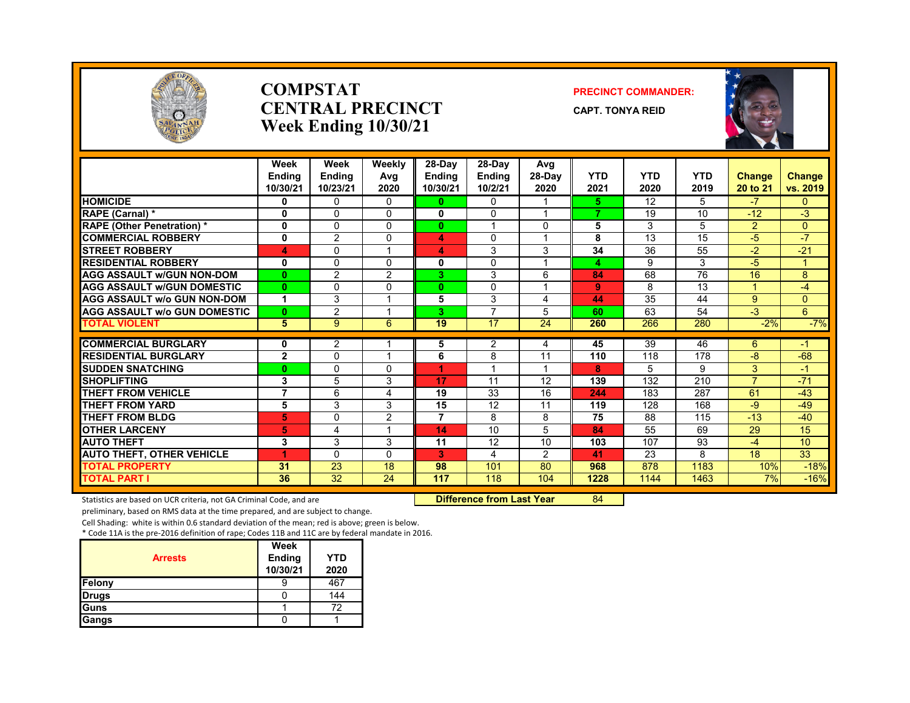

### **COMPSTATCENTRAL PRECINCTWeek Ending 10/30/21**

### **PRECINCT COMMANDER:**

**CAPT. TONYA REID**



|                                     | Week<br><b>Endina</b><br>10/30/21 | Week<br><b>Ending</b><br>10/23/21 | Weekly<br>Avg<br>2020 | 28-Day<br><b>Endina</b><br>10/30/21 | $28-Dav$<br><b>Ending</b><br>10/2/21 | Avg<br>$28-Dav$<br>2020 | <b>YTD</b><br>2021 | <b>YTD</b><br>2020 | <b>YTD</b><br>2019 | <b>Change</b><br>20 to 21 | <b>Change</b><br>vs. 2019 |
|-------------------------------------|-----------------------------------|-----------------------------------|-----------------------|-------------------------------------|--------------------------------------|-------------------------|--------------------|--------------------|--------------------|---------------------------|---------------------------|
| <b>HOMICIDE</b>                     | 0                                 | $\Omega$                          | 0                     | 0                                   | 0                                    | 1                       | 5                  | 12                 | 5                  | $-7$                      | $\mathbf{0}$              |
| RAPE (Carnal) *                     | 0                                 | $\Omega$                          | 0                     | 0                                   | $\Omega$                             |                         | 7                  | 19                 | 10                 | $-12$                     | $-3$                      |
| <b>RAPE (Other Penetration) *</b>   | 0                                 | $\Omega$                          | $\Omega$              | $\bf{0}$                            |                                      | 0                       | 5                  | 3                  | 5                  | $\overline{2}$            | $\overline{0}$            |
| <b>COMMERCIAL ROBBERY</b>           | 0                                 | $\overline{2}$                    | 0                     | 4                                   | $\Omega$                             | 1                       | 8                  | 13                 | 15                 | -5                        | $-7$                      |
| <b>ISTREET ROBBERY</b>              | 4                                 | 0                                 |                       | 4                                   | 3                                    | 3                       | 34                 | 36                 | 55                 | $-2$                      | $-21$                     |
| <b>RESIDENTIAL ROBBERY</b>          | 0                                 | $\Omega$                          | $\Omega$              | 0                                   | $\Omega$                             |                         | 4                  | 9                  | 3                  | -5                        |                           |
| <b>AGG ASSAULT W/GUN NON-DOM</b>    | $\bf{0}$                          | 2                                 | $\overline{2}$        | 3.                                  | 3                                    | 6                       | 84                 | 68                 | $\overline{76}$    | 16                        | 8                         |
| <b>AGG ASSAULT w/GUN DOMESTIC</b>   | $\bf{0}$                          | $\Omega$                          | 0                     | $\bf{0}$                            | 0                                    | 1                       | 9                  | 8                  | 13                 | 4                         | -4                        |
| <b>AGG ASSAULT w/o GUN NON-DOM</b>  | 1                                 | 3                                 |                       | 5                                   | 3                                    | 4                       | 44                 | 35                 | 44                 | $9^{\circ}$               | $\Omega$                  |
| <b>AGG ASSAULT W/o GUN DOMESTIC</b> | $\bf{0}$                          | $\overline{2}$                    |                       | 3.                                  | $\overline{7}$                       | 5                       | 60                 | 63                 | 54                 | $-3$                      | 6                         |
| <b>TOTAL VIOLENT</b>                | 5                                 | 9                                 | 6                     | 19                                  | $\overline{17}$                      | $\overline{24}$         | 260                | 266                | 280                | $-2%$                     | $-7%$                     |
| <b>COMMERCIAL BURGLARY</b>          |                                   | 2                                 |                       |                                     | 2                                    | 4                       | 45                 | 39                 | 46                 | 6                         | $-1$                      |
| <b>RESIDENTIAL BURGLARY</b>         | 0<br>$\overline{2}$               | $\Omega$                          |                       | 5<br>6                              | 8                                    | 11                      | 110                | 118                | 178                | -8                        | $-68$                     |
| <b>SUDDEN SNATCHING</b>             | $\bf{0}$                          | $\Omega$                          | 0                     | 4                                   |                                      | 1                       | 8                  | 5                  | 9                  | 3                         | $-1$                      |
| <b>SHOPLIFTING</b>                  | 3                                 | 5                                 | 3                     | 17                                  | 11                                   | 12                      | 139                | 132                | 210                | $\overline{7}$            | $-71$                     |
| <b>THEFT FROM VEHICLE</b>           | 7                                 | 6                                 | 4                     | 19                                  | 33                                   | 16                      | 244                | 183                | 287                | 61                        | $-43$                     |
| <b>THEFT FROM YARD</b>              | 5                                 | 3                                 | 3                     | 15                                  | 12                                   | 11                      | 119                | 128                | 168                | -9                        | $-49$                     |
| <b>THEFT FROM BLDG</b>              | 5                                 | $\Omega$                          | $\overline{2}$        | 7                                   | 8                                    | 8                       | 75                 | 88                 | 115                | $-13$                     | $-40$                     |
| <b>OTHER LARCENY</b>                | 5                                 | 4                                 |                       | 14                                  | 10                                   | 5                       | 84                 | 55                 | 69                 | 29                        | 15                        |
| <b>AUTO THEFT</b>                   | 3                                 | 3                                 | 3                     | 11                                  | 12                                   | 10                      | 103                | 107                | 93                 | $-4$                      | 10                        |
| <b>AUTO THEFT, OTHER VEHICLE</b>    | 4                                 | $\Omega$                          | $\Omega$              | 3                                   | 4                                    | $\overline{2}$          | 41                 | $\overline{23}$    | 8                  | 18                        | 33                        |
| <b>TOTAL PROPERTY</b>               | 31                                | 23                                | 18                    | 98                                  | 101                                  | 80                      | 968                | 878                | 1183               | 10%                       | $-18%$                    |
| <b>TOTAL PART I</b>                 | 36                                | 32                                | 24                    | 117                                 | 118                                  | 104                     | 1228               | 1144               | 1463               | 7%                        | $-16%$                    |

Statistics are based on UCR criteria, not GA Criminal Code, and are **Difference from Last Year 84** 

preliminary, based on RMS data at the time prepared, and are subject to change.

Cell Shading: white is within 0.6 standard deviation of the mean; red is above; green is below.

| <b>Arrests</b> | Week<br><b>Ending</b><br>10/30/21 | <b>YTD</b><br>2020 |
|----------------|-----------------------------------|--------------------|
| Felony         |                                   | 467                |
| <b>Drugs</b>   |                                   | 144                |
| Guns           |                                   | 72                 |
| Gangs          |                                   |                    |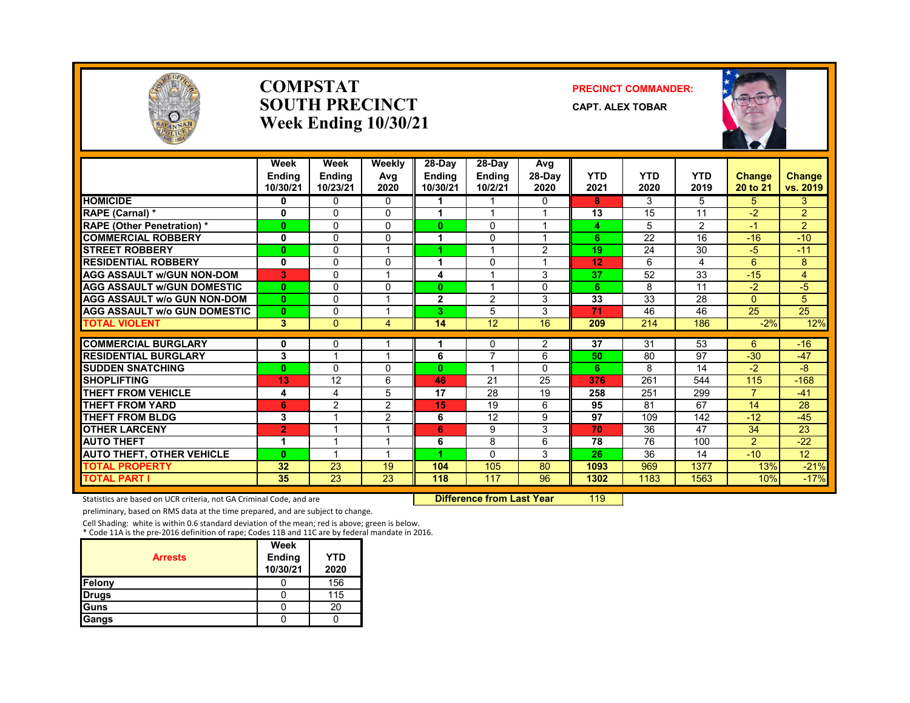

### **COMPSTATSOUTH PRECINCTWeek Ending 10/30/21**

### **PRECINCT COMMANDER:**

**CAPT. ALEX TOBAR**



|                                     | Week<br><b>Endina</b><br>10/30/21 | Week<br><b>Endina</b><br>10/23/21 | Weekly<br>Avg<br>2020 | 28-Day<br><b>Endina</b><br>10/30/21 | 28-Day<br><b>Endina</b><br>10/2/21 | Avg<br>$28-Dav$<br>2020 | <b>YTD</b><br>2021 | <b>YTD</b><br>2020 | <b>YTD</b><br>2019 | <b>Change</b><br>20 to 21 | <b>Change</b><br>vs. 2019 |
|-------------------------------------|-----------------------------------|-----------------------------------|-----------------------|-------------------------------------|------------------------------------|-------------------------|--------------------|--------------------|--------------------|---------------------------|---------------------------|
| <b>HOMICIDE</b>                     | 0                                 | $\Omega$                          | 0                     |                                     |                                    | $\Omega$                | 8                  | 3                  | 5                  | 5                         | 3                         |
| RAPE (Carnal) *                     | 0                                 | $\Omega$                          | 0                     | 4                                   |                                    |                         | 13                 | 15                 | 11                 | $-2$                      | $\overline{2}$            |
| <b>RAPE (Other Penetration) *</b>   | $\bf{0}$                          | $\Omega$                          | 0                     | $\bf{0}$                            | $\Omega$                           | $\overline{\mathbf{A}}$ | 4                  | 5                  | $\overline{2}$     | -1                        | $\overline{2}$            |
| <b>COMMERCIAL ROBBERY</b>           | $\mathbf{0}$                      | $\Omega$                          | $\Omega$              | 1                                   | $\Omega$                           | $\overline{\mathbf{A}}$ | 6                  | 22                 | 16                 | $-16$                     | $-10$                     |
| <b>STREET ROBBERY</b>               | $\bf{0}$                          | $\Omega$                          |                       |                                     | и                                  | $\overline{2}$          | 19                 | 24                 | 30                 | $-5$                      | $-11$                     |
| <b>RESIDENTIAL ROBBERY</b>          | 0                                 | $\Omega$                          | 0                     | 1                                   | $\Omega$                           |                         | 12                 | 6                  | 4                  | 6                         | 8                         |
| <b>AGG ASSAULT w/GUN NON-DOM</b>    | 3                                 | $\Omega$                          |                       | 4                                   |                                    | 3                       | 37                 | 52                 | 33                 | $-15$                     | 4                         |
| <b>AGG ASSAULT w/GUN DOMESTIC</b>   | $\mathbf{0}$                      | $\Omega$                          | 0                     | $\bf{0}$                            |                                    | $\Omega$                | 6                  | 8                  | 11                 | $-2$                      | $-5$                      |
| <b>AGG ASSAULT w/o GUN NON-DOM</b>  | $\mathbf{0}$                      | $\Omega$                          |                       | $\mathbf{2}$                        | 2                                  | 3                       | 33                 | 33                 | 28                 | $\Omega$                  | 5                         |
| <b>AGG ASSAULT W/o GUN DOMESTIC</b> | $\bf{0}$                          | 0                                 |                       | 3.                                  | 5                                  | 3                       | 71                 | 46                 | 46                 | 25                        | 25                        |
| <b>TOTAL VIOLENT</b>                | 3                                 | $\Omega$                          | 4                     | 14                                  | $\overline{12}$                    | 16                      | 209                | 214                | 186                | $-2%$                     | 12%                       |
| <b>COMMERCIAL BURGLARY</b>          | 0                                 | $\Omega$                          |                       | 1                                   | $\Omega$                           | 2                       | 37                 | 31                 | 53                 | 6                         | $-16$                     |
| <b>RESIDENTIAL BURGLARY</b>         | 3                                 |                                   |                       | 6                                   | 7                                  | 6                       | 50                 | 80                 | 97                 | $-30$                     | $-47$                     |
| <b>SUDDEN SNATCHING</b>             | $\bf{0}$                          | $\Omega$                          | 0                     | $\bf{0}$                            | $\overline{A}$                     | $\Omega$                | 6                  | 8                  | 14                 | $-2$                      | -8                        |
| <b>SHOPLIFTING</b>                  | 13                                | 12                                | 6                     | 46                                  | 21                                 | 25                      | 376                | 261                | 544                | 115                       | $-168$                    |
| <b>THEFT FROM VEHICLE</b>           | 4                                 | 4                                 | 5                     | 17                                  | 28                                 | 19                      | 258                | 251                | 299                | $\overline{7}$            | $-41$                     |
| <b>THEFT FROM YARD</b>              | 6                                 | $\overline{2}$                    | 2                     | 15                                  | 19                                 | 6                       | 95                 | 81                 | 67                 | 14                        | 28                        |
| <b>THEFT FROM BLDG</b>              | 3                                 |                                   | 2                     | 6                                   | 12                                 | 9                       | 97                 | 109                | 142                | $-12$                     | $-45$                     |
| <b>OTHER LARCENY</b>                | $\overline{2}$                    |                                   |                       | 6                                   | 9                                  | 3                       | 70                 | 36                 | 47                 | 34                        | 23                        |
| <b>AUTO THEFT</b>                   | 1                                 |                                   |                       | 6                                   | 8                                  | 6                       | 78                 | 76                 | 100                | $\overline{2}$            | $-22$                     |
| <b>AUTO THEFT, OTHER VEHICLE</b>    | $\bf{0}$                          |                                   |                       |                                     | $\Omega$                           | 3                       | 26                 | 36                 | 14                 | $-10$                     | 12                        |
| <b>TOTAL PROPERTY</b>               | 32                                | 23                                | 19                    | 104                                 | 105                                | 80                      | 1093               | 969                | 1377               | 13%                       | $-21%$                    |
| <b>TOTAL PART I</b>                 | 35                                | 23                                | 23                    | 118                                 | 117                                | 96                      | 1302               | 1183               | 1563               | 10%                       | $-17%$                    |

Statistics are based on UCR criteria, not GA Criminal Code, and are **Difference from Last Year** 119

preliminary, based on RMS data at the time prepared, and are subject to change.

Cell Shading: white is within 0.6 standard deviation of the mean; red is above; green is below. \* Code 11A is the pre‐2016 definition of rape; Codes 11B and 11C are by federal mandate in 2016.

| <b>Arrests</b> | Week<br>Ending<br>10/30/21 | YTD<br>2020 |
|----------------|----------------------------|-------------|
| <b>Felony</b>  |                            | 156         |
| <b>Drugs</b>   |                            | 115         |
| Guns           |                            | 20          |
| <b>Gangs</b>   |                            |             |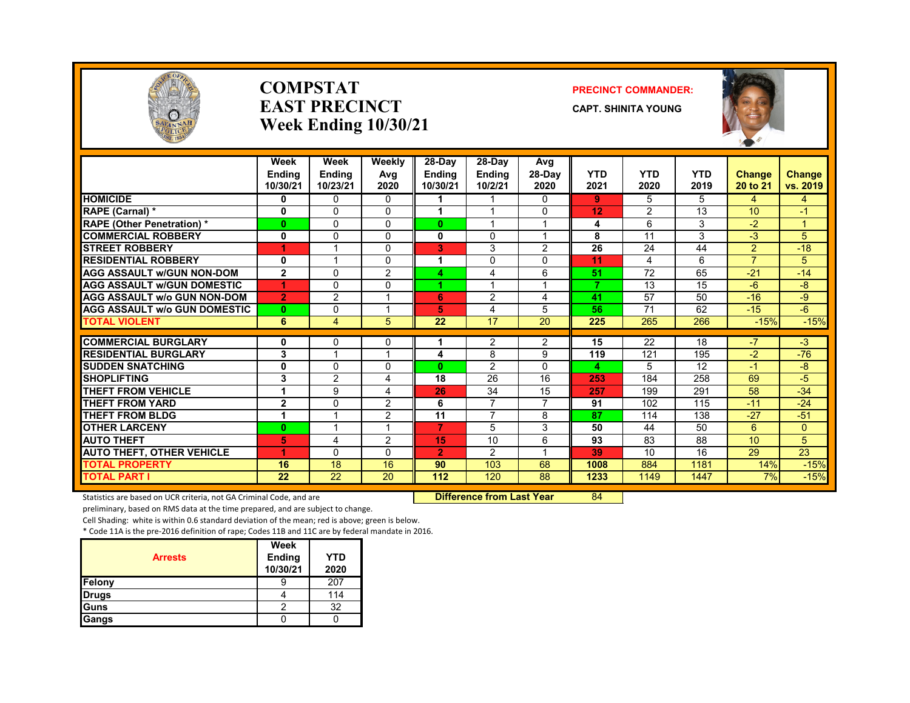

### **COMPSTATEAST PRECINCTWeek Ending 10/30/21**

### **PRECINCT COMMANDER:**

**CAPT. SHINITA YOUNG**



|                                     | Week<br><b>Endina</b><br>10/30/21 | Week<br><b>Ending</b><br>10/23/21 | Weekly<br>Avg<br>2020 | $28-Dav$<br>Endina<br>10/30/21 | 28-Day<br><b>Ending</b><br>10/2/21 | Avg<br>$28-Dav$<br>2020 | YTD<br>2021    | <b>YTD</b><br>2020 | <b>YTD</b><br>2019 | <b>Change</b><br>20 to 21 | <b>Change</b><br>vs. 2019 |
|-------------------------------------|-----------------------------------|-----------------------------------|-----------------------|--------------------------------|------------------------------------|-------------------------|----------------|--------------------|--------------------|---------------------------|---------------------------|
| <b>HOMICIDE</b>                     | 0                                 | $\Omega$                          | 0                     | 1.                             | 1                                  | 0                       | 9              | 5                  | 5.                 | 4                         | 4                         |
| <b>RAPE (Carnal)</b> *              | 0                                 | $\Omega$                          | 0                     |                                |                                    | $\Omega$                | 12             | 2                  | 13                 | 10                        | $-1$                      |
| <b>RAPE (Other Penetration)*</b>    | $\mathbf{0}$                      | $\Omega$                          | $\mathbf{0}$          | $\bf{0}$                       | 1                                  | $\overline{ }$          | 4              | 6                  | 3                  | $-2$                      | $\mathbf{1}$              |
| <b>COMMERCIAL ROBBERY</b>           | $\mathbf 0$                       | $\Omega$                          | $\Omega$              | 0                              | $\Omega$                           | $\overline{ }$          | 8              | 11                 | 3                  | $-3$                      | 5                         |
| <b>STREET ROBBERY</b>               | 1                                 | 1                                 | 0                     | 3                              | 3                                  | 2                       | 26             | 24                 | 44                 | $\overline{2}$            | $-18$                     |
| <b>RESIDENTIAL ROBBERY</b>          | 0                                 |                                   | 0                     |                                | $\mathbf{0}$                       | $\Omega$                | 11             | 4                  | 6                  | $\overline{7}$            | 5                         |
| <b>AGG ASSAULT w/GUN NON-DOM</b>    | $\mathbf{2}$                      | $\Omega$                          | $\overline{2}$        | 4                              | 4                                  | 6                       | 51             | 72                 | 65                 | $-21$                     | $-14$                     |
| <b>AGG ASSAULT W/GUN DOMESTIC</b>   | 1                                 | $\Omega$                          | $\Omega$              |                                | $\overline{ }$                     | 1                       | $\overline{7}$ | 13                 | 15                 | $-6$                      | -8                        |
| <b>AGG ASSAULT w/o GUN NON-DOM</b>  | $\overline{2}$                    | $\overline{2}$                    | и                     | 6                              | $\overline{2}$                     | 4                       | 41             | 57                 | 50                 | $-16$                     | -9                        |
| <b>AGG ASSAULT W/o GUN DOMESTIC</b> | $\mathbf{0}$                      | $\Omega$                          |                       | 5                              | 4                                  | 5                       | 56             | 71                 | 62                 | $-15$                     | $-6$                      |
| <b>TOTAL VIOLENT</b>                | 6                                 | $\overline{4}$                    | 5                     | 22                             | 17                                 | 20                      | 225            | 265                | 266                | $-15%$                    | $-15%$                    |
| <b>COMMERCIAL BURGLARY</b>          | 0                                 | 0                                 | 0                     |                                | $\overline{2}$                     | 2                       | 15             | 22                 | 18                 | $-7$                      | -3                        |
| <b>RESIDENTIAL BURGLARY</b>         | 3                                 | 1                                 |                       | 4                              | 8                                  | 9                       | 119            | 121                | 195                | $-2$                      | $-76$                     |
| <b>SUDDEN SNATCHING</b>             | 0                                 | $\Omega$                          | $\Omega$              | $\bf{0}$                       | $\overline{2}$                     | $\Omega$                | 4              | 5                  | 12                 | $-1$                      | -8                        |
| <b>SHOPLIFTING</b>                  | 3                                 | $\overline{2}$                    | 4                     | 18                             | 26                                 | 16                      | 253            | 184                | 258                | 69                        | $-5$                      |
| <b>THEFT FROM VEHICLE</b>           | 1                                 | 9                                 | 4                     | 26                             | 34                                 | 15                      | 257            | 199                | 291                | 58                        | $-34$                     |
| <b>THEFT FROM YARD</b>              | $\mathbf{2}$                      | $\Omega$                          | 2                     | 6                              | 7                                  | 7                       | 91             | 102                | 115                | $-11$                     | $-24$                     |
| <b>THEFT FROM BLDG</b>              | 1                                 | 1                                 | $\overline{2}$        | 11                             | $\overline{7}$                     | 8                       | 87             | 114                | 138                | $-27$                     | $-51$                     |
| <b>OTHER LARCENY</b>                | $\mathbf{0}$                      | 1                                 | и                     | $\overline{7}$                 | 5                                  | 3                       | 50             | 44                 | 50                 | 6                         | $\mathbf{0}$              |
| <b>AUTO THEFT</b>                   | 5.                                | 4                                 | 2                     | 15                             | 10                                 | 6                       | 93             | 83                 | 88                 | 10 <sup>1</sup>           | 5                         |
| <b>AUTO THEFT, OTHER VEHICLE</b>    | 1                                 | $\Omega$                          | $\Omega$              | $\overline{2}$                 | $\overline{2}$                     | $\overline{\mathbf{A}}$ | 39             | 10                 | 16                 | 29                        | $\overline{23}$           |
| <b>TOTAL PROPERTY</b>               | 16                                | 18                                | 16                    | 90                             | 103                                | 68                      | 1008           | 884                | 1181               | 14%                       | $-15%$                    |
| <b>TOTAL PART I</b>                 | 22                                | 22                                | 20                    | 112                            | 120                                | 88                      | 1233           | 1149               | 1447               | 7%                        | $-15%$                    |

Statistics are based on UCR criteria, not GA Criminal Code, and are **Difference from Last Year** 84

preliminary, based on RMS data at the time prepared, and are subject to change.

Cell Shading: white is within 0.6 standard deviation of the mean; red is above; green is below.

| <b>Arrests</b> | Week<br><b>Ending</b><br>10/30/21 | YTD<br>2020 |
|----------------|-----------------------------------|-------------|
| Felony         |                                   | 207         |
| <b>Drugs</b>   |                                   | 114         |
| Guns           | っ                                 | 32          |
| Gangs          |                                   |             |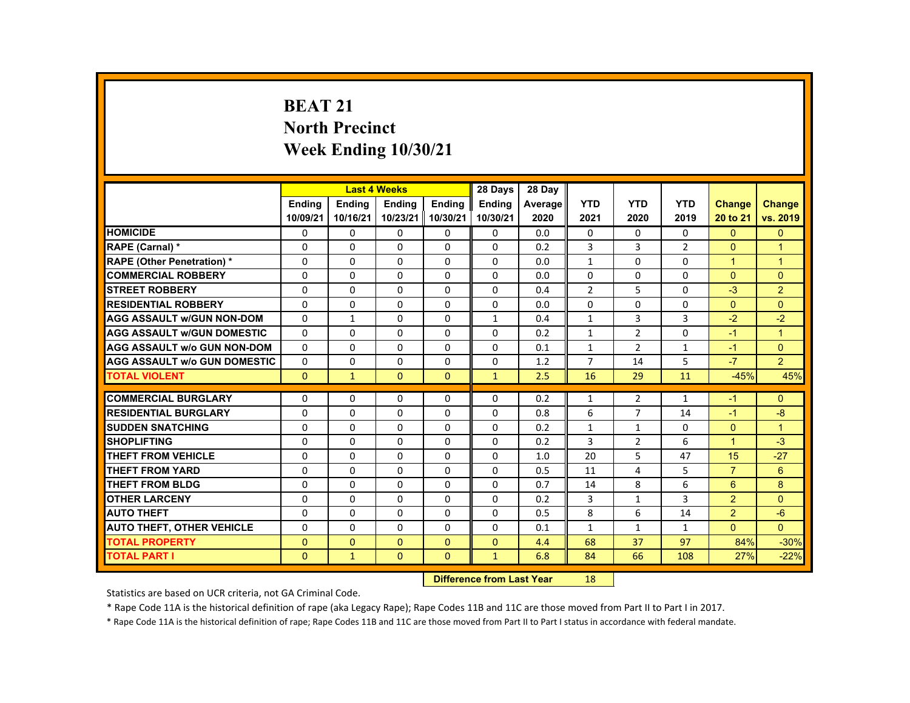# **BEAT 21 North Precinct Week Ending 10/30/21**

|                                     |               |               | <b>Last 4 Weeks</b> |               | 28 Days       | 28 Day  |                |                |                |                      |                      |
|-------------------------------------|---------------|---------------|---------------------|---------------|---------------|---------|----------------|----------------|----------------|----------------------|----------------------|
|                                     | <b>Endina</b> | <b>Endina</b> | <b>Endina</b>       | <b>Endina</b> | <b>Endina</b> | Average | <b>YTD</b>     | <b>YTD</b>     | <b>YTD</b>     | <b>Change</b>        | Change               |
|                                     | 10/09/21      | 10/16/21      | 10/23/21            | 10/30/21      | 10/30/21      | 2020    | 2021           | 2020           | 2019           | 20 to 21             | vs. 2019             |
| <b>HOMICIDE</b>                     | 0             | 0             | 0                   | 0             | 0             | 0.0     | 0              | 0              | 0              | $\mathbf{0}$         | $\mathbf{0}$         |
| RAPE (Carnal) *                     | $\Omega$      | $\Omega$      | $\Omega$            | $\Omega$      | $\Omega$      | 0.2     | 3              | 3              | $\overline{2}$ | $\Omega$             | $\overline{1}$       |
| <b>RAPE (Other Penetration) *</b>   | $\Omega$      | $\Omega$      | $\Omega$            | $\Omega$      | $\Omega$      | 0.0     | $\mathbf{1}$   | $\Omega$       | $\Omega$       | $\blacktriangleleft$ | $\mathbf{1}$         |
| <b>COMMERCIAL ROBBERY</b>           | 0             | 0             | 0                   | 0             | 0             | 0.0     | 0              | 0              | 0              | $\Omega$             | $\mathbf{0}$         |
| <b>STREET ROBBERY</b>               | $\Omega$      | $\Omega$      | $\Omega$            | $\Omega$      | $\Omega$      | 0.4     | $\overline{2}$ | 5              | $\Omega$       | $-3$                 | $\overline{2}$       |
| <b>RESIDENTIAL ROBBERY</b>          | $\Omega$      | $\Omega$      | $\Omega$            | $\Omega$      | $\Omega$      | 0.0     | $\Omega$       | $\Omega$       | $\Omega$       | $\Omega$             | $\Omega$             |
| <b>AGG ASSAULT w/GUN NON-DOM</b>    | $\Omega$      | $\mathbf{1}$  | $\Omega$            | 0             | $\mathbf{1}$  | 0.4     | $\mathbf{1}$   | 3              | 3              | $-2$                 | $-2$                 |
| <b>AGG ASSAULT w/GUN DOMESTIC</b>   | $\Omega$      | $\Omega$      | $\Omega$            | $\Omega$      | $\Omega$      | 0.2     | $\mathbf{1}$   | 2              | $\Omega$       | $-1$                 | $\blacktriangleleft$ |
| <b>AGG ASSAULT w/o GUN NON-DOM</b>  | $\Omega$      | $\Omega$      | $\Omega$            | $\Omega$      | $\Omega$      | 0.1     | $\mathbf{1}$   | 2              | $\mathbf{1}$   | $-1$                 | $\Omega$             |
| <b>AGG ASSAULT W/o GUN DOMESTIC</b> | $\Omega$      | $\Omega$      | $\Omega$            | $\Omega$      | $\Omega$      | 1.2     | $\overline{7}$ | 14             | 5              | $-7$                 | $\overline{2}$       |
| <b>TOTAL VIOLENT</b>                | $\mathbf{0}$  | $\mathbf{1}$  | $\Omega$            | $\Omega$      | $\mathbf{1}$  | 2.5     | 16             | 29             | 11             | $-45%$               | 45%                  |
|                                     |               |               |                     |               |               |         |                |                |                |                      |                      |
| <b>COMMERCIAL BURGLARY</b>          | $\Omega$      | $\Omega$      | $\Omega$            | $\Omega$      | $\Omega$      | 0.2     | $\mathbf{1}$   | $\overline{2}$ | $\mathbf{1}$   | $-1$                 | $\Omega$             |
| <b>RESIDENTIAL BURGLARY</b>         | $\Omega$      | 0             | $\Omega$            | 0             | $\Omega$      | 0.8     | 6              | 7              | 14             | $-1$                 | -8                   |
| <b>SUDDEN SNATCHING</b>             | $\Omega$      | $\Omega$      | $\Omega$            | $\Omega$      | $\Omega$      | 0.2     | $\mathbf{1}$   | $\mathbf{1}$   | $\Omega$       | $\Omega$             | $\overline{1}$       |
| <b>SHOPLIFTING</b>                  | $\Omega$      | $\Omega$      | $\Omega$            | $\Omega$      | $\Omega$      | 0.2     | 3              | $\overline{2}$ | 6              | $\mathbf{1}$         | $-3$                 |
| <b>THEFT FROM VEHICLE</b>           | $\Omega$      | 0             | $\Omega$            | 0             | $\Omega$      | 1.0     | 20             | 5              | 47             | 15                   | $-27$                |
| <b>THEFT FROM YARD</b>              | $\Omega$      | $\Omega$      | $\Omega$            | $\Omega$      | $\Omega$      | 0.5     | 11             | 4              | 5              | $\overline{7}$       | 6                    |
| <b>THEFT FROM BLDG</b>              | $\Omega$      | $\Omega$      | $\Omega$            | $\Omega$      | $\Omega$      | 0.7     | 14             | 8              | 6              | 6                    | 8                    |
| <b>OTHER LARCENY</b>                | 0             | 0             | $\Omega$            | $\Omega$      | $\Omega$      | 0.2     | 3              | $\mathbf{1}$   | 3              | $\overline{2}$       | $\Omega$             |
| <b>AUTO THEFT</b>                   | $\Omega$      | $\Omega$      | $\Omega$            | $\Omega$      | $\Omega$      | 0.5     | 8              | 6              | 14             | 2                    | $-6$                 |
| <b>AUTO THEFT, OTHER VEHICLE</b>    | $\Omega$      | $\Omega$      | $\Omega$            | $\Omega$      | $\Omega$      | 0.1     | $\mathbf{1}$   | $\mathbf{1}$   | $\mathbf{1}$   | $\Omega$             | $\Omega$             |
| <b>TOTAL PROPERTY</b>               | $\mathbf{0}$  | $\Omega$      | $\Omega$            | $\mathbf{0}$  | $\Omega$      | 4.4     | 68             | 37             | 97             | 84%                  | $-30%$               |
| <b>TOTAL PART I</b>                 | $\Omega$      | $\mathbf{1}$  | $\Omega$            | $\mathbf{0}$  | $\mathbf{1}$  | 6.8     | 84             | 66             | 108            | 27%                  | $-22%$               |

#### **Difference from Last Year**r 18

Statistics are based on UCR criteria, not GA Criminal Code.

\* Rape Code 11A is the historical definition of rape (aka Legacy Rape); Rape Codes 11B and 11C are those moved from Part II to Part I in 2017.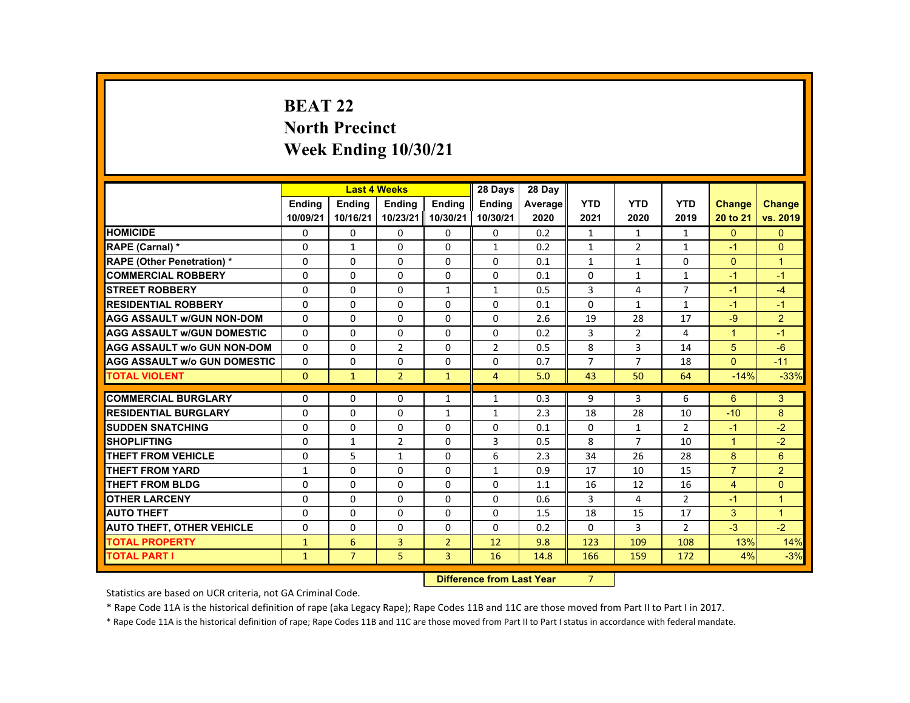# **BEAT 22 North Precinct Week Ending 10/30/21**

|                                     |              |                | <b>Last 4 Weeks</b> |                | 28 Days        | 28 Day  |                |                |                |                |                |
|-------------------------------------|--------------|----------------|---------------------|----------------|----------------|---------|----------------|----------------|----------------|----------------|----------------|
|                                     | Ending       | <b>Ending</b>  | Ending              | <b>Endina</b>  | Ending         | Average | <b>YTD</b>     | <b>YTD</b>     | <b>YTD</b>     | Change         | <b>Change</b>  |
|                                     | 10/09/21     | 10/16/21       | 10/23/21 10/30/21   |                | 10/30/21       | 2020    | 2021           | 2020           | 2019           | 20 to 21       | vs. 2019       |
| <b>HOMICIDE</b>                     | 0            | 0              | 0                   | 0              | 0              | 0.2     | $\mathbf{1}$   | $\mathbf{1}$   | $\mathbf{1}$   | $\mathbf{0}$   | $\mathbf{0}$   |
| RAPE (Carnal) *                     | $\Omega$     | $\mathbf{1}$   | $\Omega$            | $\Omega$       | 1              | 0.2     | $\mathbf{1}$   | $\overline{2}$ | $\mathbf{1}$   | $-1$           | $\Omega$       |
| <b>RAPE (Other Penetration) *</b>   | $\Omega$     | $\Omega$       | $\Omega$            | $\Omega$       | $\Omega$       | 0.1     | $\mathbf{1}$   | $\mathbf{1}$   | $\Omega$       | $\Omega$       | $\overline{1}$ |
| <b>COMMERCIAL ROBBERY</b>           | 0            | $\mathbf{0}$   | $\Omega$            | $\Omega$       | $\Omega$       | 0.1     | $\Omega$       | $\mathbf{1}$   | $\mathbf{1}$   | $-1$           | $-1$           |
| <b>STREET ROBBERY</b>               | 0            | $\mathbf{0}$   | 0                   | $\mathbf{1}$   | $\mathbf{1}$   | 0.5     | 3              | 4              | $\overline{7}$ | $-1$           | $-4$           |
| <b>RESIDENTIAL ROBBERY</b>          | $\Omega$     | $\Omega$       | $\Omega$            | $\Omega$       | $\Omega$       | 0.1     | $\Omega$       | $\mathbf{1}$   | $\mathbf{1}$   | $-1$           | $-1$           |
| <b>AGG ASSAULT W/GUN NON-DOM</b>    | $\Omega$     | $\Omega$       | $\Omega$            | $\Omega$       | $\Omega$       | 2.6     | 19             | 28             | 17             | $-9$           | $\overline{2}$ |
| <b>AGG ASSAULT WGUN DOMESTIC</b>    | $\Omega$     | $\Omega$       | $\Omega$            | 0              | 0              | 0.2     | 3              | $\overline{2}$ | 4              | $\mathbf{1}$   | $-1$           |
| <b>AGG ASSAULT w/o GUN NON-DOM</b>  | $\Omega$     | $\Omega$       | 2                   | $\Omega$       | 2              | 0.5     | 8              | 3              | 14             | 5              | $-6$           |
| <b>AGG ASSAULT W/o GUN DOMESTIC</b> | $\Omega$     | $\Omega$       | $\Omega$            | $\Omega$       | $\Omega$       | 0.7     | $\overline{7}$ | $\overline{7}$ | 18             | $\Omega$       | $-11$          |
| <b>TOTAL VIOLENT</b>                | $\Omega$     | $\mathbf{1}$   | $\overline{2}$      | $\mathbf{1}$   | $\overline{4}$ | 5.0     | 43             | 50             | 64             | $-14%$         | $-33%$         |
| <b>COMMERCIAL BURGLARY</b>          | $\Omega$     | $\Omega$       | $\Omega$            |                | $\mathbf{1}$   | 0.3     | 9              | 3              | 6              | 6              | 3              |
| <b>RESIDENTIAL BURGLARY</b>         | $\Omega$     | $\Omega$       | $\Omega$            | $\mathbf{1}$   |                | 2.3     | 18             | 28             | 10             | $-10$          | 8              |
| <b>SUDDEN SNATCHING</b>             |              |                |                     | $\mathbf{1}$   | $\mathbf{1}$   |         |                |                |                |                |                |
|                                     | $\Omega$     | $\Omega$       | $\Omega$            | $\Omega$       | $\Omega$       | 0.1     | $\Omega$       | $\mathbf{1}$   | $\overline{2}$ | $-1$           | $-2$           |
| <b>SHOPLIFTING</b>                  | 0            | $\mathbf{1}$   | 2                   | 0              | 3              | 0.5     | 8              | $\overline{7}$ | 10             | $\mathbf{1}$   | $-2$           |
| THEFT FROM VEHICLE                  | $\Omega$     | 5              | $\mathbf{1}$        | $\Omega$       | 6              | 2.3     | 34             | 26             | 28             | 8              | 6              |
| <b>THEFT FROM YARD</b>              | $\mathbf{1}$ | $\mathbf{0}$   | 0                   | 0              | $\mathbf{1}$   | 0.9     | 17             | 10             | 15             | $\overline{7}$ | $\overline{2}$ |
| THEFT FROM BLDG                     | $\Omega$     | $\Omega$       | $\Omega$            | $\Omega$       | $\Omega$       | 1.1     | 16             | 12             | 16             | $\overline{4}$ | $\Omega$       |
| <b>OTHER LARCENY</b>                | $\Omega$     | $\Omega$       | $\Omega$            | $\Omega$       | $\Omega$       | 0.6     | 3              | 4              | $\overline{2}$ | $-1$           | $\overline{1}$ |
| <b>AUTO THEFT</b>                   | $\Omega$     | $\Omega$       | $\Omega$            | $\Omega$       | $\Omega$       | 1.5     | 18             | 15             | 17             | 3              | $\overline{1}$ |
| <b>AUTO THEFT, OTHER VEHICLE</b>    | $\Omega$     | $\Omega$       | $\Omega$            | $\Omega$       | $\Omega$       | 0.2     | $\Omega$       | 3              | $\overline{2}$ | $-3$           | $-2$           |
| <b>TOTAL PROPERTY</b>               | $\mathbf{1}$ | 6              | 3                   | $\overline{2}$ | 12             | 9.8     | 123            | 109            | 108            | 13%            | 14%            |
| <b>TOTAL PART I</b>                 | $\mathbf{1}$ | $\overline{7}$ | 5                   | $\overline{3}$ | 16             | 14.8    | 166            | 159            | 172            | 4%             | $-3%$          |

#### **Difference from Last Year**7

Statistics are based on UCR criteria, not GA Criminal Code.

\* Rape Code 11A is the historical definition of rape (aka Legacy Rape); Rape Codes 11B and 11C are those moved from Part II to Part I in 2017.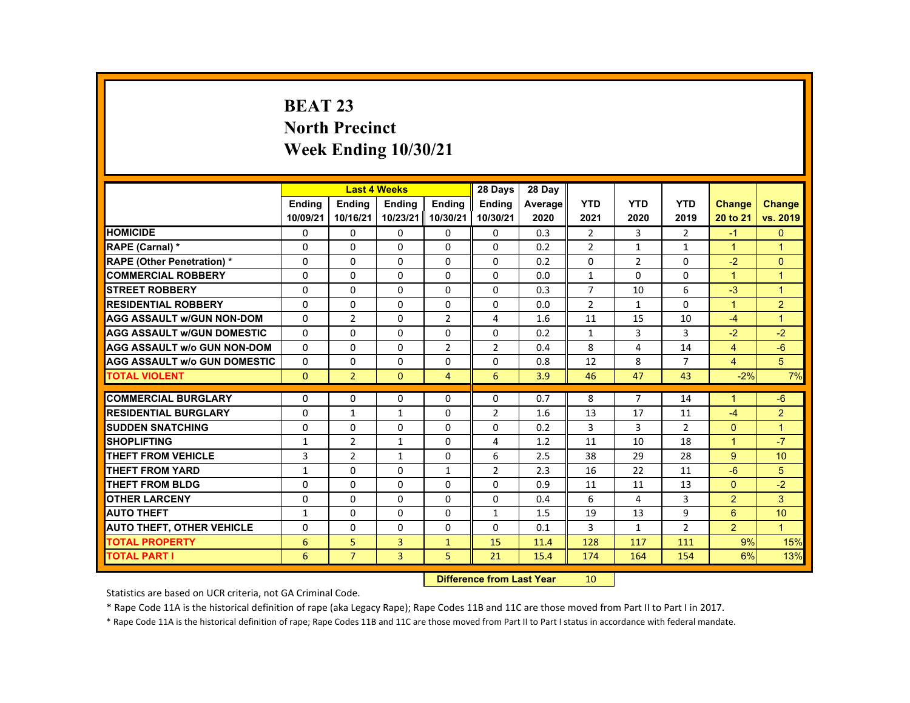# **BEAT 23 North Precinct Week Ending 10/30/21**

|                                     |               |                | <b>Last 4 Weeks</b> |                | 28 Days        | 28 Day  |                |                |                |                |                |
|-------------------------------------|---------------|----------------|---------------------|----------------|----------------|---------|----------------|----------------|----------------|----------------|----------------|
|                                     | <b>Endina</b> | <b>Endina</b>  | <b>Endina</b>       | <b>Endina</b>  | <b>Endina</b>  | Average | <b>YTD</b>     | <b>YTD</b>     | <b>YTD</b>     | Change         | <b>Change</b>  |
|                                     | 10/09/21      | 10/16/21       | 10/23/21            | 10/30/21       | 10/30/21       | 2020    | 2021           | 2020           | 2019           | 20 to 21       | vs. 2019       |
| <b>HOMICIDE</b>                     | 0             | 0              | 0                   | 0              | 0              | 0.3     | $\overline{2}$ | 3              | 2              | $-1$           | $\mathbf{0}$   |
| RAPE (Carnal) *                     | $\Omega$      | $\Omega$       | $\Omega$            | $\Omega$       | $\Omega$       | 0.2     | $\overline{2}$ | $\mathbf{1}$   | $\mathbf{1}$   | $\mathbf{1}$   | $\overline{1}$ |
| <b>RAPE (Other Penetration) *</b>   | $\Omega$      | $\Omega$       | $\Omega$            | $\Omega$       | $\Omega$       | 0.2     | $\Omega$       | 2              | $\Omega$       | $-2$           | $\Omega$       |
| <b>COMMERCIAL ROBBERY</b>           | 0             | $\mathbf{0}$   | 0                   | 0              | 0              | 0.0     | $\mathbf{1}$   | 0              | 0              | $\mathbf{1}$   | $\overline{1}$ |
| <b>STREET ROBBERY</b>               | $\Omega$      | $\Omega$       | $\Omega$            | $\Omega$       | $\Omega$       | 0.3     | $\overline{7}$ | 10             | 6              | $-3$           | $\overline{1}$ |
| <b>RESIDENTIAL ROBBERY</b>          | $\Omega$      | $\Omega$       | $\Omega$            | $\Omega$       | $\Omega$       | 0.0     | $\overline{2}$ | $\mathbf{1}$   | $\Omega$       | $\mathbf{1}$   | $\overline{2}$ |
| <b>AGG ASSAULT w/GUN NON-DOM</b>    | $\Omega$      | $\overline{2}$ | $\Omega$            | $\overline{2}$ | 4              | 1.6     | 11             | 15             | 10             | $-4$           | $\overline{1}$ |
| <b>AGG ASSAULT W/GUN DOMESTIC</b>   | $\Omega$      | $\Omega$       | $\Omega$            | $\Omega$       | $\Omega$       | 0.2     | $\mathbf{1}$   | 3              | 3              | $-2$           | $-2$           |
| <b>AGG ASSAULT W/o GUN NON-DOM</b>  | $\Omega$      | $\Omega$       | $\Omega$            | $\overline{2}$ | $\overline{2}$ | 0.4     | 8              | 4              | 14             | $\overline{4}$ | $-6$           |
| <b>AGG ASSAULT W/o GUN DOMESTIC</b> | $\Omega$      | $\Omega$       | $\Omega$            | $\Omega$       | $\Omega$       | 0.8     | 12             | 8              | $\overline{7}$ | $\overline{4}$ | 5              |
| <b>TOTAL VIOLENT</b>                | $\Omega$      | $\overline{2}$ | $\Omega$            | $\overline{4}$ | 6              | 3.9     | 46             | 47             | 43             | $-2%$          | 7%             |
|                                     |               |                |                     |                |                |         |                |                |                |                |                |
| <b>COMMERCIAL BURGLARY</b>          | $\Omega$      | $\Omega$       | $\Omega$            | $\Omega$       | $\Omega$       | 0.7     | 8              | $\overline{7}$ | 14             | $\mathbf{1}$   | $-6$           |
| <b>RESIDENTIAL BURGLARY</b>         | $\Omega$      | $\mathbf{1}$   | $\mathbf{1}$        | $\Omega$       | $\overline{2}$ | 1.6     | 13             | 17             | 11             | $-4$           | $\overline{2}$ |
| <b>SUDDEN SNATCHING</b>             | 0             | $\mathbf{0}$   | $\Omega$            | $\Omega$       | $\Omega$       | 0.2     | 3              | 3              | $\overline{2}$ | $\Omega$       | $\overline{1}$ |
| <b>SHOPLIFTING</b>                  | $\mathbf{1}$  | $\overline{2}$ | $\mathbf{1}$        | $\Omega$       | 4              | 1.2     | 11             | 10             | 18             | $\mathbf{1}$   | $-7$           |
| THEFT FROM VEHICLE                  | 3             | $\overline{2}$ | $\mathbf{1}$        | $\Omega$       | 6              | 2.5     | 38             | 29             | 28             | 9              | 10             |
| <b>THEFT FROM YARD</b>              | $\mathbf{1}$  | $\Omega$       | $\Omega$            | $\mathbf{1}$   | $\overline{2}$ | 2.3     | 16             | 22             | 11             | $-6$           | 5              |
| THEFT FROM BLDG                     | $\Omega$      | $\Omega$       | $\Omega$            | $\Omega$       | $\Omega$       | 0.9     | 11             | 11             | 13             | $\Omega$       | $-2$           |
| <b>OTHER LARCENY</b>                | $\mathbf{0}$  | $\mathbf{0}$   | 0                   | 0              | 0              | 0.4     | 6              | 4              | 3              | $\overline{2}$ | 3              |
| <b>AUTO THEFT</b>                   | $\mathbf{1}$  | $\Omega$       | $\Omega$            | $\Omega$       | $\mathbf{1}$   | 1.5     | 19             | 13             | 9              | 6              | 10             |
| <b>AUTO THEFT, OTHER VEHICLE</b>    | $\Omega$      | $\Omega$       | $\Omega$            | $\Omega$       | $\Omega$       | 0.1     | 3              | $\mathbf{1}$   | $\overline{2}$ | $\overline{2}$ | $\mathbf{1}$   |
| <b>TOTAL PROPERTY</b>               | 6             | 5              | 3                   | $\mathbf{1}$   | 15             | 11.4    | 128            | 117            | 111            | 9%             | 15%            |
| <b>TOTAL PART I</b>                 | 6             | $\overline{7}$ | $\overline{3}$      | 5              | 21             | 15.4    | 174            | 164            | 154            | 6%             | 13%            |
|                                     |               |                |                     |                |                |         |                |                |                |                |                |

#### **Difference from Last Year**r 10

Statistics are based on UCR criteria, not GA Criminal Code.

\* Rape Code 11A is the historical definition of rape (aka Legacy Rape); Rape Codes 11B and 11C are those moved from Part II to Part I in 2017.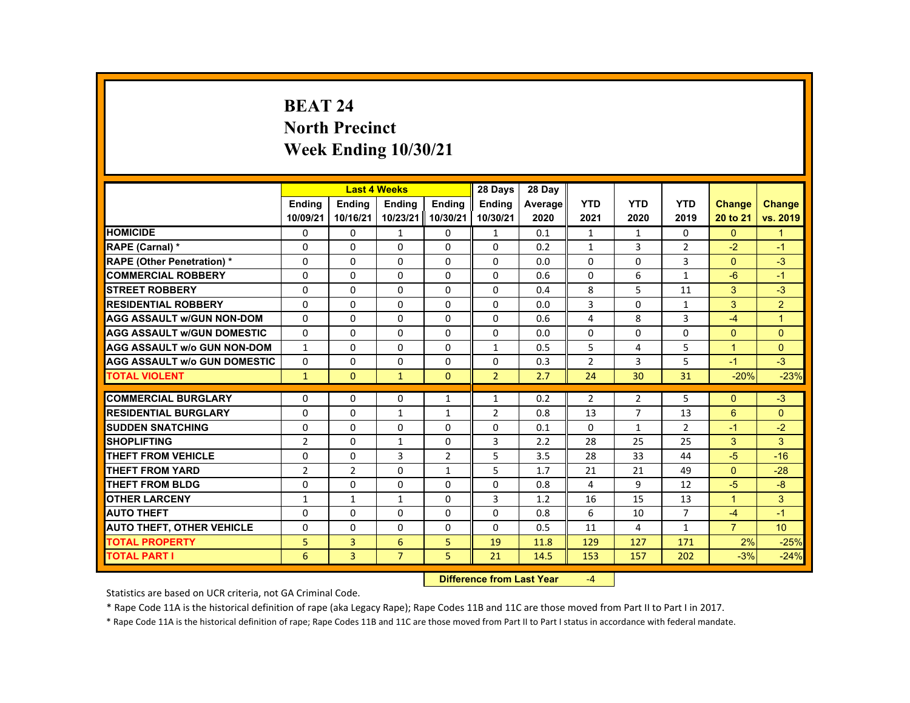# **BEAT 24 North Precinct Week Ending 10/30/21**

|                                     |                |                | <b>Last 4 Weeks</b> |                   | 28 Days        | 28 Day  |                |                |                |                |                  |
|-------------------------------------|----------------|----------------|---------------------|-------------------|----------------|---------|----------------|----------------|----------------|----------------|------------------|
|                                     | <b>Endina</b>  | <b>Endina</b>  | <b>Endina</b>       | <b>Endina</b>     | <b>Endina</b>  | Average | <b>YTD</b>     | <b>YTD</b>     | <b>YTD</b>     | <b>Change</b>  | <b>Change</b>    |
|                                     | 10/09/21       | 10/16/21       |                     | 10/23/21 10/30/21 | 10/30/21       | 2020    | 2021           | 2020           | 2019           | 20 to 21       | vs. 2019         |
| <b>HOMICIDE</b>                     | 0              | 0              | $\mathbf{1}$        | 0                 | 1              | 0.1     | $\mathbf{1}$   | $\mathbf{1}$   | 0              | $\mathbf{0}$   | $\mathbf{1}$     |
| RAPE (Carnal) *                     | $\Omega$       | $\Omega$       | $\Omega$            | $\Omega$          | $\Omega$       | 0.2     | $\mathbf{1}$   | 3              | $\overline{2}$ | $-2$           | $-1$             |
| <b>RAPE (Other Penetration) *</b>   | $\Omega$       | $\Omega$       | $\Omega$            | $\Omega$          | $\Omega$       | 0.0     | $\Omega$       | $\Omega$       | 3              | $\Omega$       | $-3$             |
| <b>COMMERCIAL ROBBERY</b>           | 0              | $\mathbf{0}$   | 0                   | 0                 | $\Omega$       | 0.6     | 0              | 6              | $\mathbf{1}$   | $-6$           | $-1$             |
| <b>STREET ROBBERY</b>               | $\Omega$       | $\Omega$       | $\Omega$            | $\Omega$          | $\Omega$       | 0.4     | 8              | 5              | 11             | 3              | $-3$             |
| <b>RESIDENTIAL ROBBERY</b>          | $\Omega$       | $\Omega$       | $\Omega$            | $\Omega$          | $\Omega$       | 0.0     | 3              | $\Omega$       | $\mathbf{1}$   | 3              | $\overline{2}$   |
| <b>AGG ASSAULT W/GUN NON-DOM</b>    | $\Omega$       | $\Omega$       | $\Omega$            | $\Omega$          | $\Omega$       | 0.6     | 4              | 8              | 3              | $-4$           | $\overline{1}$   |
| <b>AGG ASSAULT W/GUN DOMESTIC</b>   | $\Omega$       | $\Omega$       | $\Omega$            | $\Omega$          | $\Omega$       | 0.0     | $\Omega$       | 0              | $\Omega$       | $\Omega$       | $\Omega$         |
| <b>AGG ASSAULT W/o GUN NON-DOM</b>  | $\mathbf{1}$   | $\Omega$       | $\Omega$            | $\Omega$          | $\mathbf{1}$   | 0.5     | 5              | 4              | 5              | $\mathbf{1}$   | $\mathbf{0}$     |
| <b>AGG ASSAULT W/o GUN DOMESTIC</b> | $\Omega$       | $\mathbf{0}$   | $\Omega$            | $\Omega$          | $\Omega$       | 0.3     | $\overline{2}$ | 3              | 5              | $-1$           | $-3$             |
| <b>TOTAL VIOLENT</b>                | $\mathbf{1}$   | $\mathbf{0}$   | $\mathbf{1}$        | $\Omega$          | $\overline{2}$ | 2.7     | 24             | 30             | 31             | $-20%$         | $-23%$           |
|                                     |                |                |                     |                   |                |         |                |                |                |                |                  |
| <b>COMMERCIAL BURGLARY</b>          | $\Omega$       | $\Omega$       | $\Omega$            | 1                 | $\mathbf{1}$   | 0.2     | $\overline{2}$ | 2              | 5              | $\Omega$       | $-3$             |
| <b>RESIDENTIAL BURGLARY</b>         | $\Omega$       | $\mathbf{0}$   | $\mathbf{1}$        | $\mathbf{1}$      | 2              | 0.8     | 13             | $\overline{7}$ | 13             | 6              | $\Omega$         |
| <b>SUDDEN SNATCHING</b>             | $\Omega$       | $\Omega$       | $\Omega$            | $\Omega$          | $\Omega$       | 0.1     | $\Omega$       | $\mathbf{1}$   | $\overline{2}$ | $-1$           | $-2$             |
| <b>SHOPLIFTING</b>                  | $\overline{2}$ | $\Omega$       | $\mathbf{1}$        | $\Omega$          | 3              | 2.2     | 28             | 25             | 25             | 3              | 3                |
| <b>THEFT FROM VEHICLE</b>           | 0              | $\mathbf{0}$   | 3                   | $\overline{2}$    | 5              | 3.5     | 28             | 33             | 44             | $-5$           | $-16$            |
| <b>THEFT FROM YARD</b>              | $\overline{2}$ | 2              | $\Omega$            | $\mathbf{1}$      | 5              | 1.7     | 21             | 21             | 49             | $\Omega$       | $-28$            |
| THEFT FROM BLDG                     | $\Omega$       | $\Omega$       | $\Omega$            | $\Omega$          | $\Omega$       | 0.8     | 4              | 9              | 12             | $-5$           | $-8$             |
| <b>OTHER LARCENY</b>                | $\mathbf{1}$   | $\mathbf{1}$   | 1                   | 0                 | 3              | 1.2     | 16             | 15             | 13             | $\mathbf{1}$   | 3                |
| <b>AUTO THEFT</b>                   | $\Omega$       | $\Omega$       | $\Omega$            | $\Omega$          | $\Omega$       | 0.8     | 6              | 10             | $\overline{7}$ | $-4$           | $-1$             |
| <b>AUTO THEFT, OTHER VEHICLE</b>    | $\Omega$       | $\Omega$       | $\Omega$            | $\Omega$          | $\Omega$       | 0.5     | 11             | 4              | $\mathbf{1}$   | $\overline{7}$ | 10 <sup>10</sup> |
| <b>TOTAL PROPERTY</b>               | 5              | 3              | 6                   | 5                 | 19             | 11.8    | 129            | 127            | 171            | 2%             | $-25%$           |
| <b>TOTAL PART I</b>                 | 6              | $\overline{3}$ | $\overline{7}$      | 5                 | 21             | 14.5    | 153            | 157            | 202            | $-3%$          | $-24%$           |

#### **Difference from Last Year**‐4

Statistics are based on UCR criteria, not GA Criminal Code.

\* Rape Code 11A is the historical definition of rape (aka Legacy Rape); Rape Codes 11B and 11C are those moved from Part II to Part I in 2017.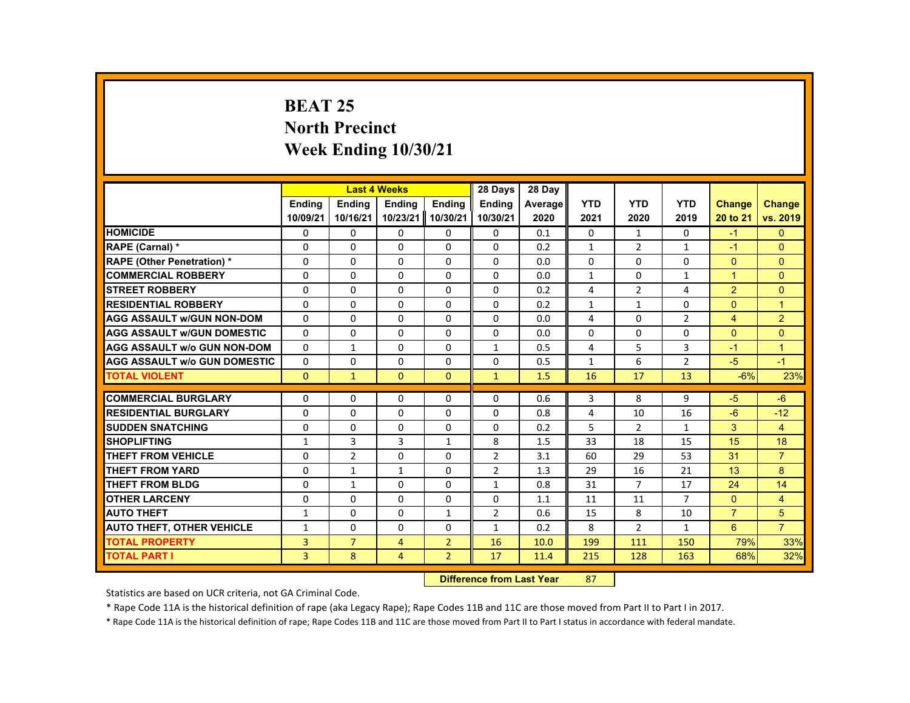# **BEAT 25 North Precinct Week Ending 10/30/21**

| <b>YTD</b><br><b>YTD</b><br><b>YTD</b><br><b>Endina</b><br><b>Endina</b><br><b>Endina</b><br><b>Endina</b><br><b>Endina</b><br><b>Change</b><br><b>Change</b><br>Average<br>10/09/21<br>10/23/21<br>10/30/21<br>10/30/21<br>vs. 2019<br>10/16/21<br>2020<br>2021<br>2020<br>2019<br>20 to 21<br><b>HOMICIDE</b><br>0<br>0<br>0<br>$\Omega$<br>0<br>0<br>0<br>0.1<br>0<br>$-1$<br>$\mathbf{1}$<br>$\Omega$<br>$\Omega$<br>$\Omega$<br>2<br>$\Omega$<br>$\Omega$<br>$\Omega$<br>0.2<br>$\mathbf{1}$<br>$\mathbf{1}$<br>$-1$<br>RAPE (Carnal) *<br><b>RAPE (Other Penetration) *</b><br>$\Omega$<br>$\Omega$<br>$\Omega$<br>$\Omega$<br>$\Omega$<br>0.0<br>$\Omega$<br>$\Omega$<br>$\Omega$<br>$\Omega$<br>$\Omega$<br><b>COMMERCIAL ROBBERY</b><br>0<br>0<br>0<br>0<br>0<br>$\mathbf{1}$<br>0<br>$\mathbf{1}$<br>$\mathbf{1}$<br>$\mathbf{0}$<br>0.0<br>2<br>$\Omega$<br><b>STREET ROBBERY</b><br>$\Omega$<br>$\Omega$<br>$\Omega$<br>$\Omega$<br>$\Omega$<br>4<br>2<br>0.2<br>4<br><b>RESIDENTIAL ROBBERY</b><br>$\Omega$<br>$\Omega$<br>$\Omega$<br>$\Omega$<br>$\Omega$<br>$\Omega$<br>$\Omega$<br>$\overline{1}$<br>0.2<br>$\mathbf{1}$<br>$\mathbf{1}$<br>2<br><b>AGG ASSAULT w/GUN NON-DOM</b><br>$\overline{2}$<br>$\Omega$<br>$\Omega$<br>$\Omega$<br>$\Omega$<br>$\Omega$<br>4<br>$\Omega$<br>$\overline{4}$<br>0.0<br>$\Omega$<br>$\Omega$<br>$\Omega$<br>$\Omega$<br>$\Omega$<br>$\Omega$<br>$\Omega$<br>$\Omega$<br>$\Omega$<br>$\Omega$<br><b>AGG ASSAULT w/GUN DOMESTIC</b><br>0.0<br>5<br>$\Omega$<br>$\Omega$<br>$\Omega$<br>3<br>$\overline{1}$<br>$\mathbf{1}$<br>$\mathbf{1}$<br>4<br><b>AGG ASSAULT w/o GUN NON-DOM</b><br>0.5<br>$-1$<br>6<br>$\overline{2}$<br>$-5$<br><b>AGG ASSAULT w/o GUN DOMESTIC</b><br>$\Omega$<br>$\Omega$<br>$\Omega$<br>$\Omega$<br>$\Omega$<br>$-1$<br>0.5<br>$\mathbf{1}$<br>23%<br>13<br>$\Omega$<br>$\Omega$<br>$\Omega$<br>$\mathbf{1}$<br>1.5<br>16<br>17<br>$-6%$<br><b>TOTAL VIOLENT</b><br>$\mathbf{1}$<br><b>COMMERCIAL BURGLARY</b><br>$\Omega$<br>$\Omega$<br>$\Omega$<br>$\Omega$<br>3<br>8<br>9<br>$-5$<br>$-6$<br>$\Omega$<br>0.6<br><b>RESIDENTIAL BURGLARY</b><br>$\Omega$<br>$\Omega$<br>$\Omega$<br>$\Omega$<br>$\Omega$<br>16<br>$-6$<br>$-12$<br>0.8<br>4<br>10<br>5<br>3<br><b>SUDDEN SNATCHING</b><br>$\Omega$<br>$\Omega$<br>$\overline{2}$<br>$\overline{4}$<br>$\Omega$<br>0<br>$\Omega$<br>0.2<br>$\mathbf{1}$<br>3<br>3<br>8<br><b>SHOPLIFTING</b><br>1.5<br>33<br>18<br>15<br>15<br>18<br>$\mathbf{1}$<br>$\mathbf{1}$<br>$\overline{2}$<br>THEFT FROM VEHICLE<br>$\Omega$<br>$\overline{2}$<br>$\Omega$<br>$\Omega$<br>53<br>31<br>$\overline{7}$<br>3.1<br>60<br>29<br>$\overline{2}$<br>8<br><b>THEFT FROM YARD</b><br>$\Omega$<br>$\mathbf{1}$<br>$\mathbf{1}$<br>$\Omega$<br>29<br>21<br>13<br>1.3<br>16<br>$\overline{7}$<br>14<br><b>THEFT FROM BLDG</b><br>$\Omega$<br>$\Omega$<br>$\Omega$<br>31<br>17<br>24<br>$\mathbf{1}$<br>$\mathbf{1}$<br>0.8<br><b>OTHER LARCENY</b><br>0<br>0<br>0<br>0<br>0<br>$\overline{7}$<br>$\mathbf{0}$<br>$\overline{4}$<br>1.1<br>11<br>11<br>$\overline{2}$<br>$\overline{7}$<br>5<br><b>AUTO THEFT</b><br>$\Omega$<br>$\Omega$<br>0.6<br>15<br>8<br>10<br>$\mathbf{1}$<br>$\mathbf{1}$<br>$\overline{7}$<br>8<br>6<br><b>AUTO THEFT, OTHER VEHICLE</b><br>$\Omega$<br>$\Omega$<br>$\Omega$<br>0.2<br>$\overline{2}$<br>$\mathbf{1}$<br>$\mathbf{1}$<br>$\mathbf{1}$<br><b>TOTAL PROPERTY</b><br>3<br>$\overline{7}$<br>$\overline{2}$<br>79%<br>33%<br>$\overline{4}$<br>16<br>199<br>150<br>10.0<br>111<br>$\overline{3}$<br>$\overline{2}$<br>32%<br>8<br>17<br>68%<br>$\overline{4}$<br>11.4<br>215<br>128<br>163 |                     |  | <b>Last 4 Weeks</b> | 28 Days | 28 Day |  |  |  |
|---------------------------------------------------------------------------------------------------------------------------------------------------------------------------------------------------------------------------------------------------------------------------------------------------------------------------------------------------------------------------------------------------------------------------------------------------------------------------------------------------------------------------------------------------------------------------------------------------------------------------------------------------------------------------------------------------------------------------------------------------------------------------------------------------------------------------------------------------------------------------------------------------------------------------------------------------------------------------------------------------------------------------------------------------------------------------------------------------------------------------------------------------------------------------------------------------------------------------------------------------------------------------------------------------------------------------------------------------------------------------------------------------------------------------------------------------------------------------------------------------------------------------------------------------------------------------------------------------------------------------------------------------------------------------------------------------------------------------------------------------------------------------------------------------------------------------------------------------------------------------------------------------------------------------------------------------------------------------------------------------------------------------------------------------------------------------------------------------------------------------------------------------------------------------------------------------------------------------------------------------------------------------------------------------------------------------------------------------------------------------------------------------------------------------------------------------------------------------------------------------------------------------------------------------------------------------------------------------------------------------------------------------------------------------------------------------------------------------------------------------------------------------------------------------------------------------------------------------------------------------------------------------------------------------------------------------------------------------------------------------------------------------------------------------------------------------------------------------------------------------------------------------------------------------------------------------------------------------------------------------------------------------------------------------------------------------------------------------------------------------------------------------------------------------------------------------------------------------------------------------------------------------------------------------------------------------------------------------------------------------------------------|---------------------|--|---------------------|---------|--------|--|--|--|
|                                                                                                                                                                                                                                                                                                                                                                                                                                                                                                                                                                                                                                                                                                                                                                                                                                                                                                                                                                                                                                                                                                                                                                                                                                                                                                                                                                                                                                                                                                                                                                                                                                                                                                                                                                                                                                                                                                                                                                                                                                                                                                                                                                                                                                                                                                                                                                                                                                                                                                                                                                                                                                                                                                                                                                                                                                                                                                                                                                                                                                                                                                                                                                                                                                                                                                                                                                                                                                                                                                                                                                                                                                             |                     |  |                     |         |        |  |  |  |
|                                                                                                                                                                                                                                                                                                                                                                                                                                                                                                                                                                                                                                                                                                                                                                                                                                                                                                                                                                                                                                                                                                                                                                                                                                                                                                                                                                                                                                                                                                                                                                                                                                                                                                                                                                                                                                                                                                                                                                                                                                                                                                                                                                                                                                                                                                                                                                                                                                                                                                                                                                                                                                                                                                                                                                                                                                                                                                                                                                                                                                                                                                                                                                                                                                                                                                                                                                                                                                                                                                                                                                                                                                             |                     |  |                     |         |        |  |  |  |
|                                                                                                                                                                                                                                                                                                                                                                                                                                                                                                                                                                                                                                                                                                                                                                                                                                                                                                                                                                                                                                                                                                                                                                                                                                                                                                                                                                                                                                                                                                                                                                                                                                                                                                                                                                                                                                                                                                                                                                                                                                                                                                                                                                                                                                                                                                                                                                                                                                                                                                                                                                                                                                                                                                                                                                                                                                                                                                                                                                                                                                                                                                                                                                                                                                                                                                                                                                                                                                                                                                                                                                                                                                             |                     |  |                     |         |        |  |  |  |
|                                                                                                                                                                                                                                                                                                                                                                                                                                                                                                                                                                                                                                                                                                                                                                                                                                                                                                                                                                                                                                                                                                                                                                                                                                                                                                                                                                                                                                                                                                                                                                                                                                                                                                                                                                                                                                                                                                                                                                                                                                                                                                                                                                                                                                                                                                                                                                                                                                                                                                                                                                                                                                                                                                                                                                                                                                                                                                                                                                                                                                                                                                                                                                                                                                                                                                                                                                                                                                                                                                                                                                                                                                             |                     |  |                     |         |        |  |  |  |
|                                                                                                                                                                                                                                                                                                                                                                                                                                                                                                                                                                                                                                                                                                                                                                                                                                                                                                                                                                                                                                                                                                                                                                                                                                                                                                                                                                                                                                                                                                                                                                                                                                                                                                                                                                                                                                                                                                                                                                                                                                                                                                                                                                                                                                                                                                                                                                                                                                                                                                                                                                                                                                                                                                                                                                                                                                                                                                                                                                                                                                                                                                                                                                                                                                                                                                                                                                                                                                                                                                                                                                                                                                             |                     |  |                     |         |        |  |  |  |
|                                                                                                                                                                                                                                                                                                                                                                                                                                                                                                                                                                                                                                                                                                                                                                                                                                                                                                                                                                                                                                                                                                                                                                                                                                                                                                                                                                                                                                                                                                                                                                                                                                                                                                                                                                                                                                                                                                                                                                                                                                                                                                                                                                                                                                                                                                                                                                                                                                                                                                                                                                                                                                                                                                                                                                                                                                                                                                                                                                                                                                                                                                                                                                                                                                                                                                                                                                                                                                                                                                                                                                                                                                             |                     |  |                     |         |        |  |  |  |
|                                                                                                                                                                                                                                                                                                                                                                                                                                                                                                                                                                                                                                                                                                                                                                                                                                                                                                                                                                                                                                                                                                                                                                                                                                                                                                                                                                                                                                                                                                                                                                                                                                                                                                                                                                                                                                                                                                                                                                                                                                                                                                                                                                                                                                                                                                                                                                                                                                                                                                                                                                                                                                                                                                                                                                                                                                                                                                                                                                                                                                                                                                                                                                                                                                                                                                                                                                                                                                                                                                                                                                                                                                             |                     |  |                     |         |        |  |  |  |
|                                                                                                                                                                                                                                                                                                                                                                                                                                                                                                                                                                                                                                                                                                                                                                                                                                                                                                                                                                                                                                                                                                                                                                                                                                                                                                                                                                                                                                                                                                                                                                                                                                                                                                                                                                                                                                                                                                                                                                                                                                                                                                                                                                                                                                                                                                                                                                                                                                                                                                                                                                                                                                                                                                                                                                                                                                                                                                                                                                                                                                                                                                                                                                                                                                                                                                                                                                                                                                                                                                                                                                                                                                             |                     |  |                     |         |        |  |  |  |
|                                                                                                                                                                                                                                                                                                                                                                                                                                                                                                                                                                                                                                                                                                                                                                                                                                                                                                                                                                                                                                                                                                                                                                                                                                                                                                                                                                                                                                                                                                                                                                                                                                                                                                                                                                                                                                                                                                                                                                                                                                                                                                                                                                                                                                                                                                                                                                                                                                                                                                                                                                                                                                                                                                                                                                                                                                                                                                                                                                                                                                                                                                                                                                                                                                                                                                                                                                                                                                                                                                                                                                                                                                             |                     |  |                     |         |        |  |  |  |
|                                                                                                                                                                                                                                                                                                                                                                                                                                                                                                                                                                                                                                                                                                                                                                                                                                                                                                                                                                                                                                                                                                                                                                                                                                                                                                                                                                                                                                                                                                                                                                                                                                                                                                                                                                                                                                                                                                                                                                                                                                                                                                                                                                                                                                                                                                                                                                                                                                                                                                                                                                                                                                                                                                                                                                                                                                                                                                                                                                                                                                                                                                                                                                                                                                                                                                                                                                                                                                                                                                                                                                                                                                             |                     |  |                     |         |        |  |  |  |
|                                                                                                                                                                                                                                                                                                                                                                                                                                                                                                                                                                                                                                                                                                                                                                                                                                                                                                                                                                                                                                                                                                                                                                                                                                                                                                                                                                                                                                                                                                                                                                                                                                                                                                                                                                                                                                                                                                                                                                                                                                                                                                                                                                                                                                                                                                                                                                                                                                                                                                                                                                                                                                                                                                                                                                                                                                                                                                                                                                                                                                                                                                                                                                                                                                                                                                                                                                                                                                                                                                                                                                                                                                             |                     |  |                     |         |        |  |  |  |
|                                                                                                                                                                                                                                                                                                                                                                                                                                                                                                                                                                                                                                                                                                                                                                                                                                                                                                                                                                                                                                                                                                                                                                                                                                                                                                                                                                                                                                                                                                                                                                                                                                                                                                                                                                                                                                                                                                                                                                                                                                                                                                                                                                                                                                                                                                                                                                                                                                                                                                                                                                                                                                                                                                                                                                                                                                                                                                                                                                                                                                                                                                                                                                                                                                                                                                                                                                                                                                                                                                                                                                                                                                             |                     |  |                     |         |        |  |  |  |
|                                                                                                                                                                                                                                                                                                                                                                                                                                                                                                                                                                                                                                                                                                                                                                                                                                                                                                                                                                                                                                                                                                                                                                                                                                                                                                                                                                                                                                                                                                                                                                                                                                                                                                                                                                                                                                                                                                                                                                                                                                                                                                                                                                                                                                                                                                                                                                                                                                                                                                                                                                                                                                                                                                                                                                                                                                                                                                                                                                                                                                                                                                                                                                                                                                                                                                                                                                                                                                                                                                                                                                                                                                             |                     |  |                     |         |        |  |  |  |
|                                                                                                                                                                                                                                                                                                                                                                                                                                                                                                                                                                                                                                                                                                                                                                                                                                                                                                                                                                                                                                                                                                                                                                                                                                                                                                                                                                                                                                                                                                                                                                                                                                                                                                                                                                                                                                                                                                                                                                                                                                                                                                                                                                                                                                                                                                                                                                                                                                                                                                                                                                                                                                                                                                                                                                                                                                                                                                                                                                                                                                                                                                                                                                                                                                                                                                                                                                                                                                                                                                                                                                                                                                             |                     |  |                     |         |        |  |  |  |
|                                                                                                                                                                                                                                                                                                                                                                                                                                                                                                                                                                                                                                                                                                                                                                                                                                                                                                                                                                                                                                                                                                                                                                                                                                                                                                                                                                                                                                                                                                                                                                                                                                                                                                                                                                                                                                                                                                                                                                                                                                                                                                                                                                                                                                                                                                                                                                                                                                                                                                                                                                                                                                                                                                                                                                                                                                                                                                                                                                                                                                                                                                                                                                                                                                                                                                                                                                                                                                                                                                                                                                                                                                             |                     |  |                     |         |        |  |  |  |
|                                                                                                                                                                                                                                                                                                                                                                                                                                                                                                                                                                                                                                                                                                                                                                                                                                                                                                                                                                                                                                                                                                                                                                                                                                                                                                                                                                                                                                                                                                                                                                                                                                                                                                                                                                                                                                                                                                                                                                                                                                                                                                                                                                                                                                                                                                                                                                                                                                                                                                                                                                                                                                                                                                                                                                                                                                                                                                                                                                                                                                                                                                                                                                                                                                                                                                                                                                                                                                                                                                                                                                                                                                             |                     |  |                     |         |        |  |  |  |
|                                                                                                                                                                                                                                                                                                                                                                                                                                                                                                                                                                                                                                                                                                                                                                                                                                                                                                                                                                                                                                                                                                                                                                                                                                                                                                                                                                                                                                                                                                                                                                                                                                                                                                                                                                                                                                                                                                                                                                                                                                                                                                                                                                                                                                                                                                                                                                                                                                                                                                                                                                                                                                                                                                                                                                                                                                                                                                                                                                                                                                                                                                                                                                                                                                                                                                                                                                                                                                                                                                                                                                                                                                             |                     |  |                     |         |        |  |  |  |
|                                                                                                                                                                                                                                                                                                                                                                                                                                                                                                                                                                                                                                                                                                                                                                                                                                                                                                                                                                                                                                                                                                                                                                                                                                                                                                                                                                                                                                                                                                                                                                                                                                                                                                                                                                                                                                                                                                                                                                                                                                                                                                                                                                                                                                                                                                                                                                                                                                                                                                                                                                                                                                                                                                                                                                                                                                                                                                                                                                                                                                                                                                                                                                                                                                                                                                                                                                                                                                                                                                                                                                                                                                             |                     |  |                     |         |        |  |  |  |
|                                                                                                                                                                                                                                                                                                                                                                                                                                                                                                                                                                                                                                                                                                                                                                                                                                                                                                                                                                                                                                                                                                                                                                                                                                                                                                                                                                                                                                                                                                                                                                                                                                                                                                                                                                                                                                                                                                                                                                                                                                                                                                                                                                                                                                                                                                                                                                                                                                                                                                                                                                                                                                                                                                                                                                                                                                                                                                                                                                                                                                                                                                                                                                                                                                                                                                                                                                                                                                                                                                                                                                                                                                             |                     |  |                     |         |        |  |  |  |
|                                                                                                                                                                                                                                                                                                                                                                                                                                                                                                                                                                                                                                                                                                                                                                                                                                                                                                                                                                                                                                                                                                                                                                                                                                                                                                                                                                                                                                                                                                                                                                                                                                                                                                                                                                                                                                                                                                                                                                                                                                                                                                                                                                                                                                                                                                                                                                                                                                                                                                                                                                                                                                                                                                                                                                                                                                                                                                                                                                                                                                                                                                                                                                                                                                                                                                                                                                                                                                                                                                                                                                                                                                             |                     |  |                     |         |        |  |  |  |
|                                                                                                                                                                                                                                                                                                                                                                                                                                                                                                                                                                                                                                                                                                                                                                                                                                                                                                                                                                                                                                                                                                                                                                                                                                                                                                                                                                                                                                                                                                                                                                                                                                                                                                                                                                                                                                                                                                                                                                                                                                                                                                                                                                                                                                                                                                                                                                                                                                                                                                                                                                                                                                                                                                                                                                                                                                                                                                                                                                                                                                                                                                                                                                                                                                                                                                                                                                                                                                                                                                                                                                                                                                             |                     |  |                     |         |        |  |  |  |
|                                                                                                                                                                                                                                                                                                                                                                                                                                                                                                                                                                                                                                                                                                                                                                                                                                                                                                                                                                                                                                                                                                                                                                                                                                                                                                                                                                                                                                                                                                                                                                                                                                                                                                                                                                                                                                                                                                                                                                                                                                                                                                                                                                                                                                                                                                                                                                                                                                                                                                                                                                                                                                                                                                                                                                                                                                                                                                                                                                                                                                                                                                                                                                                                                                                                                                                                                                                                                                                                                                                                                                                                                                             |                     |  |                     |         |        |  |  |  |
|                                                                                                                                                                                                                                                                                                                                                                                                                                                                                                                                                                                                                                                                                                                                                                                                                                                                                                                                                                                                                                                                                                                                                                                                                                                                                                                                                                                                                                                                                                                                                                                                                                                                                                                                                                                                                                                                                                                                                                                                                                                                                                                                                                                                                                                                                                                                                                                                                                                                                                                                                                                                                                                                                                                                                                                                                                                                                                                                                                                                                                                                                                                                                                                                                                                                                                                                                                                                                                                                                                                                                                                                                                             |                     |  |                     |         |        |  |  |  |
|                                                                                                                                                                                                                                                                                                                                                                                                                                                                                                                                                                                                                                                                                                                                                                                                                                                                                                                                                                                                                                                                                                                                                                                                                                                                                                                                                                                                                                                                                                                                                                                                                                                                                                                                                                                                                                                                                                                                                                                                                                                                                                                                                                                                                                                                                                                                                                                                                                                                                                                                                                                                                                                                                                                                                                                                                                                                                                                                                                                                                                                                                                                                                                                                                                                                                                                                                                                                                                                                                                                                                                                                                                             |                     |  |                     |         |        |  |  |  |
|                                                                                                                                                                                                                                                                                                                                                                                                                                                                                                                                                                                                                                                                                                                                                                                                                                                                                                                                                                                                                                                                                                                                                                                                                                                                                                                                                                                                                                                                                                                                                                                                                                                                                                                                                                                                                                                                                                                                                                                                                                                                                                                                                                                                                                                                                                                                                                                                                                                                                                                                                                                                                                                                                                                                                                                                                                                                                                                                                                                                                                                                                                                                                                                                                                                                                                                                                                                                                                                                                                                                                                                                                                             |                     |  |                     |         |        |  |  |  |
|                                                                                                                                                                                                                                                                                                                                                                                                                                                                                                                                                                                                                                                                                                                                                                                                                                                                                                                                                                                                                                                                                                                                                                                                                                                                                                                                                                                                                                                                                                                                                                                                                                                                                                                                                                                                                                                                                                                                                                                                                                                                                                                                                                                                                                                                                                                                                                                                                                                                                                                                                                                                                                                                                                                                                                                                                                                                                                                                                                                                                                                                                                                                                                                                                                                                                                                                                                                                                                                                                                                                                                                                                                             | <b>TOTAL PART I</b> |  |                     |         |        |  |  |  |

#### **Difference from Last Year**r 87

Statistics are based on UCR criteria, not GA Criminal Code.

\* Rape Code 11A is the historical definition of rape (aka Legacy Rape); Rape Codes 11B and 11C are those moved from Part II to Part I in 2017.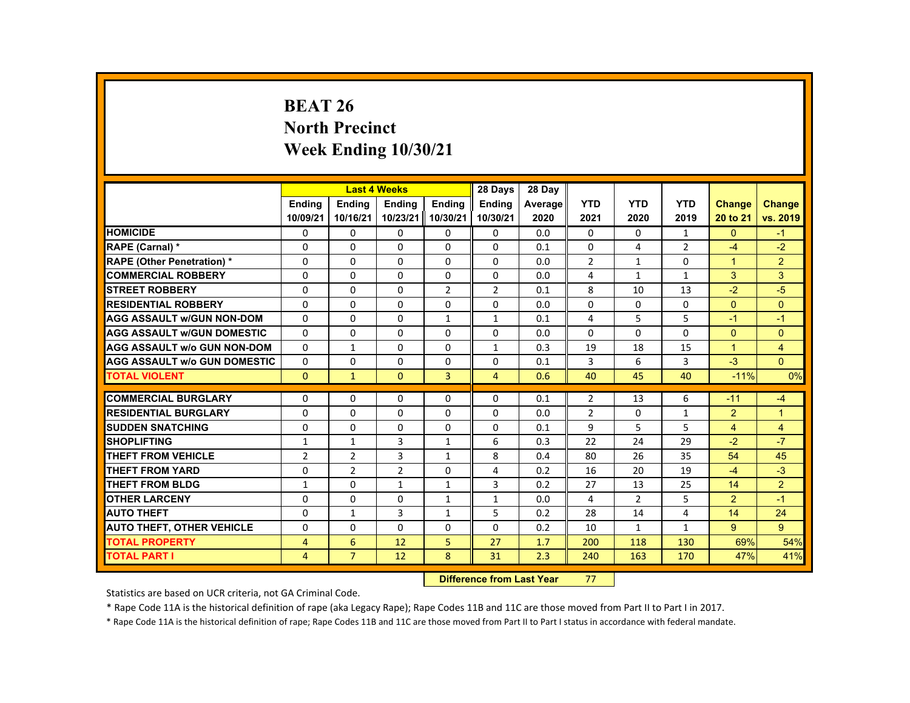# **BEAT 26 North Precinct Week Ending 10/30/21**

|                                     |                |                | <b>Last 4 Weeks</b> |                   | 28 Days        | 28 Day  |                |                |                |                |                |
|-------------------------------------|----------------|----------------|---------------------|-------------------|----------------|---------|----------------|----------------|----------------|----------------|----------------|
|                                     | <b>Endina</b>  | <b>Endina</b>  | <b>Endina</b>       | <b>Endina</b>     | <b>Endina</b>  | Average | <b>YTD</b>     | <b>YTD</b>     | <b>YTD</b>     | Change         | <b>Change</b>  |
|                                     | 10/09/21       | 10/16/21       |                     | 10/23/21 10/30/21 | 10/30/21       | 2020    | 2021           | 2020           | 2019           | 20 to 21       | vs. 2019       |
| <b>HOMICIDE</b>                     | 0              | 0              | 0                   | 0                 | 0              | 0.0     | 0              | 0              | $\mathbf{1}$   | $\mathbf{0}$   | $-1$           |
| RAPE (Carnal) *                     | $\Omega$       | $\Omega$       | $\Omega$            | $\Omega$          | $\Omega$       | 0.1     | 0              | 4              | $\overline{2}$ | $-4$           | $-2$           |
| <b>RAPE (Other Penetration) *</b>   | $\Omega$       | $\Omega$       | $\Omega$            | $\Omega$          | $\Omega$       | 0.0     | $\overline{2}$ | $\mathbf{1}$   | $\Omega$       | $\mathbf{1}$   | $\overline{2}$ |
| <b>COMMERCIAL ROBBERY</b>           | 0              | $\mathbf{0}$   | 0                   | 0                 | 0              | 0.0     | 4              | $\mathbf{1}$   | $\mathbf{1}$   | 3              | 3              |
| <b>STREET ROBBERY</b>               | $\Omega$       | $\Omega$       | $\Omega$            | $\overline{2}$    | $\overline{2}$ | 0.1     | 8              | 10             | 13             | $-2$           | $-5$           |
| <b>RESIDENTIAL ROBBERY</b>          | $\Omega$       | $\Omega$       | $\Omega$            | $\Omega$          | $\Omega$       | 0.0     | $\Omega$       | $\Omega$       | $\Omega$       | $\Omega$       | $\Omega$       |
| <b>AGG ASSAULT w/GUN NON-DOM</b>    | $\Omega$       | $\Omega$       | $\Omega$            | $\mathbf{1}$      | $\mathbf{1}$   | 0.1     | 4              | 5              | 5              | $-1$           | $-1$           |
| <b>AGG ASSAULT WGUN DOMESTIC</b>    | $\Omega$       | $\Omega$       | $\Omega$            | $\Omega$          | $\Omega$       | 0.0     | $\Omega$       | $\Omega$       | $\Omega$       | $\Omega$       | $\Omega$       |
| <b>AGG ASSAULT W/o GUN NON-DOM</b>  | $\Omega$       | $\mathbf{1}$   | $\Omega$            | $\Omega$          | $\mathbf{1}$   | 0.3     | 19             | 18             | 15             | $\mathbf{1}$   | $\overline{4}$ |
| <b>AGG ASSAULT W/o GUN DOMESTIC</b> | $\Omega$       | $\Omega$       | $\Omega$            | $\Omega$          | $\Omega$       | 0.1     | 3              | 6              | 3              | $-3$           | $\Omega$       |
| <b>TOTAL VIOLENT</b>                | $\Omega$       | $\mathbf{1}$   | $\Omega$            | $\overline{3}$    | $\overline{4}$ | 0.6     | 40             | 45             | 40             | $-11%$         | 0%             |
|                                     |                |                |                     |                   |                |         |                |                |                |                |                |
| <b>COMMERCIAL BURGLARY</b>          | $\Omega$       | $\Omega$       | $\Omega$            | $\Omega$          | $\Omega$       | 0.1     | $\overline{2}$ | 13             | 6              | $-11$          | $-4$           |
| <b>RESIDENTIAL BURGLARY</b>         | 0              | $\mathbf{0}$   | 0                   | 0                 | $\Omega$       | 0.0     | $\overline{2}$ | 0              | $\mathbf{1}$   | $\overline{2}$ | $\mathbf{1}$   |
| <b>SUDDEN SNATCHING</b>             | $\Omega$       | $\Omega$       | $\Omega$            | $\Omega$          | $\Omega$       | 0.1     | 9              | 5              | 5              | 4              | 4              |
| <b>SHOPLIFTING</b>                  | $\mathbf{1}$   | $\mathbf{1}$   | $\overline{3}$      | $\mathbf{1}$      | 6              | 0.3     | 22             | 24             | 29             | $-2$           | $-7$           |
| <b>THEFT FROM VEHICLE</b>           | $\overline{2}$ | $\overline{2}$ | 3                   | $\mathbf{1}$      | 8              | 0.4     | 80             | 26             | 35             | 54             | 45             |
| <b>THEFT FROM YARD</b>              | $\Omega$       | $\overline{2}$ | $\overline{2}$      | $\Omega$          | 4              | 0.2     | 16             | 20             | 19             | $-4$           | $-3$           |
| THEFT FROM BLDG                     | $\mathbf{1}$   | $\Omega$       | $\mathbf{1}$        | $\mathbf{1}$      | 3              | 0.2     | 27             | 13             | 25             | 14             | $\overline{2}$ |
| <b>OTHER LARCENY</b>                | $\Omega$       | $\mathbf{0}$   | $\Omega$            | $\mathbf{1}$      | $\mathbf{1}$   | 0.0     | 4              | $\overline{2}$ | 5              | $\overline{2}$ | $-1$           |
| <b>AUTO THEFT</b>                   | $\Omega$       | $\mathbf{1}$   | 3                   | $\mathbf{1}$      | 5              | 0.2     | 28             | 14             | 4              | 14             | 24             |
| <b>AUTO THEFT, OTHER VEHICLE</b>    | $\Omega$       | $\mathbf{0}$   | $\Omega$            | $\Omega$          | $\Omega$       | 0.2     | 10             | $\mathbf{1}$   | $\mathbf{1}$   | $9^{\circ}$    | 9              |
| <b>TOTAL PROPERTY</b>               | 4              | 6              | 12                  | 5                 | 27             | 1.7     | 200            | 118            | 130            | 69%            | 54%            |
| <b>TOTAL PART I</b>                 | $\overline{4}$ | $\overline{7}$ | 12                  | 8                 | 31             | 2.3     | 240            | 163            | 170            | 47%            | 41%            |

#### **Difference from Last Year**r 77

Statistics are based on UCR criteria, not GA Criminal Code.

\* Rape Code 11A is the historical definition of rape (aka Legacy Rape); Rape Codes 11B and 11C are those moved from Part II to Part I in 2017.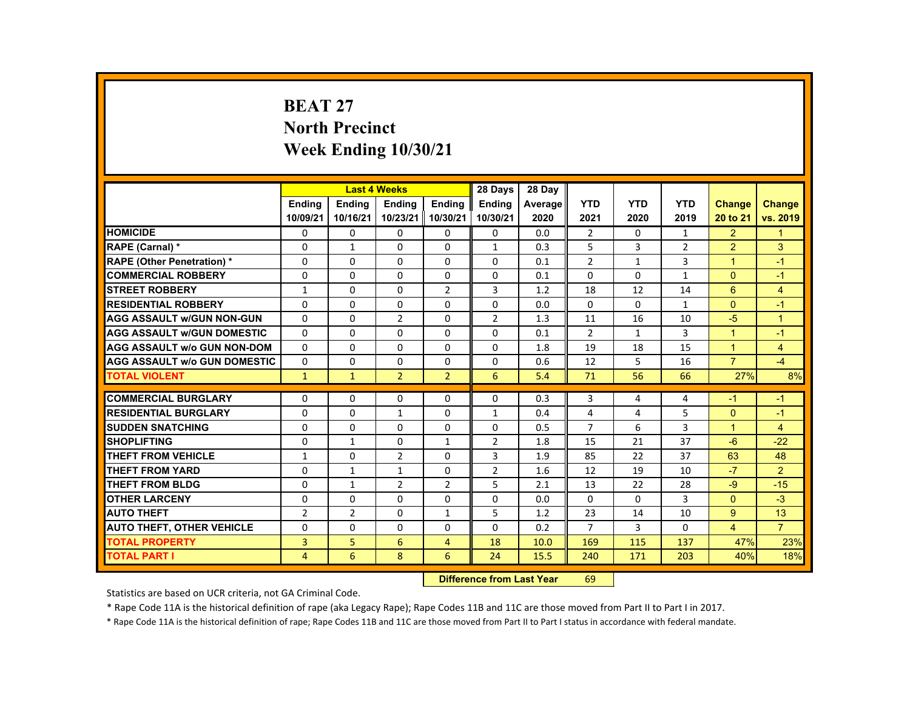# **BEAT 27 North Precinct Week Ending 10/30/21**

|                                     |                |               | <b>Last 4 Weeks</b> |                | 28 Days        | 28 Day  |                |              |                |                |                      |
|-------------------------------------|----------------|---------------|---------------------|----------------|----------------|---------|----------------|--------------|----------------|----------------|----------------------|
|                                     | <b>Endina</b>  | <b>Endina</b> | <b>Endina</b>       | <b>Endina</b>  | <b>Endina</b>  | Average | <b>YTD</b>     | <b>YTD</b>   | <b>YTD</b>     | <b>Change</b>  | <b>Change</b>        |
|                                     | 10/09/21       | 10/16/21      | 10/23/21            | 10/30/21       | 10/30/21       | 2020    | 2021           | 2020         | 2019           | 20 to 21       | vs. 2019             |
| <b>HOMICIDE</b>                     | $\mathbf{0}$   | $\mathbf{0}$  | 0                   | 0              | 0              | 0.0     | $\overline{2}$ | $\Omega$     | $\mathbf{1}$   | $\overline{2}$ | 1                    |
| <b>RAPE (Carnal) *</b>              | $\Omega$       | $\mathbf{1}$  | $\Omega$            | $\Omega$       | $\mathbf{1}$   | 0.3     | 5              | 3            | $\overline{2}$ | $\overline{2}$ | 3                    |
| <b>RAPE (Other Penetration) *</b>   | $\Omega$       | $\Omega$      | $\Omega$            | $\Omega$       | $\Omega$       | 0.1     | $\overline{2}$ | $\mathbf{1}$ | 3              | $\overline{1}$ | $-1$                 |
| <b>COMMERCIAL ROBBERY</b>           | $\Omega$       | $\Omega$      | $\Omega$            | $\mathbf{0}$   | $\Omega$       | 0.1     | $\Omega$       | $\Omega$     | $\mathbf{1}$   | $\Omega$       | $-1$                 |
| <b>STREET ROBBERY</b>               | $\mathbf{1}$   | $\Omega$      | $\Omega$            | 2              | 3              | 1.2     | 18             | 12           | 14             | 6              | $\overline{4}$       |
| <b>RESIDENTIAL ROBBERY</b>          | $\Omega$       | $\Omega$      | $\Omega$            | $\Omega$       | $\Omega$       | 0.0     | $\Omega$       | $\Omega$     | $\mathbf{1}$   | $\Omega$       | $-1$                 |
| <b>AGG ASSAULT w/GUN NON-GUN</b>    | $\Omega$       | $\Omega$      | $\overline{2}$      | $\Omega$       | $\overline{2}$ | 1.3     | 11             | 16           | 10             | $-5$           | $\blacktriangleleft$ |
| <b>AGG ASSAULT w/GUN DOMESTIC</b>   | $\Omega$       | $\Omega$      | $\Omega$            | $\Omega$       | $\Omega$       | 0.1     | $\overline{2}$ | $\mathbf{1}$ | 3              | $\overline{ }$ | $-1$                 |
| <b>AGG ASSAULT w/o GUN NON-DOM</b>  | $\Omega$       | $\Omega$      | $\Omega$            | $\Omega$       | $\Omega$       | 1.8     | 19             | 18           | 15             | $\overline{1}$ | 4                    |
| <b>AGG ASSAULT W/o GUN DOMESTIC</b> | $\Omega$       | $\Omega$      | $\Omega$            | $\Omega$       | $\Omega$       | 0.6     | 12             | 5            | 16             | $\overline{7}$ | $-4$                 |
| <b>TOTAL VIOLENT</b>                | $\mathbf{1}$   | $\mathbf{1}$  | $\overline{2}$      | $\overline{2}$ | 6              | 5.4     | 71             | 56           | 66             | 27%            | 8%                   |
|                                     |                |               |                     |                |                |         |                |              |                |                |                      |
| <b>COMMERCIAL BURGLARY</b>          | $\Omega$       | $\Omega$      | $\Omega$            | $\Omega$       | $\Omega$       | 0.3     | 3              | 4            | 4              | $-1$           | $-1$                 |
| <b>RESIDENTIAL BURGLARY</b>         | $\Omega$       | $\Omega$      | $\mathbf{1}$        | 0              | $\mathbf{1}$   | 0.4     | 4              | 4            | 5              | $\Omega$       | $-1$                 |
| <b>SUDDEN SNATCHING</b>             | $\Omega$       | $\Omega$      | $\Omega$            | $\Omega$       | $\Omega$       | 0.5     | $\overline{7}$ | 6            | 3              | $\overline{1}$ | 4                    |
| <b>SHOPLIFTING</b>                  | $\Omega$       | $\mathbf{1}$  | $\Omega$            | $\mathbf{1}$   | $\overline{2}$ | 1.8     | 15             | 21           | 37             | $-6$           | $-22$                |
| <b>THEFT FROM VEHICLE</b>           | $\mathbf{1}$   | $\mathbf{0}$  | $\overline{2}$      | 0              | 3              | 1.9     | 85             | 22           | 37             | 63             | 48                   |
| <b>THEFT FROM YARD</b>              | $\Omega$       | $\mathbf{1}$  | $\mathbf{1}$        | $\Omega$       | $\overline{2}$ | 1.6     | 12             | 19           | 10             | $-7$           | $\overline{2}$       |
| <b>THEFT FROM BLDG</b>              | $\Omega$       | $\mathbf{1}$  | $\overline{2}$      | $\overline{2}$ | 5              | 2.1     | 13             | 22           | 28             | $-9$           | $-15$                |
| <b>OTHER LARCENY</b>                | $\Omega$       | $\Omega$      | $\Omega$            | $\Omega$       | $\Omega$       | 0.0     | $\Omega$       | 0            | 3              | $\Omega$       | $-3$                 |
| <b>AUTO THEFT</b>                   | $\overline{2}$ | 2             | $\Omega$            | $\mathbf{1}$   | 5              | 1.2     | 23             | 14           | 10             | 9              | 13                   |
| <b>AUTO THEFT, OTHER VEHICLE</b>    | $\Omega$       | $\Omega$      | $\Omega$            | $\Omega$       | $\Omega$       | 0.2     | $\overline{7}$ | 3            | $\Omega$       | $\overline{4}$ | $\overline{7}$       |
| <b>TOTAL PROPERTY</b>               | 3              | 5             | 6                   | $\overline{4}$ | 18             | 10.0    | 169            | 115          | 137            | 47%            | 23%                  |
| <b>TOTAL PART I</b>                 | $\overline{4}$ | 6             | 8                   | 6              | 24             | 15.5    | 240            | 171          | 203            | 40%            | 18%                  |

#### **Difference from Last Year**r 69

Statistics are based on UCR criteria, not GA Criminal Code.

\* Rape Code 11A is the historical definition of rape (aka Legacy Rape); Rape Codes 11B and 11C are those moved from Part II to Part I in 2017.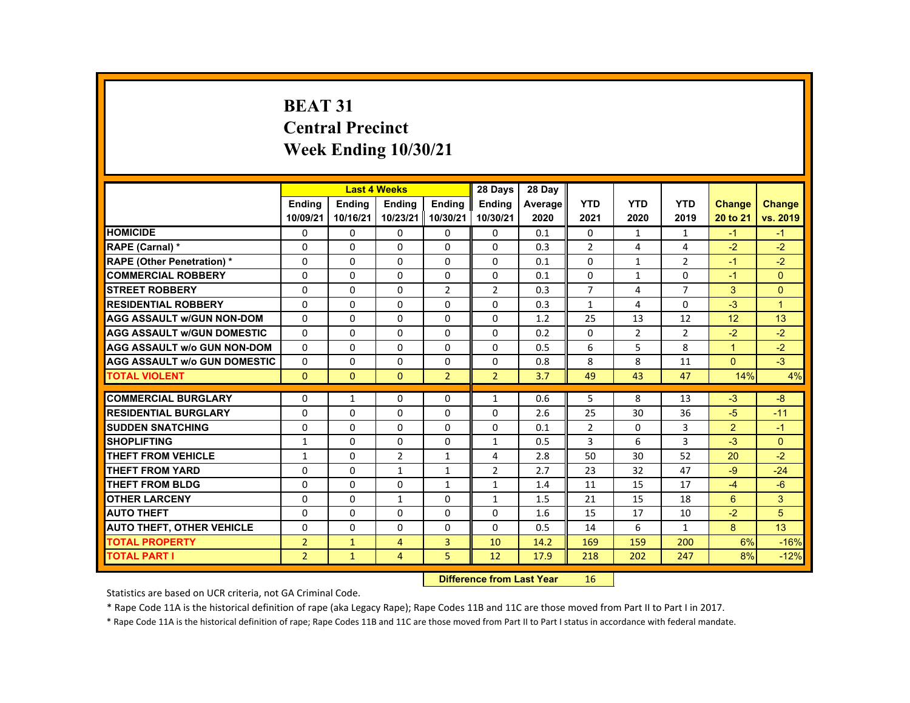# **BEAT 31 Central Precinct Week Ending 10/30/21**

|                                     |                |               | <b>Last 4 Weeks</b> |                | 28 Days        | 28 Day  |                |              |                |                |              |
|-------------------------------------|----------------|---------------|---------------------|----------------|----------------|---------|----------------|--------------|----------------|----------------|--------------|
|                                     | <b>Endina</b>  | <b>Endina</b> | <b>Endina</b>       | <b>Endina</b>  | <b>Endina</b>  | Average | <b>YTD</b>     | <b>YTD</b>   | <b>YTD</b>     | <b>Change</b>  | Change       |
|                                     | 10/09/21       | 10/16/21      | 10/23/21 10/30/21   |                | 10/30/21       | 2020    | 2021           | 2020         | 2019           | 20 to 21       | vs. 2019     |
| <b>HOMICIDE</b>                     | 0              | 0             | 0                   | 0              | 0              | 0.1     | 0              | $\mathbf{1}$ | $\mathbf{1}$   | $-1$           | $-1$         |
| <b>RAPE (Carnal) *</b>              | $\Omega$       | $\Omega$      | $\Omega$            | $\Omega$       | $\Omega$       | 0.3     | $\overline{2}$ | 4            | 4              | $-2$           | $-2$         |
| <b>RAPE (Other Penetration) *</b>   | $\Omega$       | $\Omega$      | $\Omega$            | $\Omega$       | $\Omega$       | 0.1     | $\Omega$       | $\mathbf{1}$ | $\overline{2}$ | $-1$           | $-2$         |
| <b>COMMERCIAL ROBBERY</b>           | $\Omega$       | $\Omega$      | $\Omega$            | $\Omega$       | $\Omega$       | 0.1     | $\Omega$       | $\mathbf{1}$ | $\Omega$       | $-1$           | $\Omega$     |
| <b>STREET ROBBERY</b>               | $\Omega$       | $\Omega$      | $\Omega$            | $\overline{2}$ | 2              | 0.3     | $\overline{7}$ | 4            | $\overline{7}$ | 3              | $\Omega$     |
| <b>RESIDENTIAL ROBBERY</b>          | $\Omega$       | $\Omega$      | $\Omega$            | $\Omega$       | $\Omega$       | 0.3     | $\mathbf{1}$   | 4            | $\Omega$       | $-3$           | $\mathbf{1}$ |
| <b>AGG ASSAULT w/GUN NON-DOM</b>    | $\Omega$       | $\Omega$      | $\Omega$            | $\Omega$       | $\Omega$       | 1.2     | 25             | 13           | 12             | 12             | 13           |
| <b>AGG ASSAULT w/GUN DOMESTIC</b>   | $\Omega$       | $\Omega$      | $\Omega$            | 0              | 0              | 0.2     | $\Omega$       | 2            | $\overline{2}$ | $-2$           | $-2$         |
| <b>AGG ASSAULT w/o GUN NON-DOM</b>  | $\Omega$       | $\Omega$      | $\Omega$            | $\Omega$       | $\Omega$       | 0.5     | 6              | 5            | 8              | $\overline{1}$ | $-2$         |
| <b>AGG ASSAULT W/o GUN DOMESTIC</b> | $\Omega$       | $\Omega$      | $\Omega$            | $\Omega$       | $\Omega$       | 0.8     | 8              | 8            | 11             | $\Omega$       | $-3$         |
| <b>TOTAL VIOLENT</b>                | $\mathbf{0}$   | $\Omega$      | $\Omega$            | $\overline{2}$ | $\overline{2}$ | 3.7     | 49             | 43           | 47             | 14%            | 4%           |
|                                     |                |               |                     |                |                |         |                |              |                |                |              |
| <b>COMMERCIAL BURGLARY</b>          | $\Omega$       | $\mathbf{1}$  | $\Omega$            | $\Omega$       | $\mathbf{1}$   | 0.6     | 5              | 8            | 13             | $-3$           | $-8$         |
| <b>RESIDENTIAL BURGLARY</b>         | $\Omega$       | $\Omega$      | $\Omega$            | $\Omega$       | $\Omega$       | 2.6     | 25             | 30           | 36             | $-5$           | $-11$        |
| <b>SUDDEN SNATCHING</b>             | $\Omega$       | $\Omega$      | $\Omega$            | $\Omega$       | $\Omega$       | 0.1     | $\overline{2}$ | $\Omega$     | 3              | 2              | $-1$         |
| <b>SHOPLIFTING</b>                  | $\mathbf{1}$   | $\Omega$      | $\Omega$            | $\Omega$       | $\mathbf{1}$   | 0.5     | 3              | 6            | 3              | $-3$           | $\Omega$     |
| <b>THEFT FROM VEHICLE</b>           | $\mathbf{1}$   | 0             | $\overline{2}$      | $\mathbf{1}$   | 4              | 2.8     | 50             | 30           | 52             | 20             | $-2$         |
| <b>THEFT FROM YARD</b>              | $\Omega$       | $\Omega$      | $\mathbf{1}$        | $\mathbf{1}$   | $\overline{2}$ | 2.7     | 23             | 32           | 47             | $-9$           | $-24$        |
| <b>THEFT FROM BLDG</b>              | $\Omega$       | $\Omega$      | $\Omega$            | $\mathbf{1}$   | $\mathbf{1}$   | 1.4     | 11             | 15           | 17             | $-4$           | $-6$         |
| <b>OTHER LARCENY</b>                | $\Omega$       | $\Omega$      | $\mathbf{1}$        | $\Omega$       | $\mathbf{1}$   | 1.5     | 21             | 15           | 18             | 6              | 3            |
| <b>AUTO THEFT</b>                   | $\Omega$       | $\Omega$      | $\Omega$            | $\Omega$       | 0              | 1.6     | 15             | 17           | 10             | $-2$           | 5            |
| <b>AUTO THEFT, OTHER VEHICLE</b>    | $\Omega$       | $\Omega$      | $\Omega$            | $\Omega$       | $\Omega$       | 0.5     | 14             | 6            | $\mathbf{1}$   | 8              | 13           |
| <b>TOTAL PROPERTY</b>               | $\overline{2}$ | $\mathbf{1}$  | $\overline{4}$      | 3              | 10             | 14.2    | 169            | 159          | 200            | 6%             | $-16%$       |
| <b>TOTAL PART I</b>                 | $\overline{2}$ | $\mathbf{1}$  | $\overline{4}$      | 5              | 12             | 17.9    | 218            | 202          | 247            | 8%             | $-12%$       |

#### **Difference from Last Year**r 16

Statistics are based on UCR criteria, not GA Criminal Code.

\* Rape Code 11A is the historical definition of rape (aka Legacy Rape); Rape Codes 11B and 11C are those moved from Part II to Part I in 2017.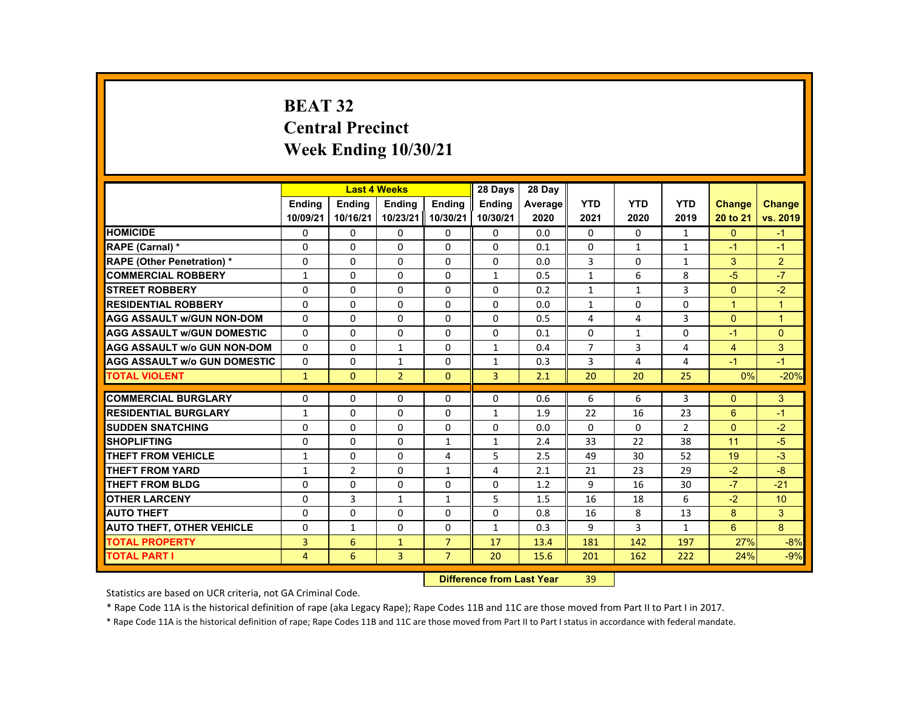# **BEAT 32 Central Precinct Week Ending 10/30/21**

|                                     |                |                | <b>Last 4 Weeks</b> |                | 28 Days        | 28 Day  |                |              |                |                |                |
|-------------------------------------|----------------|----------------|---------------------|----------------|----------------|---------|----------------|--------------|----------------|----------------|----------------|
|                                     | <b>Endina</b>  | <b>Endina</b>  | <b>Endina</b>       | <b>Endina</b>  | <b>Endina</b>  | Average | <b>YTD</b>     | <b>YTD</b>   | <b>YTD</b>     | <b>Change</b>  | <b>Change</b>  |
|                                     | 10/09/21       | 10/16/21       | 10/23/21            | 10/30/21       | 10/30/21       | 2020    | 2021           | 2020         | 2019           | 20 to 21       | vs. 2019       |
| <b>HOMICIDE</b>                     | $\mathbf{0}$   | $\mathbf{0}$   | 0                   | 0              | 0              | 0.0     | $\mathbf{0}$   | 0            | $\mathbf{1}$   | $\mathbf{0}$   | $-1$           |
| <b>RAPE (Carnal) *</b>              | $\Omega$       | $\Omega$       | $\Omega$            | $\Omega$       | $\Omega$       | 0.1     | $\Omega$       | $\mathbf{1}$ | $\mathbf{1}$   | $-1$           | $-1$           |
| <b>RAPE (Other Penetration) *</b>   | $\Omega$       | $\Omega$       | $\Omega$            | $\Omega$       | $\Omega$       | 0.0     | 3              | $\Omega$     | $\mathbf{1}$   | 3              | $\overline{2}$ |
| <b>COMMERCIAL ROBBERY</b>           | 1              | $\mathbf{0}$   | 0                   | 0              | 1              | 0.5     | $\mathbf{1}$   | 6            | 8              | $-5$           | $-7$           |
| <b>STREET ROBBERY</b>               | $\Omega$       | $\Omega$       | $\Omega$            | $\Omega$       | $\Omega$       | 0.2     | $\mathbf{1}$   | $\mathbf{1}$ | 3              | $\Omega$       | $-2$           |
| <b>RESIDENTIAL ROBBERY</b>          | $\Omega$       | $\Omega$       | $\Omega$            | $\Omega$       | $\Omega$       | 0.0     | $\mathbf{1}$   | $\Omega$     | $\Omega$       | $\mathbf{1}$   | $\overline{1}$ |
| <b>AGG ASSAULT w/GUN NON-DOM</b>    | $\Omega$       | $\mathbf{0}$   | 0                   | 0              | $\Omega$       | 0.5     | 4              | 4            | 3              | $\Omega$       | $\overline{1}$ |
| <b>AGG ASSAULT WGUN DOMESTIC</b>    | $\Omega$       | $\Omega$       | $\Omega$            | 0              | $\Omega$       | 0.1     | 0              | $\mathbf{1}$ | 0              | $-1$           | $\Omega$       |
| <b>AGG ASSAULT W/o GUN NON-DOM</b>  | $\Omega$       | $\mathbf{0}$   | 1                   | 0              | $\mathbf{1}$   | 0.4     | $\overline{7}$ | 3            | 4              | $\overline{4}$ | 3              |
| <b>AGG ASSAULT W/o GUN DOMESTIC</b> | $\Omega$       | $\Omega$       | $\mathbf{1}$        | $\Omega$       | $\mathbf{1}$   | 0.3     | 3              | 4            | 4              | $-1$           | $-1$           |
| <b>TOTAL VIOLENT</b>                | $\mathbf{1}$   | $\Omega$       | $\overline{2}$      | $\Omega$       | $\overline{3}$ | 2.1     | 20             | 20           | 25             | 0%             | $-20%$         |
|                                     |                |                |                     |                |                |         |                |              |                |                |                |
| <b>COMMERCIAL BURGLARY</b>          | $\Omega$       | $\Omega$       | $\Omega$            | $\Omega$       | $\Omega$       | 0.6     | 6              | 6            | 3              | $\Omega$       | 3              |
| <b>RESIDENTIAL BURGLARY</b>         | $\mathbf{1}$   | $\mathbf{0}$   | 0                   | 0              | $\mathbf{1}$   | 1.9     | 22             | 16           | 23             | 6              | $-1$           |
| <b>SUDDEN SNATCHING</b>             | $\Omega$       | $\Omega$       | $\Omega$            | $\Omega$       | $\Omega$       | 0.0     | $\Omega$       | $\Omega$     | $\overline{2}$ | $\Omega$       | $-2$           |
| <b>SHOPLIFTING</b>                  | $\Omega$       | $\Omega$       | $\Omega$            | $\mathbf{1}$   | $\mathbf{1}$   | 2.4     | 33             | 22           | 38             | 11             | $-5$           |
| THEFT FROM VEHICLE                  | $\mathbf{1}$   | $\mathbf{0}$   | 0                   | 4              | 5              | 2.5     | 49             | 30           | 52             | 19             | $-3$           |
| <b>THEFT FROM YARD</b>              | $\mathbf{1}$   | $\overline{2}$ | $\Omega$            | $\mathbf{1}$   | 4              | 2.1     | 21             | 23           | 29             | $-2$           | $-8$           |
| THEFT FROM BLDG                     | $\Omega$       | $\Omega$       | $\Omega$            | $\Omega$       | $\Omega$       | 1.2     | 9              | 16           | 30             | $-7$           | $-21$          |
| <b>OTHER LARCENY</b>                | 0              | 3              | 1                   | $\mathbf{1}$   | 5              | 1.5     | 16             | 18           | 6              | $-2$           | 10             |
| <b>AUTO THEFT</b>                   | $\Omega$       | $\Omega$       | $\Omega$            | $\Omega$       | $\Omega$       | 0.8     | 16             | 8            | 13             | 8              | 3              |
| <b>AUTO THEFT, OTHER VEHICLE</b>    | $\Omega$       | $\mathbf{1}$   | $\Omega$            | $\Omega$       | $\mathbf{1}$   | 0.3     | 9              | 3            | $\mathbf{1}$   | 6              | 8              |
| <b>TOTAL PROPERTY</b>               | 3              | 6              | $\mathbf{1}$        | $\overline{7}$ | 17             | 13.4    | 181            | 142          | 197            | 27%            | $-8%$          |
| <b>TOTAL PART I</b>                 | $\overline{4}$ | 6              | $\overline{3}$      | $\overline{7}$ | 20             | 15.6    | 201            | 162          | 222            | 24%            | $-9%$          |

#### **Difference from Last Year**r 39

Statistics are based on UCR criteria, not GA Criminal Code.

\* Rape Code 11A is the historical definition of rape (aka Legacy Rape); Rape Codes 11B and 11C are those moved from Part II to Part I in 2017.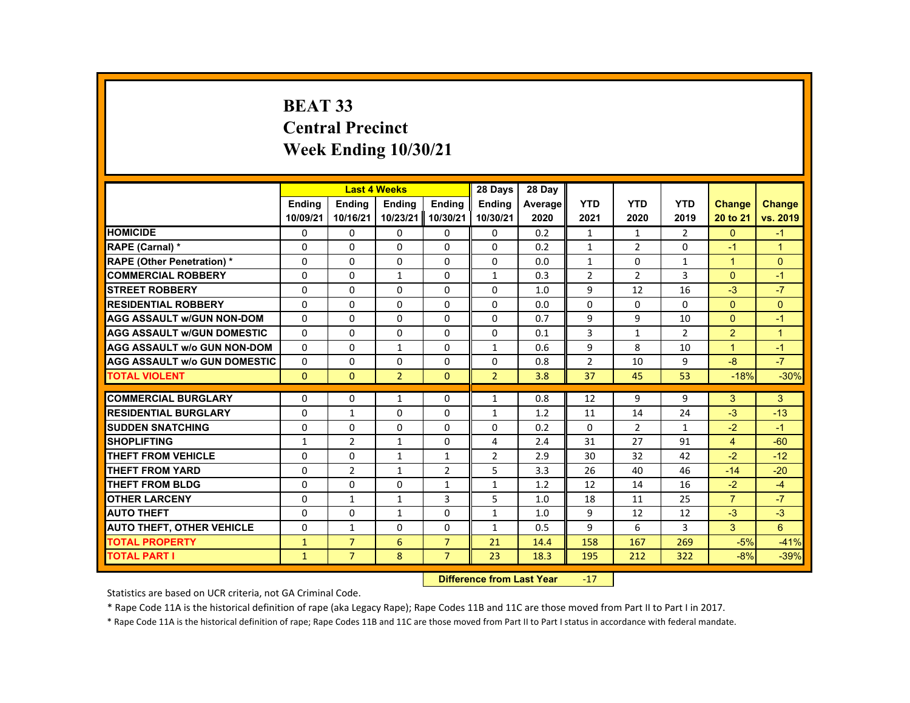# **BEAT 33 Central Precinct Week Ending 10/30/21**

|                                     |               | <b>Last 4 Weeks</b> |                |                | 28 Days        | 28 Day  |                |                |                |                |                      |
|-------------------------------------|---------------|---------------------|----------------|----------------|----------------|---------|----------------|----------------|----------------|----------------|----------------------|
|                                     | <b>Endina</b> | <b>Endina</b>       | <b>Endina</b>  | <b>Endina</b>  | <b>Endina</b>  | Average | <b>YTD</b>     | <b>YTD</b>     | <b>YTD</b>     | <b>Change</b>  | <b>Change</b>        |
|                                     | 10/09/21      | 10/16/21            | 10/23/21       | 10/30/21       | 10/30/21       | 2020    | 2021           | 2020           | 2019           | 20 to 21       | vs. 2019             |
| <b>HOMICIDE</b>                     | 0             | 0                   | 0              | 0              | 0              | 0.2     | $\mathbf{1}$   | $\mathbf{1}$   | $\overline{2}$ | $\mathbf{0}$   | $-1$                 |
| <b>RAPE (Carnal) *</b>              | 0             | $\Omega$            | $\Omega$       | $\Omega$       | $\Omega$       | 0.2     | $\mathbf{1}$   | $\overline{2}$ | 0              | $-1$           | $\overline{1}$       |
| <b>RAPE (Other Penetration) *</b>   | $\Omega$      | $\Omega$            | $\Omega$       | $\Omega$       | $\Omega$       | 0.0     | $\mathbf{1}$   | $\Omega$       | $\mathbf{1}$   | $\mathbf{1}$   | $\Omega$             |
| <b>COMMERCIAL ROBBERY</b>           | $\Omega$      | $\Omega$            | $\mathbf{1}$   | $\Omega$       | $\mathbf{1}$   | 0.3     | $\overline{2}$ | $\overline{2}$ | 3              | $\Omega$       | $-1$                 |
| <b>STREET ROBBERY</b>               | 0             | 0                   | 0              | 0              | 0              | 1.0     | 9              | 12             | 16             | $-3$           | $-7$                 |
| <b>RESIDENTIAL ROBBERY</b>          | $\Omega$      | $\Omega$            | $\Omega$       | $\Omega$       | $\Omega$       | 0.0     | $\Omega$       | 0              | $\Omega$       | $\Omega$       | $\Omega$             |
| <b>AGG ASSAULT w/GUN NON-DOM</b>    | $\Omega$      | $\Omega$            | $\Omega$       | $\Omega$       | $\Omega$       | 0.7     | 9              | 9              | 10             | $\Omega$       | $-1$                 |
| <b>AGG ASSAULT w/GUN DOMESTIC</b>   | 0             | 0                   | $\Omega$       | 0              | 0              | 0.1     | 3              | $\mathbf{1}$   | $\overline{2}$ | $\overline{2}$ | $\blacktriangleleft$ |
| <b>AGG ASSAULT w/o GUN NON-DOM</b>  | $\Omega$      | $\Omega$            | $\mathbf{1}$   | $\Omega$       | 1              | 0.6     | 9              | 8              | 10             | $\mathbf{1}$   | $-1$                 |
| <b>AGG ASSAULT W/o GUN DOMESTIC</b> | $\Omega$      | $\Omega$            | $\Omega$       | $\Omega$       | $\Omega$       | 0.8     | $\overline{2}$ | 10             | 9              | $-8$           | $-7$                 |
| <b>TOTAL VIOLENT</b>                | $\mathbf{0}$  | $\mathbf{0}$        | $\overline{2}$ | $\Omega$       | $\overline{2}$ | 3.8     | 37             | 45             | 53             | $-18%$         | $-30%$               |
|                                     |               |                     |                |                |                |         |                |                |                |                |                      |
| <b>COMMERCIAL BURGLARY</b>          | $\Omega$      | $\Omega$            | $\mathbf{1}$   | $\Omega$       | $\mathbf{1}$   | 0.8     | 12             | 9              | 9              | 3              | 3                    |
| <b>RESIDENTIAL BURGLARY</b>         | 0             | $\mathbf{1}$        | 0              | 0              | 1              | 1.2     | 11             | 14             | 24             | $-3$           | $-13$                |
| <b>SUDDEN SNATCHING</b>             | $\Omega$      | $\Omega$            | $\Omega$       | $\Omega$       | $\Omega$       | 0.2     | $\Omega$       | $\overline{2}$ | $\mathbf{1}$   | $-2$           | $-1$                 |
| <b>SHOPLIFTING</b>                  | 1             | $\overline{2}$      | $\mathbf{1}$   | 0              | 4              | 2.4     | 31             | 27             | 91             | $\overline{4}$ | $-60$                |
| THEFT FROM VEHICLE                  | 0             | $\Omega$            | $\mathbf{1}$   | $\mathbf{1}$   | $\overline{2}$ | 2.9     | 30             | 32             | 42             | $-2$           | $-12$                |
| <b>THEFT FROM YARD</b>              | $\Omega$      | $\overline{2}$      | $\mathbf{1}$   | $\overline{2}$ | 5              | 3.3     | 26             | 40             | 46             | $-14$          | $-20$                |
| <b>THEFT FROM BLDG</b>              | $\Omega$      | $\Omega$            | $\Omega$       | $\mathbf{1}$   | $\mathbf{1}$   | 1.2     | 12             | 14             | 16             | $-2$           | $-4$                 |
| <b>OTHER LARCENY</b>                | $\Omega$      | $\mathbf{1}$        | $\mathbf{1}$   | 3              | 5              | 1.0     | 18             | 11             | 25             | $\overline{7}$ | $-7$                 |
| <b>AUTO THEFT</b>                   | 0             | 0                   | 1              | $\Omega$       | 1              | 1.0     | 9              | 12             | 12             | $-3$           | $-3$                 |
| <b>AUTO THEFT, OTHER VEHICLE</b>    | $\Omega$      | $\mathbf{1}$        | $\Omega$       | $\Omega$       | $\mathbf{1}$   | 0.5     | 9              | 6              | 3              | 3              | 6                    |
| <b>TOTAL PROPERTY</b>               | $\mathbf{1}$  | $\overline{7}$      | 6              | $\overline{7}$ | 21             | 14.4    | 158            | 167            | 269            | $-5%$          | $-41%$               |
| <b>TOTAL PART I</b>                 | $\mathbf{1}$  | $\overline{7}$      | 8              | $\overline{7}$ | 23             | 18.3    | 195            | 212            | 322            | $-8%$          | $-39%$               |
|                                     |               |                     |                |                |                |         |                |                |                |                |                      |

#### **Difference from Last Year**r -17

Statistics are based on UCR criteria, not GA Criminal Code.

\* Rape Code 11A is the historical definition of rape (aka Legacy Rape); Rape Codes 11B and 11C are those moved from Part II to Part I in 2017.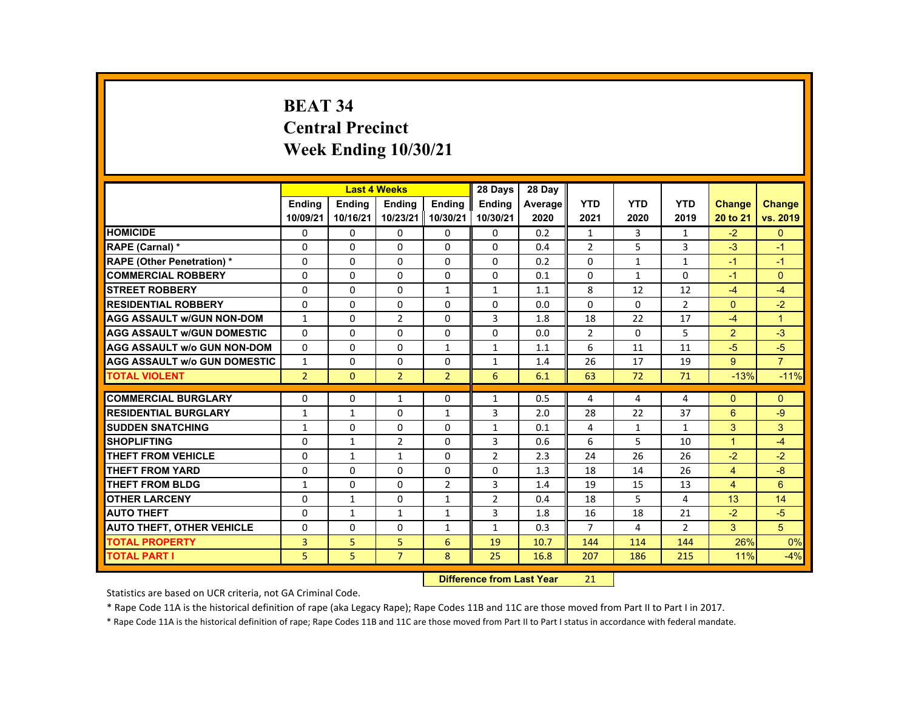# **BEAT 34 Central Precinct Week Ending 10/30/21**

|                                     |                |               | <b>Last 4 Weeks</b> |                | 28 Days        | 28 Day  |                |              |                |                      |                      |
|-------------------------------------|----------------|---------------|---------------------|----------------|----------------|---------|----------------|--------------|----------------|----------------------|----------------------|
|                                     | <b>Endina</b>  | <b>Endina</b> | <b>Endina</b>       | <b>Endina</b>  | <b>Endina</b>  | Average | <b>YTD</b>     | <b>YTD</b>   | <b>YTD</b>     | <b>Change</b>        | Change               |
|                                     | 10/09/21       | 10/16/21      | 10/23/21            | 10/30/21       | 10/30/21       | 2020    | 2021           | 2020         | 2019           | 20 to 21             | vs. 2019             |
| <b>HOMICIDE</b>                     | 0              | $\mathbf{0}$  | 0                   | 0              | $\Omega$       | 0.2     | 1              | 3            | $\mathbf{1}$   | $-2$                 | $\mathbf{0}$         |
| RAPE (Carnal) *                     | $\Omega$       | $\Omega$      | $\Omega$            | $\Omega$       | $\Omega$       | 0.4     | 2              | 5            | 3              | $-3$                 | $-1$                 |
| <b>RAPE (Other Penetration) *</b>   | $\Omega$       | $\Omega$      | $\Omega$            | $\Omega$       | $\Omega$       | 0.2     | $\Omega$       | $\mathbf{1}$ | $\mathbf{1}$   | $-1$                 | $-1$                 |
| <b>COMMERCIAL ROBBERY</b>           | 0              | $\mathbf{0}$  | 0                   | $\mathbf{0}$   | $\mathbf{0}$   | 0.1     | $\mathbf{0}$   | $\mathbf{1}$ | 0              | $-1$                 | $\Omega$             |
| <b>STREET ROBBERY</b>               | $\Omega$       | $\Omega$      | $\Omega$            | $\mathbf{1}$   | $\mathbf{1}$   | 1.1     | 8              | 12           | 12             | $-4$                 | $-4$                 |
| <b>RESIDENTIAL ROBBERY</b>          | $\Omega$       | $\Omega$      | $\Omega$            | $\Omega$       | $\Omega$       | 0.0     | $\Omega$       | $\Omega$     | $\overline{2}$ | $\mathbf{0}$         | $-2$                 |
| <b>AGG ASSAULT w/GUN NON-DOM</b>    | $\mathbf{1}$   | $\mathbf{0}$  | $\overline{2}$      | 0              | 3              | 1.8     | 18             | 22           | 17             | $-4$                 | $\blacktriangleleft$ |
| <b>AGG ASSAULT W/GUN DOMESTIC</b>   | $\Omega$       | $\Omega$      | $\Omega$            | $\Omega$       | $\Omega$       | 0.0     | $\overline{2}$ | $\Omega$     | 5              | $\overline{2}$       | $-3$                 |
| <b>AGG ASSAULT w/o GUN NON-DOM</b>  | $\Omega$       | $\Omega$      | $\Omega$            | $\mathbf{1}$   | $\mathbf{1}$   | 1.1     | 6              | 11           | 11             | $-5$                 | $-5$                 |
| <b>AGG ASSAULT W/o GUN DOMESTIC</b> | $\mathbf{1}$   | $\Omega$      | $\Omega$            | $\Omega$       | $\mathbf{1}$   | 1.4     | 26             | 17           | 19             | 9                    | $\overline{7}$       |
| <b>TOTAL VIOLENT</b>                | $\overline{2}$ | $\mathbf{0}$  | $\overline{2}$      | $\overline{2}$ | 6              | 6.1     | 63             | 72           | 71             | $-13%$               | $-11%$               |
|                                     |                |               |                     |                |                |         |                |              |                |                      |                      |
| <b>COMMERCIAL BURGLARY</b>          | $\Omega$       | $\Omega$      | $\mathbf{1}$        | $\Omega$       | $\mathbf{1}$   | 0.5     | 4              | 4            | 4              | $\Omega$             | $\Omega$             |
| <b>RESIDENTIAL BURGLARY</b>         | 1              | $\mathbf{1}$  | $\Omega$            | $\mathbf{1}$   | 3              | 2.0     | 28             | 22           | 37             | 6                    | $-9$                 |
| <b>SUDDEN SNATCHING</b>             | $\mathbf{1}$   | $\Omega$      | $\Omega$            | $\Omega$       | $\mathbf{1}$   | 0.1     | 4              | $\mathbf{1}$ | $\mathbf{1}$   | 3                    | $\overline{3}$       |
| <b>SHOPLIFTING</b>                  | $\Omega$       | $\mathbf{1}$  | $\mathcal{P}$       | $\Omega$       | 3              | 0.6     | 6              | 5            | 10             | $\blacktriangleleft$ | $-4$                 |
| <b>THEFT FROM VEHICLE</b>           | 0              | $\mathbf{1}$  | $\mathbf{1}$        | 0              | $\overline{2}$ | 2.3     | 24             | 26           | 26             | $-2$                 | $-2$                 |
| <b>THEFT FROM YARD</b>              | $\Omega$       | $\Omega$      | $\Omega$            | $\Omega$       | $\Omega$       | 1.3     | 18             | 14           | 26             | $\overline{4}$       | $-8$                 |
| <b>THEFT FROM BLDG</b>              | $\mathbf{1}$   | $\Omega$      | $\Omega$            | $\overline{2}$ | 3              | 1.4     | 19             | 15           | 13             | $\overline{4}$       | 6                    |
| <b>OTHER LARCENY</b>                | $\Omega$       | $\mathbf{1}$  | $\Omega$            | $\mathbf{1}$   | 2              | 0.4     | 18             | 5            | 4              | 13                   | 14                   |
| <b>AUTO THEFT</b>                   | $\Omega$       | $\mathbf{1}$  | $\mathbf{1}$        | $\mathbf{1}$   | 3              | 1.8     | 16             | 18           | 21             | $-2$                 | $-5$                 |
| <b>AUTO THEFT, OTHER VEHICLE</b>    | $\Omega$       | $\Omega$      | $\Omega$            | $\mathbf{1}$   | $\mathbf{1}$   | 0.3     | $\overline{7}$ | 4            | $\mathcal{P}$  | 3                    | 5                    |
| <b>TOTAL PROPERTY</b>               | $\overline{3}$ | 5             | 5                   | 6              | 19             | 10.7    | 144            | 114          | 144            | 26%                  | 0%                   |
| <b>TOTAL PART I</b>                 | 5              | 5             | $\overline{7}$      | 8              | 25             | 16.8    | 207            | 186          | 215            | 11%                  | $-4%$                |
|                                     |                |               |                     |                |                |         |                |              |                |                      |                      |

#### **Difference from Last Year**r 21

Statistics are based on UCR criteria, not GA Criminal Code.

\* Rape Code 11A is the historical definition of rape (aka Legacy Rape); Rape Codes 11B and 11C are those moved from Part II to Part I in 2017.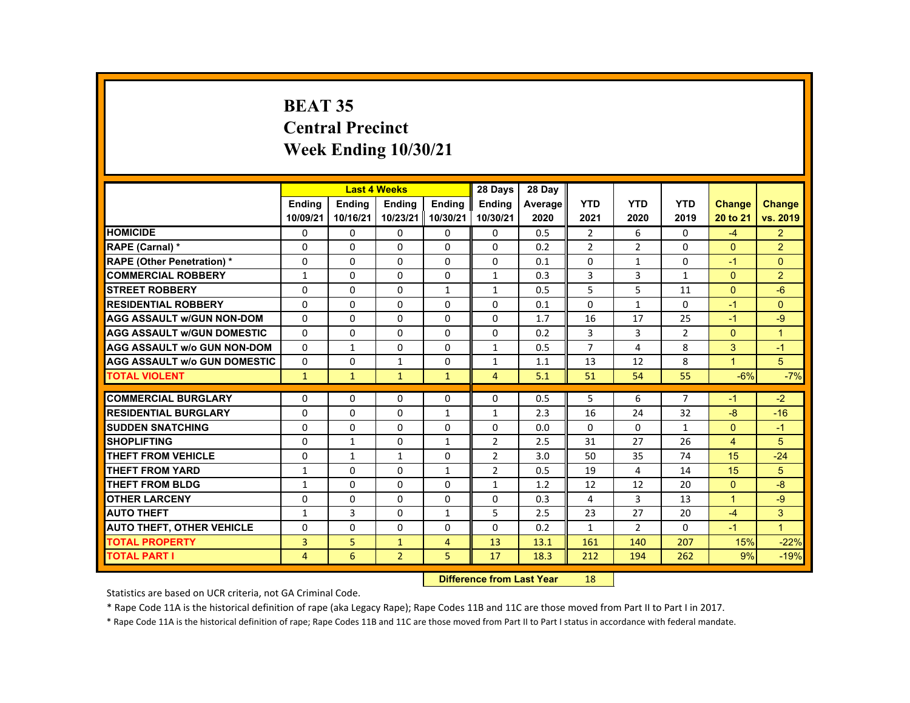# **BEAT 35 Central Precinct Week Ending 10/30/21**

|                                     |                |               | <b>Last 4 Weeks</b> |                | 28 Days        | 28 Day  |                |                |                |                      |                      |
|-------------------------------------|----------------|---------------|---------------------|----------------|----------------|---------|----------------|----------------|----------------|----------------------|----------------------|
|                                     | <b>Endina</b>  | <b>Endina</b> | <b>Endina</b>       | <b>Endina</b>  | <b>Endina</b>  | Average | <b>YTD</b>     | <b>YTD</b>     | <b>YTD</b>     | <b>Change</b>        | Change               |
|                                     | 10/09/21       | 10/16/21      | 10/23/21            | 10/30/21       | 10/30/21       | 2020    | 2021           | 2020           | 2019           | 20 to 21             | vs. 2019             |
| <b>HOMICIDE</b>                     | 0              | $\mathbf{0}$  | $\Omega$            | 0              | 0              | 0.5     | $\overline{2}$ | 6              | 0              | $-4$                 | $\overline{2}$       |
| RAPE (Carnal) *                     | $\Omega$       | $\Omega$      | $\Omega$            | $\Omega$       | $\Omega$       | 0.2     | $\overline{2}$ | 2              | $\Omega$       | $\Omega$             | $\overline{2}$       |
| <b>RAPE (Other Penetration) *</b>   | $\Omega$       | $\Omega$      | $\Omega$            | $\Omega$       | $\Omega$       | 0.1     | $\Omega$       | $\mathbf{1}$   | $\Omega$       | $-1$                 | $\Omega$             |
| <b>COMMERCIAL ROBBERY</b>           | 1              | $\Omega$      | $\mathbf{0}$        | $\mathbf{0}$   | $\mathbf{1}$   | 0.3     | 3              | 3              | $\mathbf{1}$   | $\Omega$             | $\overline{2}$       |
| <b>STREET ROBBERY</b>               | $\Omega$       | $\Omega$      | $\Omega$            | $\mathbf{1}$   | $\mathbf{1}$   | 0.5     | 5              | 5              | 11             | $\Omega$             | $-6$                 |
| <b>RESIDENTIAL ROBBERY</b>          | $\Omega$       | $\Omega$      | $\Omega$            | $\Omega$       | $\Omega$       | 0.1     | $\Omega$       | $\mathbf{1}$   | $\Omega$       | $-1$                 | $\Omega$             |
| <b>AGG ASSAULT w/GUN NON-DOM</b>    | $\Omega$       | $\Omega$      | $\Omega$            | $\Omega$       | $\Omega$       | 1.7     | 16             | 17             | 25             | $-1$                 | $-9$                 |
| <b>AGG ASSAULT w/GUN DOMESTIC</b>   | $\Omega$       | $\Omega$      | $\Omega$            | $\Omega$       | $\Omega$       | 0.2     | 3              | 3              | $\overline{2}$ | $\Omega$             | $\blacktriangleleft$ |
| <b>AGG ASSAULT w/o GUN NON-DOM</b>  | $\mathbf{0}$   | $\mathbf{1}$  | $\Omega$            | $\Omega$       | $\mathbf{1}$   | 0.5     | $\overline{7}$ | $\overline{4}$ | 8              | 3                    | $-1$                 |
| <b>AGG ASSAULT W/o GUN DOMESTIC</b> | $\Omega$       | $\Omega$      | $\mathbf{1}$        | $\Omega$       | $\mathbf{1}$   | 1.1     | 13             | 12             | 8              | $\blacktriangleleft$ | 5                    |
| <b>TOTAL VIOLENT</b>                | $\mathbf{1}$   | $\mathbf{1}$  | $\mathbf{1}$        | $\mathbf{1}$   | $\overline{4}$ | 5.1     | 51             | 54             | 55             | $-6%$                | $-7%$                |
|                                     |                |               |                     |                |                |         |                |                |                |                      |                      |
| <b>COMMERCIAL BURGLARY</b>          | $\Omega$       | $\Omega$      | $\Omega$            | $\Omega$       | $\Omega$       | 0.5     | 5              | 6              | $\overline{7}$ | $-1$                 | $-2$                 |
| <b>RESIDENTIAL BURGLARY</b>         | $\Omega$       | $\Omega$      | $\Omega$            | $\mathbf{1}$   | 1              | 2.3     | 16             | 24             | 32             | $-8$                 | $-16$                |
| <b>SUDDEN SNATCHING</b>             | $\Omega$       | $\Omega$      | $\Omega$            | $\Omega$       | $\Omega$       | 0.0     | $\Omega$       | $\Omega$       | $\mathbf{1}$   | $\Omega$             | $-1$                 |
| <b>SHOPLIFTING</b>                  | $\Omega$       | $\mathbf{1}$  | $\Omega$            | $\mathbf{1}$   | $\mathcal{P}$  | 2.5     | 31             | 27             | 26             | $\overline{4}$       | 5                    |
| <b>THEFT FROM VEHICLE</b>           | $\Omega$       | $\mathbf{1}$  | $\mathbf{1}$        | 0              | $\overline{2}$ | 3.0     | 50             | 35             | 74             | 15                   | $-24$                |
| <b>THEFT FROM YARD</b>              | $\mathbf{1}$   | $\Omega$      | $\Omega$            | $\mathbf{1}$   | $\overline{2}$ | 0.5     | 19             | 4              | 14             | 15                   | 5                    |
| <b>THEFT FROM BLDG</b>              | $\mathbf{1}$   | $\Omega$      | $\Omega$            | $\Omega$       | $\mathbf{1}$   | 1.2     | 12             | 12             | 20             | $\Omega$             | $-8$                 |
| <b>OTHER LARCENY</b>                | $\mathbf{0}$   | $\mathbf{0}$  | $\mathbf{0}$        | $\mathbf{0}$   | 0              | 0.3     | 4              | 3              | 13             | $\blacktriangleleft$ | $-9$                 |
| <b>AUTO THEFT</b>                   | $\mathbf{1}$   | 3             | $\Omega$            | $\mathbf{1}$   | 5              | 2.5     | 23             | 27             | 20             | $-4$                 | 3                    |
| <b>AUTO THEFT, OTHER VEHICLE</b>    | $\Omega$       | $\Omega$      | $\Omega$            | $\Omega$       | $\Omega$       | 0.2     | $\mathbf{1}$   | $\overline{2}$ | $\Omega$       | $-1$                 | $\blacktriangleleft$ |
| <b>TOTAL PROPERTY</b>               | 3              | 5             | $\mathbf{1}$        | $\overline{4}$ | 13             | 13.1    | 161            | 140            | 207            | 15%                  | $-22%$               |
| <b>TOTAL PART I</b>                 | $\overline{4}$ | 6             | $\overline{2}$      | 5              | 17             | 18.3    | 212            | 194            | 262            | 9%                   | $-19%$               |
|                                     |                |               |                     |                |                |         |                |                |                |                      |                      |

#### **Difference from Last Year**r 18

Statistics are based on UCR criteria, not GA Criminal Code.

\* Rape Code 11A is the historical definition of rape (aka Legacy Rape); Rape Codes 11B and 11C are those moved from Part II to Part I in 2017.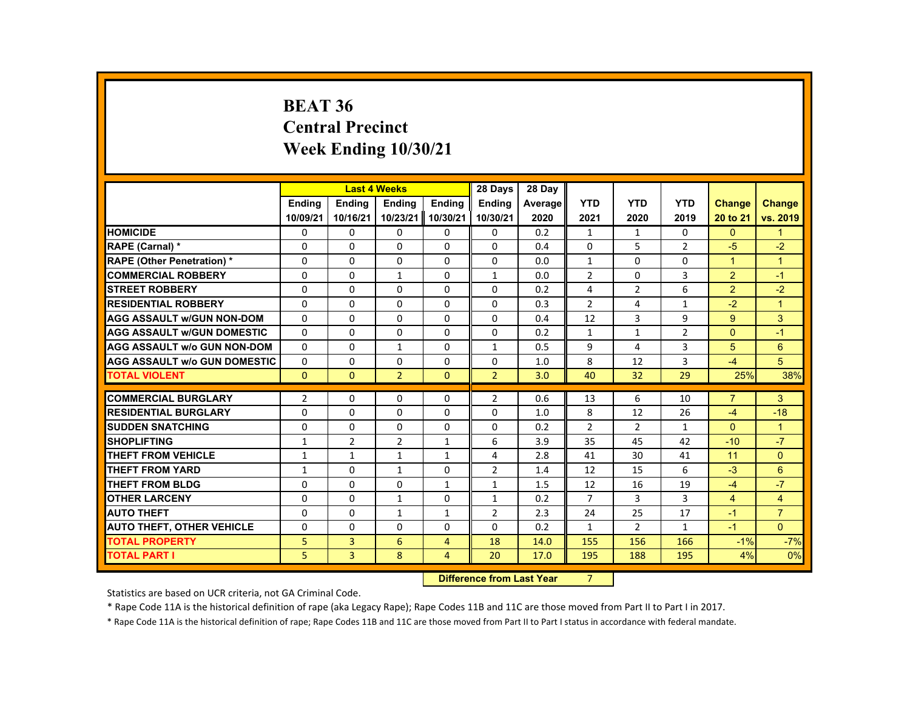# **BEAT 36 Central Precinct Week Ending 10/30/21**

|                                     |                |                | <b>Last 4 Weeks</b> |                | 28 Days                          | 28 Day         |                |                |                |                |                |
|-------------------------------------|----------------|----------------|---------------------|----------------|----------------------------------|----------------|----------------|----------------|----------------|----------------|----------------|
|                                     | <b>Endina</b>  | <b>Ending</b>  | <b>Ending</b>       | <b>Endina</b>  | <b>Endina</b>                    | <b>Average</b> | <b>YTD</b>     | <b>YTD</b>     | <b>YTD</b>     | Change         | <b>Change</b>  |
|                                     | 10/09/21       | 10/16/21       | 10/23/21            | 10/30/21       | 10/30/21                         | 2020           | 2021           | 2020           | 2019           | 20 to 21       | vs. 2019       |
| <b>HOMICIDE</b>                     | 0              | 0              | 0                   | 0              | 0                                | 0.2            | 1              | $\mathbf{1}$   | 0              | $\mathbf{0}$   | $\mathbf{1}$   |
| RAPE (Carnal) *                     | $\Omega$       | $\Omega$       | $\Omega$            | $\Omega$       | $\Omega$                         | 0.4            | $\Omega$       | 5              | $\mathcal{P}$  | $-5$           | $-2$           |
| <b>RAPE (Other Penetration) *</b>   | 0              | 0              | 0                   | 0              | 0                                | 0.0            | $\mathbf{1}$   | 0              | 0              | $\overline{1}$ | $\mathbf{1}$   |
| <b>COMMERCIAL ROBBERY</b>           | 0              | 0              | 1                   | 0              | 1                                | 0.0            | $\overline{2}$ | $\Omega$       | 3              | 2              | $-1$           |
| <b>STREET ROBBERY</b>               | $\Omega$       | $\Omega$       | $\Omega$            | $\Omega$       | $\Omega$                         | 0.2            | 4              | $\overline{2}$ | 6              | $\overline{2}$ | $-2$           |
| <b>RESIDENTIAL ROBBERY</b>          | $\Omega$       | $\Omega$       | $\Omega$            | 0              | 0                                | 0.3            | $\overline{2}$ | 4              | $\mathbf{1}$   | $-2$           | $\overline{1}$ |
| <b>AGG ASSAULT w/GUN NON-DOM</b>    | 0              | 0              | $\Omega$            | 0              | 0                                | 0.4            | 12             | 3              | 9              | $9^{\circ}$    | 3              |
| <b>AGG ASSAULT W/GUN DOMESTIC</b>   | $\Omega$       | $\Omega$       | $\Omega$            | $\Omega$       | $\Omega$                         | 0.2            | $\mathbf{1}$   | $\mathbf{1}$   | $\overline{2}$ | $\Omega$       | $-1$           |
| <b>AGG ASSAULT w/o GUN NON-DOM</b>  | 0              | $\Omega$       | $\mathbf{1}$        | $\Omega$       | $\mathbf{1}$                     | 0.5            | 9              | 4              | 3              | 5              | 6              |
| <b>AGG ASSAULT w/o GUN DOMESTIC</b> | $\Omega$       | $\Omega$       | $\Omega$            | $\Omega$       | $\Omega$                         | 1.0            | 8              | 12             | 3              | $-4$           | 5              |
| <b>TOTAL VIOLENT</b>                | $\Omega$       | $\Omega$       | $\overline{2}$      | $\Omega$       | $\overline{2}$                   | 3.0            | 40             | 32             | 29             | 25%            | 38%            |
| <b>COMMERCIAL BURGLARY</b>          | $\overline{2}$ | $\Omega$       | $\Omega$            | $\Omega$       | $\overline{2}$                   | 0.6            | 13             | 6              | 10             | $\overline{7}$ | 3              |
| <b>RESIDENTIAL BURGLARY</b>         | 0              | $\Omega$       | 0                   | 0              | $\Omega$                         | 1.0            | 8              | 12             | 26             | $-4$           | $-18$          |
| <b>SUDDEN SNATCHING</b>             | $\Omega$       | $\Omega$       | $\Omega$            | 0              | $\Omega$                         | 0.2            | $\overline{2}$ | $\overline{2}$ | $\mathbf{1}$   | $\Omega$       | $\mathbf{1}$   |
| <b>SHOPLIFTING</b>                  | $\mathbf{1}$   | $\overline{2}$ | 2                   | $\mathbf{1}$   | 6                                | 3.9            | 35             | 45             | 42             | $-10$          | $-7$           |
| <b>THEFT FROM VEHICLE</b>           | 1              | $\mathbf{1}$   | $\mathbf{1}$        | $\mathbf{1}$   | 4                                | 2.8            | 41             | 30             | 41             | 11             | $\Omega$       |
| <b>THEFT FROM YARD</b>              | $\mathbf{1}$   | 0              | $\mathbf{1}$        | 0              | $\overline{2}$                   | 1.4            | 12             | 15             | 6              | $-3$           | $6\phantom{1}$ |
| <b>THEFT FROM BLDG</b>              | $\Omega$       | $\Omega$       | $\Omega$            | $\mathbf{1}$   | $\mathbf{1}$                     | 1.5            | 12             | 16             | 19             | $-4$           | $-7$           |
| <b>OTHER LARCENY</b>                | $\Omega$       | $\Omega$       | $\mathbf{1}$        | $\Omega$       | $\mathbf{1}$                     | 0.2            | $\overline{7}$ | 3              | 3              | $\overline{4}$ | $\overline{4}$ |
| <b>AUTO THEFT</b>                   | $\Omega$       | $\Omega$       | $\mathbf{1}$        | $\mathbf{1}$   | $\overline{2}$                   | 2.3            | 24             | 25             | 17             | $-1$           | $\overline{7}$ |
| <b>AUTO THEFT, OTHER VEHICLE</b>    | $\Omega$       | $\Omega$       | $\Omega$            | $\Omega$       | $\Omega$                         | 0.2            | $\mathbf{1}$   | $\overline{2}$ | $\mathbf{1}$   | $-1$           | $\Omega$       |
| <b>TOTAL PROPERTY</b>               | 5              | 3              | 6                   | 4              | 18                               | 14.0           | 155            | 156            | 166            | $-1%$          | $-7%$          |
| <b>TOTAL PART I</b>                 | 5              | 3              | 8                   | $\overline{4}$ | 20                               | 17.0           | 195            | 188            | 195            | 4%             | 0%             |
|                                     |                |                |                     |                | <b>Difference from Last Year</b> |                | 7              |                |                |                |                |

 **Difference from Last Year**

Statistics are based on UCR criteria, not GA Criminal Code.

\* Rape Code 11A is the historical definition of rape (aka Legacy Rape); Rape Codes 11B and 11C are those moved from Part II to Part I in 2017.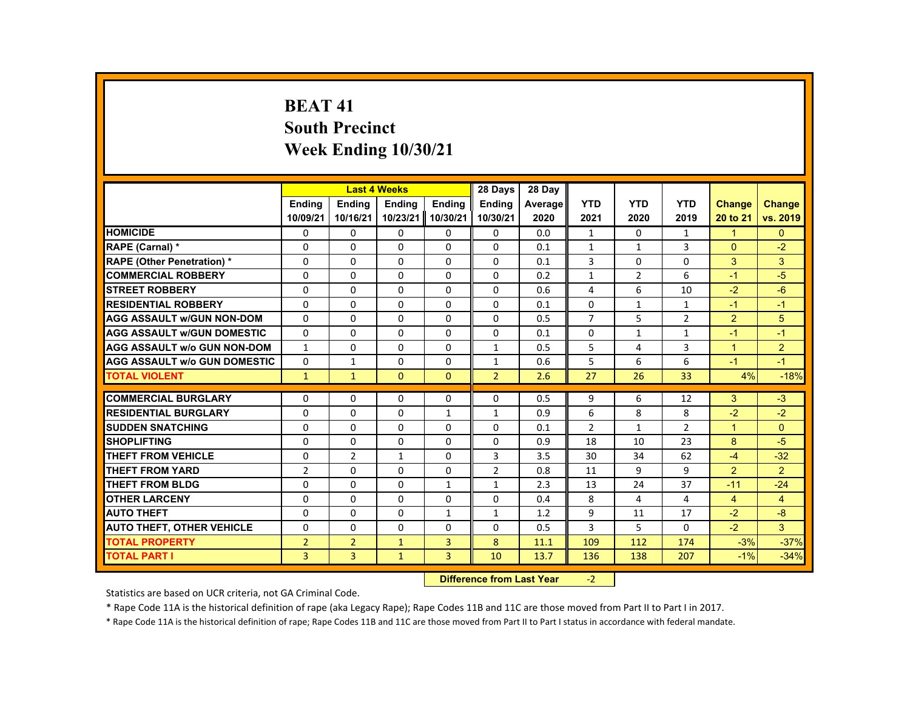# **BEAT 41 South Precinct Week Ending 10/30/21**

|                                     |                |                | <b>Last 4 Weeks</b> |                   | 28 Days        | 28 Day  |                |                |                |                |                |
|-------------------------------------|----------------|----------------|---------------------|-------------------|----------------|---------|----------------|----------------|----------------|----------------|----------------|
|                                     | <b>Ending</b>  | <b>Endina</b>  | <b>Ending</b>       | <b>Ending</b>     | <b>Ending</b>  | Average | <b>YTD</b>     | <b>YTD</b>     | <b>YTD</b>     | <b>Change</b>  | Change         |
|                                     | 10/09/21       | 10/16/21       |                     | 10/23/21 10/30/21 | 10/30/21       | 2020    | 2021           | 2020           | 2019           | 20 to 21       | vs. 2019       |
| <b>HOMICIDE</b>                     | 0              | 0              | 0                   | 0                 | 0              | 0.0     | 1              | 0              | $\mathbf{1}$   | 1              | $\mathbf{0}$   |
| RAPE (Carnal) *                     | $\Omega$       | $\Omega$       | $\Omega$            | $\Omega$          | $\Omega$       | 0.1     | $\mathbf{1}$   | $\mathbf{1}$   | 3              | $\Omega$       | $-2$           |
| <b>RAPE (Other Penetration) *</b>   | $\Omega$       | $\Omega$       | $\Omega$            | $\Omega$          | $\Omega$       | 0.1     | 3              | $\Omega$       | $\Omega$       | 3              | 3              |
| <b>COMMERCIAL ROBBERY</b>           | 0              | 0              | 0                   | 0                 | 0              | 0.2     | $\mathbf{1}$   | $\overline{2}$ | 6              | $-1$           | $-5$           |
| <b>STREET ROBBERY</b>               | $\Omega$       | $\Omega$       | $\Omega$            | $\Omega$          | $\Omega$       | 0.6     | 4              | 6              | 10             | $-2$           | $-6$           |
| <b>RESIDENTIAL ROBBERY</b>          | $\Omega$       | $\Omega$       | $\Omega$            | $\Omega$          | $\Omega$       | 0.1     | $\Omega$       | $\mathbf{1}$   | $\mathbf{1}$   | $-1$           | $-1$           |
| <b>AGG ASSAULT w/GUN NON-DOM</b>    | $\Omega$       | $\Omega$       | $\Omega$            | $\Omega$          | $\Omega$       | 0.5     | $\overline{7}$ | 5              | $\overline{2}$ | 2              | 5              |
| <b>AGG ASSAULT w/GUN DOMESTIC</b>   | $\Omega$       | $\Omega$       | $\Omega$            | $\Omega$          | $\Omega$       | 0.1     | $\Omega$       | $\mathbf{1}$   | $\mathbf{1}$   | $-1$           | $-1$           |
| <b>AGG ASSAULT w/o GUN NON-DOM</b>  | $\mathbf{1}$   | $\Omega$       | $\Omega$            | $\Omega$          | $\mathbf{1}$   | 0.5     | 5              | 4              | 3              | $\overline{1}$ | $\overline{2}$ |
| <b>AGG ASSAULT w/o GUN DOMESTIC</b> | $\Omega$       | $\mathbf{1}$   | $\Omega$            | $\Omega$          | $\mathbf{1}$   | 0.6     | 5              | 6              | 6              | $-1$           | $-1$           |
| <b>TOTAL VIOLENT</b>                | $\mathbf{1}$   | $\mathbf{1}$   | $\mathbf{0}$        | $\Omega$          | $\overline{2}$ | 2.6     | 27             | 26             | 33             | 4%             | $-18%$         |
|                                     |                |                |                     |                   |                |         |                |                |                |                |                |
| <b>COMMERCIAL BURGLARY</b>          | $\Omega$       | $\Omega$       | $\Omega$            | $\Omega$          | $\Omega$       | 0.5     | 9              | 6              | 12             | 3              | $-3$           |
| <b>RESIDENTIAL BURGLARY</b>         | $\Omega$       | $\Omega$       | $\Omega$            | $\mathbf{1}$      | $\mathbf{1}$   | 0.9     | 6              | 8              | 8              | $-2$           | $-2$           |
| <b>SUDDEN SNATCHING</b>             | $\Omega$       | $\Omega$       | $\Omega$            | $\Omega$          | $\Omega$       | 0.1     | $\overline{2}$ | $\mathbf{1}$   | $\overline{2}$ | $\overline{1}$ | $\Omega$       |
| <b>SHOPLIFTING</b>                  | $\Omega$       | $\Omega$       | $\Omega$            | $\Omega$          | $\Omega$       | 0.9     | 18             | 10             | 23             | 8              | $-5$           |
| <b>THEFT FROM VEHICLE</b>           | $\Omega$       | $\overline{2}$ | $\mathbf{1}$        | $\Omega$          | 3              | 3.5     | 30             | 34             | 62             | $-4$           | $-32$          |
| <b>THEFT FROM YARD</b>              | $\overline{2}$ | $\Omega$       | $\Omega$            | $\Omega$          | $\overline{2}$ | 0.8     | 11             | 9              | 9              | 2              | $\overline{2}$ |
| <b>THEFT FROM BLDG</b>              | $\Omega$       | $\Omega$       | $\Omega$            | $\mathbf{1}$      | $\mathbf{1}$   | 2.3     | 13             | 24             | 37             | $-11$          | $-24$          |
| <b>OTHER LARCENY</b>                | 0              | 0              | 0                   | 0                 | 0              | 0.4     | 8              | 4              | 4              | $\overline{4}$ | $\overline{4}$ |
| <b>AUTO THEFT</b>                   | $\Omega$       | $\Omega$       | $\Omega$            | $\mathbf{1}$      | $\mathbf{1}$   | 1.2     | 9              | 11             | 17             | $-2$           | $-8$           |
| <b>AUTO THEFT, OTHER VEHICLE</b>    | $\Omega$       | $\Omega$       | $\Omega$            | $\Omega$          | $\Omega$       | 0.5     | 3              | 5              | $\Omega$       | $-2$           | 3              |
| <b>TOTAL PROPERTY</b>               | $\overline{2}$ | $\overline{2}$ | $\mathbf{1}$        | 3                 | 8              | 11.1    | 109            | 112            | 174            | $-3%$          | $-37%$         |
| <b>TOTAL PART I</b>                 | $\overline{3}$ | $\overline{3}$ | $\mathbf{1}$        | $\overline{3}$    | 10             | 13.7    | 136            | 138            | 207            | $-1%$          | $-34%$         |

#### **Difference from Last Year**r -2

Statistics are based on UCR criteria, not GA Criminal Code.

\* Rape Code 11A is the historical definition of rape (aka Legacy Rape); Rape Codes 11B and 11C are those moved from Part II to Part I in 2017.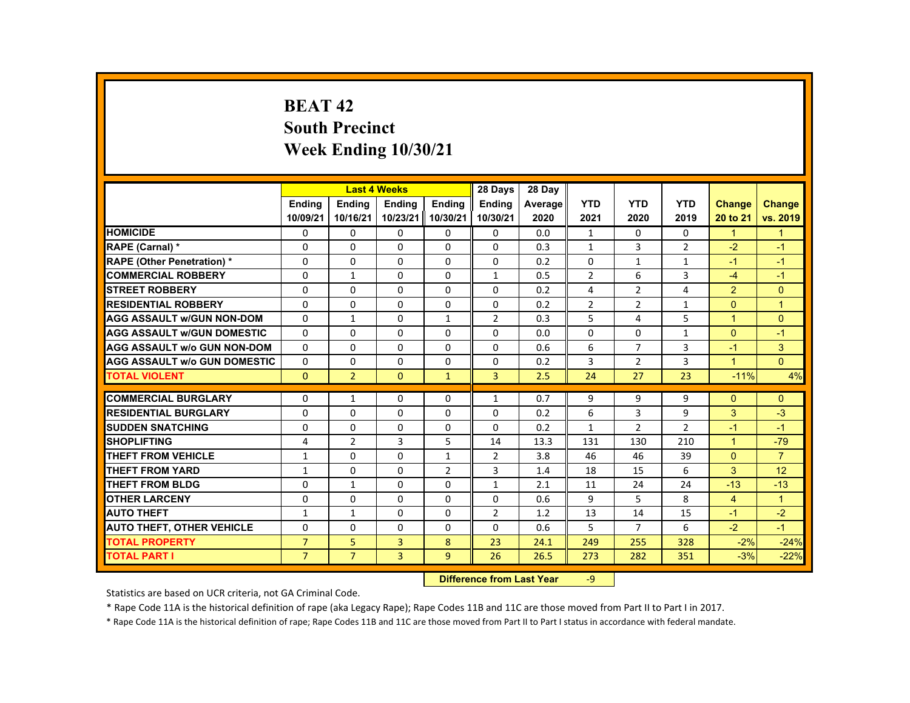# **BEAT 42 South Precinct Week Ending 10/30/21**

|                                     |                |                | <b>Last 4 Weeks</b> |                | 28 Days        | 28 Day  |                |                |                |                |                |
|-------------------------------------|----------------|----------------|---------------------|----------------|----------------|---------|----------------|----------------|----------------|----------------|----------------|
|                                     | <b>Endina</b>  | <b>Endina</b>  | <b>Endina</b>       | <b>Endina</b>  | <b>Endina</b>  | Average | <b>YTD</b>     | <b>YTD</b>     | <b>YTD</b>     | <b>Change</b>  | <b>Change</b>  |
|                                     | 10/09/21       | 10/16/21       | 10/23/21            | 10/30/21       | 10/30/21       | 2020    | 2021           | 2020           | 2019           | 20 to 21       | vs. 2019       |
| <b>HOMICIDE</b>                     | 0              | 0              | 0                   | $\mathbf{0}$   | $\mathbf{0}$   | 0.0     | $\mathbf{1}$   | 0              | $\mathbf{0}$   | $\mathbf{1}$   | $\mathbf{1}$   |
| <b>RAPE (Carnal) *</b>              | $\Omega$       | $\Omega$       | $\Omega$            | $\Omega$       | $\Omega$       | 0.3     | $\mathbf{1}$   | 3              | $\overline{2}$ | $-2$           | $-1$           |
| <b>RAPE (Other Penetration) *</b>   | $\Omega$       | $\Omega$       | $\Omega$            | $\Omega$       | $\Omega$       | 0.2     | $\Omega$       | $\mathbf{1}$   | $\mathbf{1}$   | $-1$           | $-1$           |
| <b>COMMERCIAL ROBBERY</b>           | 0              | $\mathbf{1}$   | 0                   | 0              | $\mathbf{1}$   | 0.5     | $\overline{2}$ | 6              | 3              | $-4$           | $-1$           |
| <b>STREET ROBBERY</b>               | 0              | $\Omega$       | $\Omega$            | $\Omega$       | $\Omega$       | 0.2     | 4              | $\overline{2}$ | 4              | $\overline{2}$ | $\Omega$       |
| <b>RESIDENTIAL ROBBERY</b>          | $\Omega$       | $\Omega$       | $\Omega$            | $\Omega$       | $\Omega$       | 0.2     | $\overline{2}$ | $\overline{2}$ | 1              | $\Omega$       | $\overline{1}$ |
| <b>AGG ASSAULT w/GUN NON-DOM</b>    | $\Omega$       | $\mathbf{1}$   | $\Omega$            | $\mathbf{1}$   | $\overline{2}$ | 0.3     | 5              | 4              | 5.             | $\mathbf{1}$   | $\Omega$       |
| <b>AGG ASSAULT W/GUN DOMESTIC</b>   | $\Omega$       | $\Omega$       | $\Omega$            | $\Omega$       | $\Omega$       | 0.0     | 0              | $\Omega$       | $\mathbf{1}$   | $\Omega$       | $-1$           |
| <b>AGG ASSAULT W/o GUN NON-DOM</b>  | $\Omega$       | $\Omega$       | $\Omega$            | $\Omega$       | $\Omega$       | 0.6     | 6              | $\overline{7}$ | 3              | $-1$           | 3              |
| <b>AGG ASSAULT W/o GUN DOMESTIC</b> | $\Omega$       | $\Omega$       | $\Omega$            | $\Omega$       | $\Omega$       | 0.2     | 3              | 2              | 3              | $\mathbf{1}$   | $\Omega$       |
| <b>TOTAL VIOLENT</b>                | $\mathbf{0}$   | $\overline{2}$ | $\mathbf{0}$        | $\mathbf{1}$   | 3              | 2.5     | 24             | 27             | 23             | $-11%$         | 4%             |
|                                     |                |                |                     |                |                |         |                |                |                |                |                |
| <b>COMMERCIAL BURGLARY</b>          | $\Omega$       | $\mathbf{1}$   | $\Omega$            | $\Omega$       | $\mathbf{1}$   | 0.7     | 9              | 9              | 9              | $\Omega$       | $\Omega$       |
| <b>RESIDENTIAL BURGLARY</b>         | $\Omega$       | $\Omega$       | $\Omega$            | $\Omega$       | $\Omega$       | 0.2     | 6              | 3              | 9              | 3              | $-3$           |
| <b>SUDDEN SNATCHING</b>             | $\Omega$       | $\Omega$       | $\Omega$            | $\Omega$       | $\Omega$       | 0.2     | $\mathbf{1}$   | $\overline{2}$ | $\overline{2}$ | $-1$           | $-1$           |
| <b>SHOPLIFTING</b>                  | 4              | $\overline{2}$ | 3                   | 5              | 14             | 13.3    | 131            | 130            | 210            | $\mathbf{1}$   | $-79$          |
| <b>THEFT FROM VEHICLE</b>           | $\mathbf{1}$   | $\Omega$       | $\Omega$            | $\mathbf{1}$   | $\overline{2}$ | 3.8     | 46             | 46             | 39             | $\Omega$       | $\overline{7}$ |
| <b>THEFT FROM YARD</b>              | $\mathbf{1}$   | $\Omega$       | $\Omega$            | $\overline{2}$ | 3              | 1.4     | 18             | 15             | 6              | 3              | 12             |
| THEFT FROM BLDG                     | $\Omega$       | $\mathbf{1}$   | $\Omega$            | $\Omega$       | $\mathbf{1}$   | 2.1     | 11             | 24             | 24             | $-13$          | $-13$          |
| <b>OTHER LARCENY</b>                | 0              | 0              | 0                   | $\mathbf{0}$   | $\Omega$       | 0.6     | 9              | 5              | 8              | $\overline{4}$ | $\mathbf{1}$   |
| <b>AUTO THEFT</b>                   | $\mathbf{1}$   | $\mathbf{1}$   | 0                   | 0              | 2              | 1.2     | 13             | 14             | 15             | $-1$           | $-2$           |
| <b>AUTO THEFT, OTHER VEHICLE</b>    | 0              | 0              | $\Omega$            | 0              | 0              | 0.6     | 5              | $\overline{7}$ | 6              | $-2$           | $-1$           |
| <b>TOTAL PROPERTY</b>               | $\overline{7}$ | 5              | 3                   | 8              | 23             | 24.1    | 249            | 255            | 328            | $-2%$          | $-24%$         |
| TOTAL PART I                        | $\overline{7}$ | $\overline{7}$ | $\overline{3}$      | 9              | 26             | 26.5    | 273            | 282            | 351            | $-3%$          | $-22%$         |

#### **Difference from Last Year**‐9

Statistics are based on UCR criteria, not GA Criminal Code.

\* Rape Code 11A is the historical definition of rape (aka Legacy Rape); Rape Codes 11B and 11C are those moved from Part II to Part I in 2017.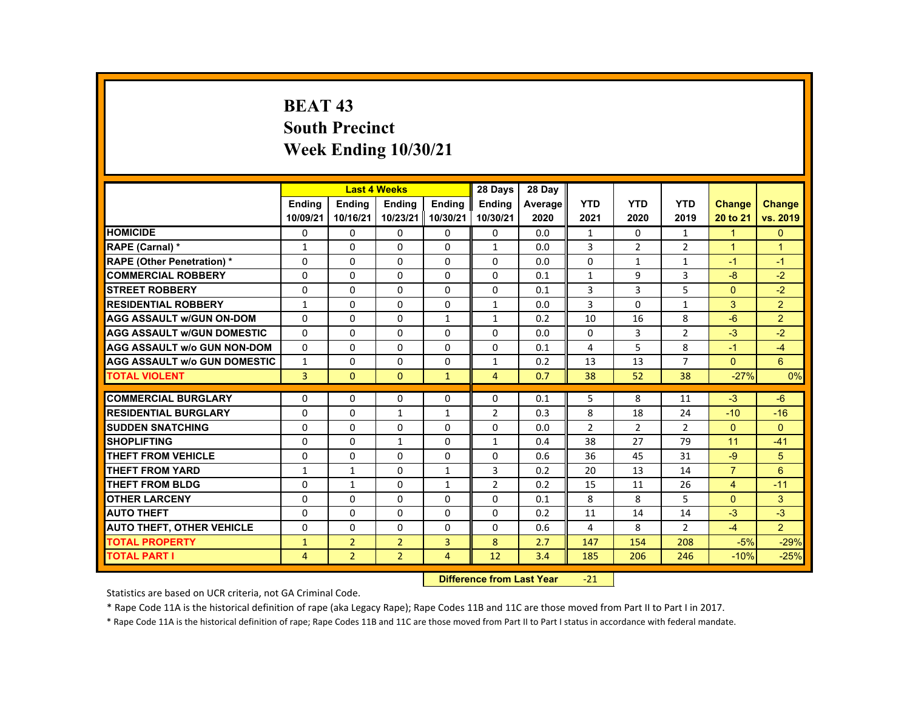# **BEAT 43 South Precinct Week Ending 10/30/21**

| <b>HOMICIDE</b>                               |                | <b>Endina</b><br><b>Endina</b><br><b>Endina</b><br><b>Endina</b><br>10/09/21<br>10/23/21<br>10/30/21<br>10/16/21<br>0 |                |                |                |         |                |              |                |                |                |
|-----------------------------------------------|----------------|-----------------------------------------------------------------------------------------------------------------------|----------------|----------------|----------------|---------|----------------|--------------|----------------|----------------|----------------|
|                                               |                |                                                                                                                       |                |                | <b>Endina</b>  | Average | <b>YTD</b>     | <b>YTD</b>   | <b>YTD</b>     | <b>Change</b>  | Change         |
|                                               |                |                                                                                                                       |                |                | 10/30/21       | 2020    | 2021           | 2020         | 2019           | 20 to 21       | vs. 2019       |
|                                               |                | 0                                                                                                                     | 0              | 0              | 0              | 0.0     | $\mathbf{1}$   | 0            | $\mathbf{1}$   | $\blacksquare$ | $\mathbf{0}$   |
| RAPE (Carnal) *                               | 1              | $\Omega$                                                                                                              | $\Omega$       | $\Omega$       | $\mathbf{1}$   | 0.0     | 3              | 2            | $\overline{2}$ | $\overline{1}$ | $\overline{1}$ |
| <b>RAPE (Other Penetration) *</b><br>$\Omega$ |                | $\Omega$                                                                                                              | $\Omega$       | $\Omega$       | $\Omega$       | 0.0     | $\Omega$       | $\mathbf{1}$ | $\mathbf{1}$   | $-1$           | $-1$           |
| <b>COMMERCIAL ROBBERY</b>                     | 0              | 0                                                                                                                     | 0              | 0              | 0              | 0.1     | $\mathbf{1}$   | 9            | 3              | $-8$           | $-2$           |
| <b>STREET ROBBERY</b><br>$\Omega$             |                | $\Omega$                                                                                                              | $\Omega$       | $\Omega$       | $\Omega$       | 0.1     | 3              | 3            | 5              | $\Omega$       | $-2$           |
| <b>RESIDENTIAL ROBBERY</b><br>$\mathbf{1}$    |                | $\Omega$                                                                                                              | $\Omega$       | $\Omega$       | $\mathbf{1}$   | 0.0     | 3              | $\Omega$     | $\mathbf{1}$   | 3              | $\overline{2}$ |
| <b>AGG ASSAULT w/GUN ON-DOM</b>               | $\Omega$       | 0                                                                                                                     | $\Omega$       | $\mathbf{1}$   | $\mathbf{1}$   | 0.2     | 10             | 16           | 8              | $-6$           | 2              |
| <b>AGG ASSAULT w/GUN DOMESTIC</b>             | $\Omega$       | $\Omega$                                                                                                              | $\Omega$       | $\Omega$       | $\Omega$       | 0.0     | $\Omega$       | 3            | $\overline{2}$ | $-3$           | $-2$           |
| <b>AGG ASSAULT w/o GUN NON-DOM</b>            | $\Omega$       | $\Omega$                                                                                                              | $\Omega$       | $\Omega$       | $\Omega$       | 0.1     | 4              | 5            | 8              | $-1$           | $-4$           |
| <b>AGG ASSAULT W/o GUN DOMESTIC</b>           | $\mathbf{1}$   | $\Omega$                                                                                                              | $\Omega$       | $\Omega$       | $\mathbf{1}$   | 0.2     | 13             | 13           | $\overline{7}$ | $\Omega$       | 6              |
| <b>TOTAL VIOLENT</b>                          | $\overline{3}$ | $\mathbf{0}$                                                                                                          | $\mathbf{0}$   | $\mathbf{1}$   | $\overline{4}$ | 0.7     | 38             | 52           | 38             | $-27%$         | 0%             |
|                                               |                |                                                                                                                       |                |                |                |         |                |              |                |                |                |
| <b>COMMERCIAL BURGLARY</b>                    | $\Omega$       | $\Omega$                                                                                                              | $\Omega$       | $\Omega$       | $\Omega$       | 0.1     | 5              | 8            | 11             | $-3$           | $-6$           |
| <b>RESIDENTIAL BURGLARY</b><br>$\Omega$       |                | 0                                                                                                                     | $\mathbf{1}$   | $\mathbf{1}$   | 2              | 0.3     | 8              | 18           | 24             | $-10$          | $-16$          |
| <b>SUDDEN SNATCHING</b><br>$\Omega$           |                | $\Omega$                                                                                                              | $\Omega$       | $\Omega$       | $\Omega$       | 0.0     | $\overline{2}$ | 2            | $\overline{2}$ | $\Omega$       | $\Omega$       |
| <b>SHOPLIFTING</b><br>$\Omega$                |                | $\Omega$                                                                                                              | $\mathbf{1}$   | $\Omega$       | $\mathbf{1}$   | 0.4     | 38             | 27           | 79             | 11             | $-41$          |
| <b>THEFT FROM VEHICLE</b><br>$\Omega$         |                | 0                                                                                                                     | $\Omega$       | 0              | $\Omega$       | 0.6     | 36             | 45           | 31             | $-9$           | 5              |
| <b>THEFT FROM YARD</b><br>$\mathbf{1}$        |                | $\mathbf{1}$                                                                                                          | $\Omega$       | $\mathbf{1}$   | 3              | 0.2     | 20             | 13           | 14             | $\overline{7}$ | 6              |
| <b>THEFT FROM BLDG</b>                        | $\Omega$       | $\mathbf{1}$                                                                                                          | $\Omega$       | $\mathbf{1}$   | 2              | 0.2     | 15             | 11           | 26             | $\overline{4}$ | $-11$          |
| <b>OTHER LARCENY</b>                          | 0              | $\Omega$                                                                                                              | $\Omega$       | $\Omega$       | $\Omega$       | 0.1     | 8              | 8            | 5              | $\Omega$       | 3              |
| <b>AUTO THEFT</b><br>$\Omega$                 |                | $\Omega$                                                                                                              | $\Omega$       | $\Omega$       | $\Omega$       | 0.2     | 11             | 14           | 14             | $-3$           | $-3$           |
| <b>AUTO THEFT, OTHER VEHICLE</b>              | $\Omega$       | $\Omega$                                                                                                              | $\Omega$       | $\Omega$       | $\Omega$       | 0.6     | 4              | 8            | $\mathcal{P}$  | $-4$           | $\mathcal{P}$  |
| <b>TOTAL PROPERTY</b><br>$\mathbf{1}$         |                | $\overline{2}$                                                                                                        | $\overline{2}$ | 3              | 8              | 2.7     | 147            | 154          | 208            | $-5%$          | $-29%$         |
| <b>TOTAL PART I</b>                           | $\overline{4}$ | $\overline{2}$                                                                                                        | $\overline{2}$ | $\overline{4}$ | 12             | 3.4     | 185            | 206          | 246            | $-10%$         | $-25%$         |

#### **Difference from Last Year**‐21

Statistics are based on UCR criteria, not GA Criminal Code.

\* Rape Code 11A is the historical definition of rape (aka Legacy Rape); Rape Codes 11B and 11C are those moved from Part II to Part I in 2017.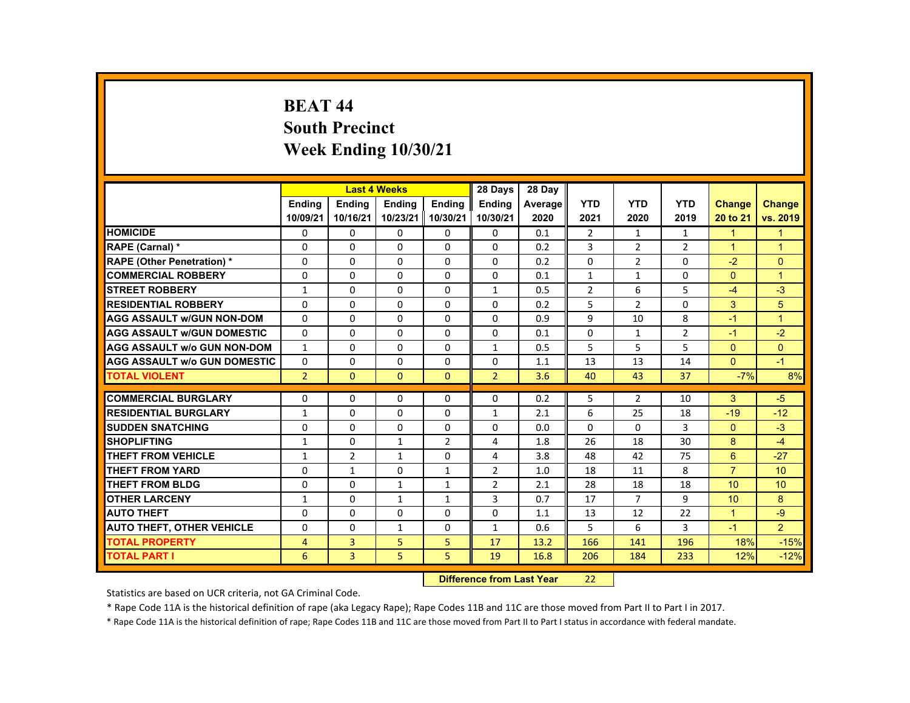# **BEAT 44 South Precinct Week Ending 10/30/21**

|                                     |                |                | <b>Last 4 Weeks</b> |                | 28 Days        | 28 Day  |                |                |                |                      |                      |
|-------------------------------------|----------------|----------------|---------------------|----------------|----------------|---------|----------------|----------------|----------------|----------------------|----------------------|
|                                     | <b>Endina</b>  | <b>Endina</b>  | <b>Endina</b>       | <b>Endina</b>  | <b>Endina</b>  | Average | <b>YTD</b>     | <b>YTD</b>     | <b>YTD</b>     | <b>Change</b>        | Change               |
|                                     | 10/09/21       | 10/16/21       | 10/23/21 10/30/21   |                | 10/30/21       | 2020    | 2021           | 2020           | 2019           | 20 to 21             | vs. 2019             |
| <b>HOMICIDE</b>                     | 0              | 0              | 0                   | 0              | 0              | 0.1     | $\overline{2}$ | $\mathbf{1}$   | $\mathbf{1}$   | $\blacktriangleleft$ | 1                    |
| <b>RAPE (Carnal) *</b>              | $\Omega$       | $\Omega$       | $\Omega$            | $\Omega$       | $\Omega$       | 0.2     | 3              | 2              | $\overline{2}$ | $\blacktriangleleft$ | 1                    |
| <b>RAPE (Other Penetration) *</b>   | $\Omega$       | $\Omega$       | $\Omega$            | $\Omega$       | $\Omega$       | 0.2     | $\Omega$       | $\overline{2}$ | $\Omega$       | $-2$                 | $\Omega$             |
| <b>COMMERCIAL ROBBERY</b>           | $\Omega$       | $\Omega$       | $\Omega$            | $\Omega$       | $\Omega$       | 0.1     | $\mathbf{1}$   | $\mathbf{1}$   | $\Omega$       | $\Omega$             | $\overline{1}$       |
| <b>STREET ROBBERY</b>               | $\mathbf{1}$   | $\Omega$       | $\Omega$            | $\Omega$       | $\mathbf{1}$   | 0.5     | $\overline{2}$ | 6              | 5              | $-4$                 | $-3$                 |
| <b>RESIDENTIAL ROBBERY</b>          | $\Omega$       | $\Omega$       | $\Omega$            | $\Omega$       | $\Omega$       | 0.2     | 5              | 2              | $\Omega$       | 3                    | 5                    |
| <b>AGG ASSAULT w/GUN NON-DOM</b>    | $\Omega$       | $\Omega$       | $\Omega$            | $\Omega$       | $\Omega$       | 0.9     | 9              | 10             | 8              | $-1$                 | $\blacktriangleleft$ |
| <b>AGG ASSAULT w/GUN DOMESTIC</b>   | $\Omega$       | $\Omega$       | $\Omega$            | 0              | 0              | 0.1     | $\Omega$       | 1              | $\overline{2}$ | $-1$                 | $-2$                 |
| <b>AGG ASSAULT w/o GUN NON-DOM</b>  | $\mathbf{1}$   | $\Omega$       | $\Omega$            | $\Omega$       | $\mathbf{1}$   | 0.5     | 5              | 5              | 5              | $\Omega$             | $\Omega$             |
| <b>AGG ASSAULT W/o GUN DOMESTIC</b> | $\Omega$       | $\Omega$       | $\Omega$            | $\Omega$       | $\Omega$       | 1.1     | 13             | 13             | 14             | $\Omega$             | $-1$                 |
| <b>TOTAL VIOLENT</b>                | 2 <sup>1</sup> | $\Omega$       | $\Omega$            | $\Omega$       | $\overline{2}$ | 3.6     | 40             | 43             | 37             | $-7%$                | 8%                   |
|                                     |                |                |                     |                |                |         |                |                |                |                      |                      |
| <b>COMMERCIAL BURGLARY</b>          | $\Omega$       | $\Omega$       | $\Omega$            | $\Omega$       | $\Omega$       | 0.2     | 5              | $\overline{2}$ | 10             | 3                    | $-5$                 |
| <b>RESIDENTIAL BURGLARY</b>         | $\mathbf{1}$   | $\Omega$       | $\Omega$            | $\Omega$       | 1              | 2.1     | 6              | 25             | 18             | $-19$                | $-12$                |
| <b>SUDDEN SNATCHING</b>             | $\Omega$       | $\Omega$       | $\Omega$            | $\Omega$       | $\Omega$       | 0.0     | $\Omega$       | $\Omega$       | 3              | $\Omega$             | $-3$                 |
| <b>SHOPLIFTING</b>                  | $\mathbf{1}$   | $\Omega$       | $\mathbf{1}$        | $\overline{2}$ | 4              | 1.8     | 26             | 18             | 30             | 8                    | $-4$                 |
| <b>THEFT FROM VEHICLE</b>           | $\mathbf{1}$   | $\overline{2}$ | 1                   | 0              | 4              | 3.8     | 48             | 42             | 75             | 6                    | $-27$                |
| <b>THEFT FROM YARD</b>              | $\Omega$       | $\mathbf{1}$   | $\Omega$            | 1              | 2              | 1.0     | 18             | 11             | 8              | $\overline{7}$       | 10                   |
| <b>THEFT FROM BLDG</b>              | $\Omega$       | $\Omega$       | $\mathbf{1}$        | $\mathbf{1}$   | $\overline{2}$ | 2.1     | 28             | 18             | 18             | 10                   | 10                   |
| <b>OTHER LARCENY</b>                | $\mathbf{1}$   | 0              | $\mathbf{1}$        | $\mathbf{1}$   | 3              | 0.7     | 17             | $\overline{7}$ | 9              | 10                   | 8                    |
| <b>AUTO THEFT</b>                   | $\Omega$       | $\Omega$       | $\Omega$            | $\Omega$       | $\Omega$       | 1.1     | 13             | 12             | 22             | $\blacktriangleleft$ | $-9$                 |
| <b>AUTO THEFT, OTHER VEHICLE</b>    | $\Omega$       | $\Omega$       | $\mathbf{1}$        | $\Omega$       | $\mathbf{1}$   | 0.6     | 5              | 6              | 3              | $-1$                 | $\overline{2}$       |
| <b>TOTAL PROPERTY</b>               | 4              | 3              | 5                   | 5              | 17             | 13.2    | 166            | 141            | 196            | 18%                  | $-15%$               |
| <b>TOTAL PART I</b>                 | 6              | $\overline{3}$ | 5 <sub>1</sub>      | 5              | 19             | 16.8    | 206            | 184            | 233            | 12%                  | $-12%$               |

#### **Difference from Last Year**22

Statistics are based on UCR criteria, not GA Criminal Code.

\* Rape Code 11A is the historical definition of rape (aka Legacy Rape); Rape Codes 11B and 11C are those moved from Part II to Part I in 2017.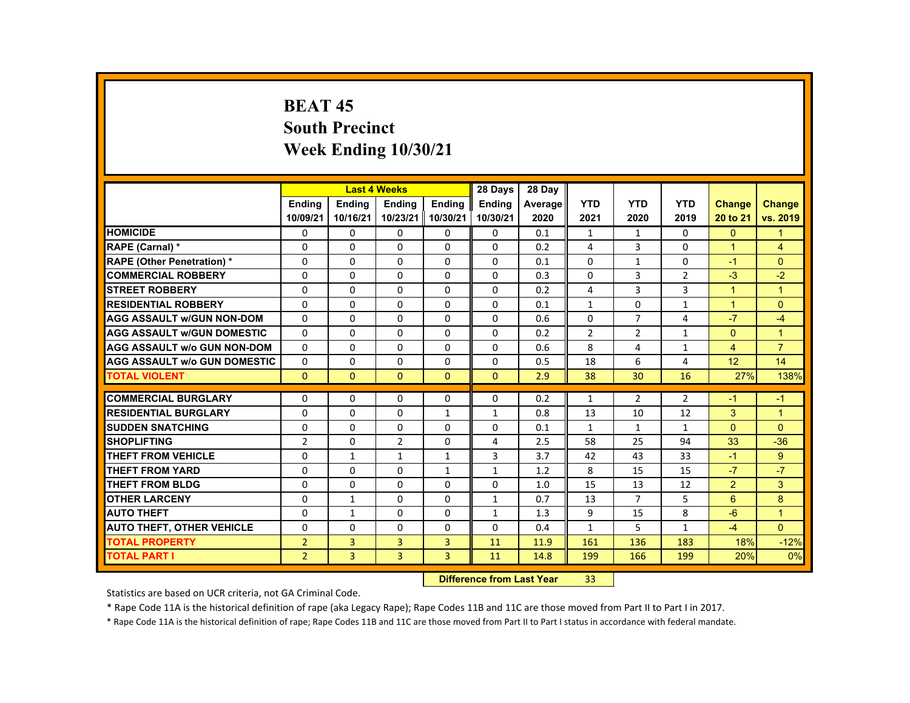# **BEAT 45 South Precinct Week Ending 10/30/21**

|                                     |                |               | <b>Last 4 Weeks</b> |                | 28 Days       | 28 Day  |                |                |                |                      |                      |
|-------------------------------------|----------------|---------------|---------------------|----------------|---------------|---------|----------------|----------------|----------------|----------------------|----------------------|
|                                     | <b>Endina</b>  | <b>Endina</b> | <b>Endina</b>       | <b>Endina</b>  | <b>Endina</b> | Average | <b>YTD</b>     | <b>YTD</b>     | <b>YTD</b>     | <b>Change</b>        | <b>Change</b>        |
|                                     | 10/09/21       | 10/16/21      | 10/23/21            | 10/30/21       | 10/30/21      | 2020    | 2021           | 2020           | 2019           | 20 to 21             | vs. 2019             |
| <b>HOMICIDE</b>                     | 0              | $\mathbf{0}$  | 0                   | 0              | $\Omega$      | 0.1     | 1              | $\mathbf{1}$   | 0              | $\mathbf{0}$         | 1                    |
| RAPE (Carnal) *                     | $\Omega$       | $\Omega$      | $\Omega$            | $\Omega$       | $\Omega$      | 0.2     | 4              | 3              | $\Omega$       | $\overline{1}$       | 4                    |
| <b>RAPE (Other Penetration) *</b>   | $\Omega$       | $\Omega$      | $\Omega$            | $\Omega$       | $\Omega$      | 0.1     | $\Omega$       | $\mathbf{1}$   | $\Omega$       | $-1$                 | $\Omega$             |
| <b>COMMERCIAL ROBBERY</b>           | 0              | $\mathbf{0}$  | 0                   | $\mathbf{0}$   | $\mathbf{0}$  | 0.3     | $\mathbf{0}$   | 3              | $\overline{2}$ | $-3$                 | $-2$                 |
| <b>STREET ROBBERY</b>               | $\Omega$       | $\Omega$      | $\Omega$            | $\Omega$       | $\Omega$      | 0.2     | 4              | 3              | $\overline{3}$ | $\blacktriangleleft$ | $\blacktriangleleft$ |
| <b>RESIDENTIAL ROBBERY</b>          | $\Omega$       | $\Omega$      | $\Omega$            | $\Omega$       | $\Omega$      | 0.1     | $\mathbf{1}$   | $\Omega$       | $\mathbf{1}$   | $\blacktriangleleft$ | $\Omega$             |
| <b>AGG ASSAULT w/GUN NON-DOM</b>    | $\Omega$       | $\mathbf{0}$  | $\Omega$            | 0              | $\Omega$      | 0.6     | $\Omega$       | $\overline{7}$ | 4              | $-7$                 | $-4$                 |
| <b>AGG ASSAULT W/GUN DOMESTIC</b>   | $\Omega$       | $\Omega$      | $\Omega$            | $\Omega$       | $\Omega$      | 0.2     | $\overline{2}$ | $\overline{2}$ | $\mathbf{1}$   | $\Omega$             | $\overline{1}$       |
| <b>AGG ASSAULT w/o GUN NON-DOM</b>  | $\Omega$       | $\Omega$      | $\Omega$            | $\Omega$       | $\Omega$      | 0.6     | 8              | 4              | $\mathbf{1}$   | $\overline{4}$       | $\overline{7}$       |
| <b>AGG ASSAULT W/o GUN DOMESTIC</b> | $\Omega$       | $\Omega$      | $\Omega$            | $\Omega$       | $\Omega$      | 0.5     | 18             | 6              | 4              | 12                   | 14                   |
| <b>TOTAL VIOLENT</b>                | $\mathbf{0}$   | $\mathbf{0}$  | $\Omega$            | $\mathbf{0}$   | $\Omega$      | 2.9     | 38             | 30             | 16             | 27%                  | 138%                 |
|                                     |                |               |                     |                |               |         |                |                |                |                      |                      |
| <b>COMMERCIAL BURGLARY</b>          | $\Omega$       | $\Omega$      | $\Omega$            | $\Omega$       | $\Omega$      | 0.2     | $\mathbf{1}$   | $\overline{2}$ | 2              | $-1$                 | $-1$                 |
| <b>RESIDENTIAL BURGLARY</b>         | $\Omega$       | $\mathbf{0}$  | $\Omega$            | $\mathbf{1}$   | $\mathbf{1}$  | 0.8     | 13             | 10             | 12             | 3                    | $\blacktriangleleft$ |
| <b>SUDDEN SNATCHING</b>             | 0              | $\Omega$      | $\Omega$            | $\Omega$       | $\Omega$      | 0.1     | $\mathbf{1}$   | $\mathbf{1}$   | $\mathbf{1}$   | $\Omega$             | $\Omega$             |
| <b>SHOPLIFTING</b>                  | $\overline{2}$ | $\Omega$      | $\mathcal{P}$       | $\Omega$       | 4             | 2.5     | 58             | 25             | 94             | 33                   | $-36$                |
| <b>THEFT FROM VEHICLE</b>           | $\Omega$       | $\mathbf{1}$  | $\mathbf{1}$        | 1              | 3             | 3.7     | 42             | 43             | 33             | $-1$                 | 9                    |
| <b>THEFT FROM YARD</b>              | $\Omega$       | $\Omega$      | $\Omega$            | $\mathbf{1}$   | $\mathbf{1}$  | 1.2     | 8              | 15             | 15             | $-7$                 | $-7$                 |
| <b>THEFT FROM BLDG</b>              | $\Omega$       | $\Omega$      | $\Omega$            | $\Omega$       | $\Omega$      | 1.0     | 15             | 13             | 12             | $\overline{2}$       | 3                    |
| <b>OTHER LARCENY</b>                | $\Omega$       | $\mathbf{1}$  | $\Omega$            | $\Omega$       | $\mathbf{1}$  | 0.7     | 13             | $\overline{7}$ | 5              | 6                    | 8                    |
| <b>AUTO THEFT</b>                   | $\Omega$       | $\mathbf{1}$  | $\Omega$            | $\Omega$       | $\mathbf{1}$  | 1.3     | 9              | 15             | 8              | $-6$                 | $\overline{1}$       |
| <b>AUTO THEFT, OTHER VEHICLE</b>    | $\Omega$       | $\Omega$      | $\Omega$            | $\Omega$       | $\Omega$      | 0.4     | $\mathbf{1}$   | 5              | $\mathbf{1}$   | $-4$                 | $\Omega$             |
| <b>TOTAL PROPERTY</b>               | $\overline{2}$ | 3             | $\overline{3}$      | $\overline{3}$ | 11            | 11.9    | 161            | 136            | 183            | 18%                  | $-12%$               |
| <b>TOTAL PART I</b>                 | $\overline{2}$ | 3             | $\overline{3}$      | $\overline{3}$ | 11            | 14.8    | 199            | 166            | 199            | 20%                  | 0%                   |
|                                     |                |               |                     |                |               |         |                |                |                |                      |                      |

#### **Difference from Last Year**r 33

Statistics are based on UCR criteria, not GA Criminal Code.

\* Rape Code 11A is the historical definition of rape (aka Legacy Rape); Rape Codes 11B and 11C are those moved from Part II to Part I in 2017.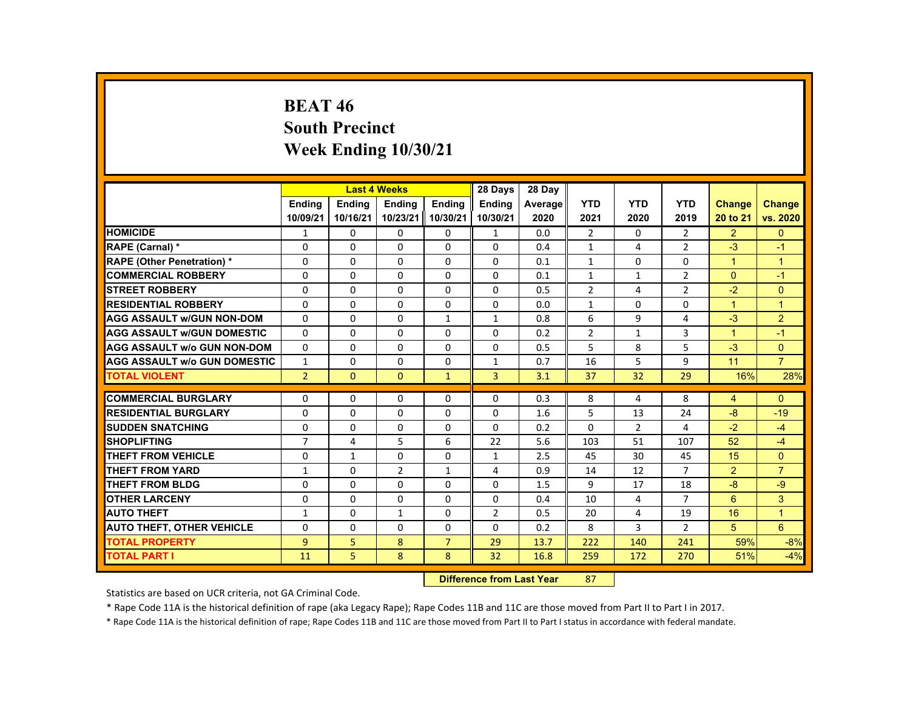# **BEAT 46 South Precinct Week Ending 10/30/21**

|                                     |                |               | <b>Last 4 Weeks</b> |                | 28 Days        | 28 Day  |                |                |                |                      |                |
|-------------------------------------|----------------|---------------|---------------------|----------------|----------------|---------|----------------|----------------|----------------|----------------------|----------------|
|                                     | <b>Endina</b>  | <b>Endina</b> | <b>Endina</b>       | <b>Endina</b>  | <b>Endina</b>  | Average | <b>YTD</b>     | <b>YTD</b>     | <b>YTD</b>     | <b>Change</b>        | <b>Change</b>  |
|                                     | 10/09/21       | 10/16/21      | 10/23/21            | 10/30/21       | 10/30/21       | 2020    | 2021           | 2020           | 2019           | 20 to 21             | vs. 2020       |
| <b>HOMICIDE</b>                     | 1              | $\mathbf{0}$  | 0                   | 0              | $\mathbf{1}$   | 0.0     | $\overline{2}$ | 0              | $\overline{2}$ | $\overline{2}$       | $\mathbf{0}$   |
| <b>RAPE (Carnal) *</b>              | $\Omega$       | $\Omega$      | $\Omega$            | $\Omega$       | $\Omega$       | 0.4     | $\mathbf{1}$   | 4              | $\overline{2}$ | $-3$                 | $-1$           |
| <b>RAPE (Other Penetration) *</b>   | $\Omega$       | $\Omega$      | $\Omega$            | $\Omega$       | $\Omega$       | 0.1     | $\mathbf{1}$   | $\Omega$       | $\Omega$       | $\mathbf{1}$         | $\overline{1}$ |
| <b>COMMERCIAL ROBBERY</b>           | 0              | $\mathbf{0}$  | 0                   | 0              | 0              | 0.1     | $\mathbf{1}$   | $\mathbf{1}$   | $\overline{2}$ | $\Omega$             | $-1$           |
| <b>STREET ROBBERY</b>               | 0              | $\Omega$      | $\Omega$            | $\Omega$       | $\Omega$       | 0.5     | $\overline{2}$ | 4              | $\overline{2}$ | $-2$                 | $\Omega$       |
| <b>RESIDENTIAL ROBBERY</b>          | $\Omega$       | $\Omega$      | $\Omega$            | $\Omega$       | $\Omega$       | 0.0     | $\mathbf{1}$   | $\Omega$       | $\Omega$       | $\mathbf{1}$         | $\overline{1}$ |
| <b>AGG ASSAULT w/GUN NON-DOM</b>    | $\Omega$       | $\mathbf{0}$  | 0                   | $\mathbf{1}$   | $\mathbf{1}$   | 0.8     | 6              | 9              | 4              | $-3$                 | $\overline{2}$ |
| <b>AGG ASSAULT WGUN DOMESTIC</b>    | $\Omega$       | $\Omega$      | $\Omega$            | 0              | 0              | 0.2     | $\overline{2}$ | $\mathbf{1}$   | 3              | $\blacktriangleleft$ | $-1$           |
| <b>AGG ASSAULT W/o GUN NON-DOM</b>  | $\Omega$       | $\mathbf{0}$  | 0                   | $\Omega$       | $\Omega$       | 0.5     | 5              | 8              | 5              | $-3$                 | $\mathbf{0}$   |
| <b>AGG ASSAULT W/o GUN DOMESTIC</b> | $\mathbf{1}$   | $\mathbf{0}$  | $\Omega$            | $\Omega$       | $\mathbf{1}$   | 0.7     | 16             | 5              | 9              | 11                   | $\overline{7}$ |
| <b>TOTAL VIOLENT</b>                | $\overline{2}$ | $\Omega$      | $\Omega$            | $\mathbf{1}$   | $\overline{3}$ | 3.1     | 37             | 32             | 29             | 16%                  | 28%            |
|                                     |                |               |                     |                |                |         |                |                |                |                      |                |
| <b>COMMERCIAL BURGLARY</b>          | $\Omega$       | $\Omega$      | $\Omega$            | $\Omega$       | $\Omega$       | 0.3     | 8              | 4              | 8              | $\overline{4}$       | $\Omega$       |
| <b>RESIDENTIAL BURGLARY</b>         | 0              | $\mathbf{0}$  | 0                   | 0              | 0              | 1.6     | 5              | 13             | 24             | $-8$                 | $-19$          |
| <b>SUDDEN SNATCHING</b>             | $\Omega$       | $\Omega$      | $\Omega$            | $\Omega$       | $\Omega$       | 0.2     | $\Omega$       | $\overline{2}$ | 4              | $-2$                 | $-4$           |
| <b>SHOPLIFTING</b>                  | $\overline{7}$ | 4             | 5                   | 6              | 22             | 5.6     | 103            | 51             | 107            | 52                   | $-4$           |
| THEFT FROM VEHICLE                  | 0              | $\mathbf{1}$  | 0                   | 0              | 1              | 2.5     | 45             | 30             | 45             | 15                   | $\Omega$       |
| <b>THEFT FROM YARD</b>              | $\mathbf{1}$   | $\Omega$      | 2                   | $\mathbf{1}$   | 4              | 0.9     | 14             | 12             | $\overline{7}$ | 2                    | $\overline{7}$ |
| THEFT FROM BLDG                     | $\Omega$       | $\Omega$      | $\Omega$            | $\Omega$       | $\Omega$       | 1.5     | 9              | 17             | 18             | $-8$                 | $-9$           |
| <b>OTHER LARCENY</b>                | 0              | $\mathbf{0}$  | 0                   | 0              | 0              | 0.4     | 10             | 4              | 7              | 6                    | 3              |
| <b>AUTO THEFT</b>                   | $\mathbf{1}$   | $\Omega$      | $\mathbf{1}$        | $\Omega$       | $\overline{2}$ | 0.5     | 20             | 4              | 19             | 16                   | $\overline{1}$ |
| <b>AUTO THEFT, OTHER VEHICLE</b>    | $\Omega$       | $\Omega$      | $\Omega$            | $\Omega$       | $\Omega$       | 0.2     | 8              | 3              | $\overline{2}$ | 5                    | 6              |
| <b>TOTAL PROPERTY</b>               | $\overline{9}$ | 5             | 8                   | $\overline{7}$ | 29             | 13.7    | 222            | 140            | 241            | 59%                  | $-8%$          |
| <b>TOTAL PART I</b>                 | 11             | 5             | 8                   | 8              | 32             | 16.8    | 259            | 172            | 270            | 51%                  | $-4%$          |

#### **Difference from Last Year**r 87

Statistics are based on UCR criteria, not GA Criminal Code.

\* Rape Code 11A is the historical definition of rape (aka Legacy Rape); Rape Codes 11B and 11C are those moved from Part II to Part I in 2017.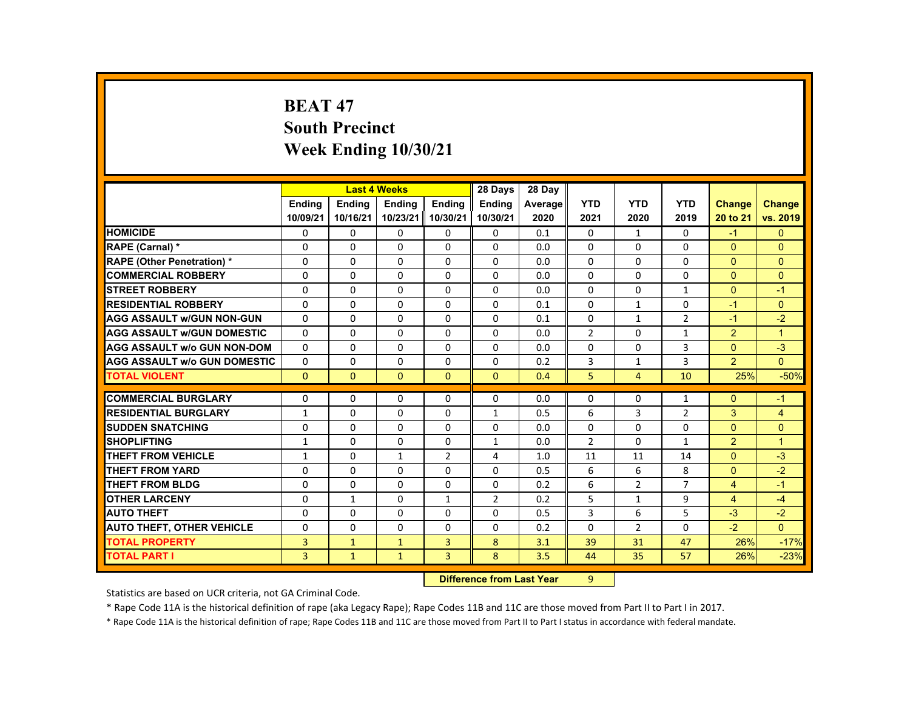# **BEAT 47 South Precinct Week Ending 10/30/21**

|                                     |                |               | <b>Last 4 Weeks</b> |                | 28 Days       | 28 Day  |                |                |                |                |                |
|-------------------------------------|----------------|---------------|---------------------|----------------|---------------|---------|----------------|----------------|----------------|----------------|----------------|
|                                     | <b>Endina</b>  | <b>Endina</b> | <b>Ending</b>       | <b>Endina</b>  | <b>Endina</b> | Average | <b>YTD</b>     | <b>YTD</b>     | <b>YTD</b>     | <b>Change</b>  | <b>Change</b>  |
|                                     | 10/09/21       | 10/16/21      | 10/23/21            | 10/30/21       | 10/30/21      | 2020    | 2021           | 2020           | 2019           | 20 to 21       | vs. 2019       |
| <b>HOMICIDE</b>                     | 0              | 0             | $\mathbf{0}$        | 0              | 0             | 0.1     | 0              | $\mathbf{1}$   | $\Omega$       | $-1$           | $\mathbf{0}$   |
| <b>RAPE (Carnal) *</b>              | $\Omega$       | $\Omega$      | $\Omega$            | $\Omega$       | $\Omega$      | 0.0     | $\Omega$       | $\Omega$       | $\Omega$       | $\Omega$       | $\Omega$       |
| <b>RAPE (Other Penetration) *</b>   | $\Omega$       | $\Omega$      | $\Omega$            | $\Omega$       | $\Omega$      | 0.0     | $\Omega$       | $\Omega$       | $\Omega$       | $\Omega$       | $\Omega$       |
| <b>COMMERCIAL ROBBERY</b>           | $\Omega$       | $\Omega$      | $\Omega$            | $\Omega$       | $\Omega$      | 0.0     | $\Omega$       | 0              | $\Omega$       | $\Omega$       | $\Omega$       |
| <b>STREET ROBBERY</b>               | $\Omega$       | $\Omega$      | $\Omega$            | $\Omega$       | $\Omega$      | 0.0     | $\Omega$       | $\Omega$       | $\mathbf{1}$   | $\Omega$       | $-1$           |
| <b>RESIDENTIAL ROBBERY</b>          | $\Omega$       | $\Omega$      | $\Omega$            | $\Omega$       | $\Omega$      | 0.1     | $\Omega$       | $\mathbf{1}$   | 0              | $-1$           | $\mathbf{0}$   |
| <b>AGG ASSAULT w/GUN NON-GUN</b>    | $\Omega$       | $\Omega$      | $\Omega$            | $\Omega$       | $\Omega$      | 0.1     | $\Omega$       | $\mathbf{1}$   | $\overline{2}$ | $-1$           | $-2$           |
| <b>AGG ASSAULT WGUN DOMESTIC</b>    | $\Omega$       | $\Omega$      | $\Omega$            | $\Omega$       | $\Omega$      | 0.0     | $\overline{2}$ | 0              | $\mathbf{1}$   | $\overline{2}$ | $\overline{1}$ |
| <b>AGG ASSAULT W/o GUN NON-DOM</b>  | $\Omega$       | $\Omega$      | $\Omega$            | $\Omega$       | $\Omega$      | 0.0     | $\Omega$       | $\Omega$       | 3              | $\Omega$       | $-3$           |
| <b>AGG ASSAULT w/o GUN DOMESTIC</b> | $\Omega$       | $\Omega$      | $\Omega$            | $\Omega$       | $\Omega$      | 0.2     | 3              | $\mathbf{1}$   | 3              | $\overline{2}$ | $\Omega$       |
| <b>TOTAL VIOLENT</b>                | $\Omega$       | $\mathbf{0}$  | $\Omega$            | $\Omega$       | $\Omega$      | 0.4     | 5              | $\overline{4}$ | 10             | 25%            | $-50%$         |
|                                     |                |               |                     |                |               |         |                |                |                |                |                |
| <b>COMMERCIAL BURGLARY</b>          | $\Omega$       | $\Omega$      | $\Omega$            | $\Omega$       | $\Omega$      | 0.0     | $\Omega$       | $\Omega$       | $\mathbf{1}$   | $\Omega$       | $-1$           |
| <b>RESIDENTIAL BURGLARY</b>         | $\mathbf{1}$   | $\Omega$      | $\Omega$            | $\Omega$       | $\mathbf{1}$  | 0.5     | 6              | 3              | $\overline{2}$ | 3              | $\overline{4}$ |
| <b>SUDDEN SNATCHING</b>             | 0              | $\Omega$      | $\Omega$            | $\Omega$       | $\Omega$      | 0.0     | $\Omega$       | $\Omega$       | $\Omega$       | $\Omega$       | $\Omega$       |
| <b>SHOPLIFTING</b>                  | $\mathbf{1}$   | $\Omega$      | $\Omega$            | $\Omega$       | $\mathbf{1}$  | 0.0     | $\overline{2}$ | $\Omega$       | $\mathbf{1}$   | $\overline{2}$ | $\overline{1}$ |
| <b>THEFT FROM VEHICLE</b>           | $\mathbf{1}$   | $\Omega$      | $\mathbf{1}$        | $\overline{2}$ | 4             | 1.0     | 11             | 11             | 14             | $\Omega$       | $-3$           |
| <b>THEFT FROM YARD</b>              | 0              | 0             | 0                   | 0              | 0             | 0.5     | 6              | 6              | 8              | $\Omega$       | $-2$           |
| THEFT FROM BLDG                     | 0              | $\Omega$      | $\Omega$            | 0              | 0             | 0.2     | 6              | $\overline{2}$ | $\overline{7}$ | $\overline{4}$ | $-1$           |
| <b>OTHER LARCENY</b>                | $\Omega$       | $\mathbf{1}$  | $\Omega$            | $\mathbf{1}$   | 2             | 0.2     | 5              | $\mathbf{1}$   | 9              | $\overline{4}$ | $-4$           |
| <b>AUTO THEFT</b>                   | 0              | 0             | 0                   | 0              | 0             | 0.5     | 3              | 6              | 5              | $-3$           | $-2$           |
| <b>AUTO THEFT, OTHER VEHICLE</b>    | $\Omega$       | $\Omega$      | $\Omega$            | 0              | 0             | 0.2     | $\Omega$       | $\overline{2}$ | 0              | $-2$           | $\Omega$       |
| <b>TOTAL PROPERTY</b>               | $\overline{3}$ | $\mathbf{1}$  | $\mathbf{1}$        | 3              | 8             | 3.1     | 39             | 31             | 47             | 26%            | $-17%$         |
| <b>TOTAL PART I</b>                 | $\overline{3}$ | $\mathbf{1}$  | $\mathbf{1}$        | $\overline{3}$ | 8             | 3.5     | 44             | 35             | 57             | 26%            | $-23%$         |

#### **19 Difference from Last Year** 9  $9 -$

Statistics are based on UCR criteria, not GA Criminal Code.

\* Rape Code 11A is the historical definition of rape (aka Legacy Rape); Rape Codes 11B and 11C are those moved from Part II to Part I in 2017.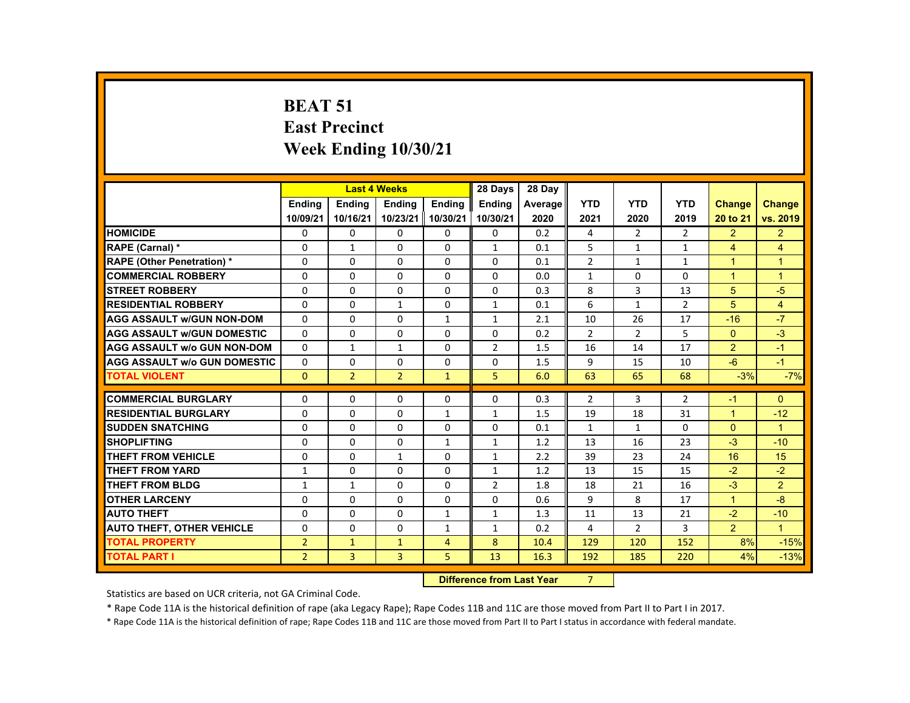# **BEAT 51 East Precinct Week Ending 10/30/21**

|                                     |                |                | <b>Last 4 Weeks</b> |                | 28 Days                          | 28 Day  |                |                |                |                      |                      |
|-------------------------------------|----------------|----------------|---------------------|----------------|----------------------------------|---------|----------------|----------------|----------------|----------------------|----------------------|
|                                     | <b>Ending</b>  | <b>Ending</b>  | <b>Ending</b>       | <b>Endina</b>  | <b>Endina</b>                    | Average | <b>YTD</b>     | <b>YTD</b>     | <b>YTD</b>     | <b>Change</b>        | Change               |
|                                     | 10/09/21       | 10/16/21       | 10/23/21            | 10/30/21       | 10/30/21                         | 2020    | 2021           | 2020           | 2019           | 20 to 21             | vs. 2019             |
| <b>HOMICIDE</b>                     | 0              | 0              | 0                   | 0              | 0                                | 0.2     | 4              | $\overline{2}$ | $\overline{2}$ | $\overline{2}$       | $\overline{2}$       |
| RAPE (Carnal) *                     | $\Omega$       | $\mathbf{1}$   | $\Omega$            | $\Omega$       | $\mathbf{1}$                     | 0.1     | 5              | $\mathbf{1}$   | $\mathbf{1}$   | $\overline{4}$       | $\overline{4}$       |
| <b>RAPE (Other Penetration) *</b>   | $\Omega$       | $\Omega$       | $\Omega$            | $\Omega$       | $\Omega$                         | 0.1     | $\overline{2}$ | $\mathbf{1}$   | $\mathbf{1}$   | $\blacktriangleleft$ | $\mathbf{1}$         |
| <b>COMMERCIAL ROBBERY</b>           | $\Omega$       | $\Omega$       | $\Omega$            | $\Omega$       | $\Omega$                         | 0.0     | $\mathbf{1}$   | $\Omega$       | $\Omega$       | $\blacktriangleleft$ | $\blacktriangleleft$ |
| <b>STREET ROBBERY</b>               | $\Omega$       | $\Omega$       | $\Omega$            | $\Omega$       | $\Omega$                         | 0.3     | 8              | $\overline{3}$ | 13             | 5                    | $-5$                 |
| <b>RESIDENTIAL ROBBERY</b>          | 0              | $\Omega$       | $\mathbf{1}$        | $\Omega$       | $\mathbf{1}$                     | 0.1     | 6              | $\mathbf{1}$   | $\overline{2}$ | 5                    | $\overline{4}$       |
| <b>AGG ASSAULT w/GUN NON-DOM</b>    | $\Omega$       | $\Omega$       | $\Omega$            | $\mathbf{1}$   | $\mathbf{1}$                     | 2.1     | 10             | 26             | 17             | $-16$                | $-7$                 |
| <b>AGG ASSAULT w/GUN DOMESTIC</b>   | $\Omega$       | $\Omega$       | $\Omega$            | $\Omega$       | $\Omega$                         | 0.2     | $\overline{2}$ | $\overline{2}$ | 5              | $\Omega$             | $-3$                 |
| <b>AGG ASSAULT w/o GUN NON-DOM</b>  | $\Omega$       | $\mathbf{1}$   | $\mathbf{1}$        | 0              | $\overline{2}$                   | 1.5     | 16             | 14             | 17             | $\overline{2}$       | $-1$                 |
| <b>AGG ASSAULT W/o GUN DOMESTIC</b> | $\Omega$       | $\Omega$       | $\Omega$            | $\Omega$       | $\Omega$                         | 1.5     | 9              | 15             | 10             | $-6$                 | $-1$                 |
| <b>TOTAL VIOLENT</b>                | $\Omega$       | $\overline{2}$ | $\overline{2}$      | $\mathbf{1}$   | 5                                | 6.0     | 63             | 65             | 68             | $-3%$                | $-7%$                |
| <b>COMMERCIAL BURGLARY</b>          | $\Omega$       | $\Omega$       | $\Omega$            | $\Omega$       | $\Omega$                         | 0.3     | $\overline{2}$ | 3              | $\overline{2}$ | $-1$                 | $\Omega$             |
| <b>RESIDENTIAL BURGLARY</b>         | $\Omega$       | $\Omega$       | $\Omega$            | $\mathbf{1}$   | $\mathbf{1}$                     | 1.5     | 19             | 18             | 31             | $\blacktriangleleft$ | $-12$                |
| <b>SUDDEN SNATCHING</b>             | $\Omega$       | $\Omega$       | $\Omega$            | $\Omega$       | $\Omega$                         | 0.1     | $\mathbf{1}$   | $\mathbf{1}$   | $\Omega$       | $\Omega$             | $\blacktriangleleft$ |
| <b>SHOPLIFTING</b>                  | $\Omega$       | $\Omega$       | $\Omega$            | $\mathbf{1}$   | $\mathbf{1}$                     | 1.2     | 13             | 16             | 23             | $-3$                 | $-10$                |
| <b>THEFT FROM VEHICLE</b>           | 0              | 0              | $\mathbf{1}$        | 0              | $\mathbf{1}$                     | 2.2     | 39             | 23             | 24             | 16                   | 15                   |
| <b>THEFT FROM YARD</b>              | $\mathbf{1}$   | $\Omega$       | $\Omega$            | $\Omega$       | 1                                | 1.2     | 13             | 15             | 15             | $-2$                 | $-2$                 |
| <b>THEFT FROM BLDG</b>              | $\mathbf{1}$   | $\mathbf{1}$   | $\Omega$            | $\Omega$       | $\overline{2}$                   | 1.8     | 18             | 21             | 16             | $-3$                 | $\mathcal{P}$        |
| <b>OTHER LARCENY</b>                | 0              | 0              | 0                   | 0              | 0                                | 0.6     | 9              | 8              | 17             | $\blacktriangleleft$ | $-8$                 |
| <b>AUTO THEFT</b>                   | $\Omega$       | $\Omega$       | $\Omega$            | $\mathbf{1}$   | 1                                | 1.3     | 11             | 13             | 21             | $-2$                 | $-10$                |
| <b>AUTO THEFT, OTHER VEHICLE</b>    | $\Omega$       | $\Omega$       | $\Omega$            | $\mathbf{1}$   | $\mathbf{1}$                     | 0.2     | 4              | $\overline{2}$ | 3              | $\overline{2}$       | $\mathbf{1}$         |
| <b>TOTAL PROPERTY</b>               | $\overline{2}$ | $\mathbf{1}$   | $\mathbf{1}$        | $\overline{4}$ | 8                                | 10.4    | 129            | 120            | 152            | 8%                   | $-15%$               |
| <b>TOTAL PART I</b>                 | $\overline{2}$ | $\overline{3}$ | $\overline{3}$      | 5              | 13                               | 16.3    | 192            | 185            | 220            | 4%                   | $-13%$               |
|                                     |                |                |                     |                | <b>Difference from Last Year</b> |         | 7              |                |                |                      |                      |

### **Difference from Last Year**

Statistics are based on UCR criteria, not GA Criminal Code.

\* Rape Code 11A is the historical definition of rape (aka Legacy Rape); Rape Codes 11B and 11C are those moved from Part II to Part I in 2017.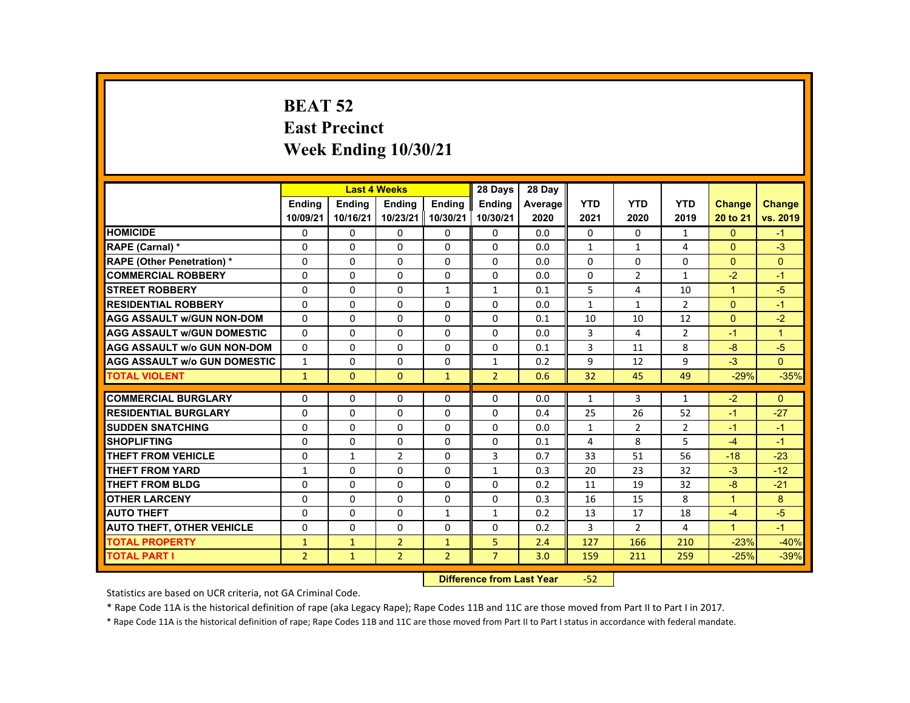# **BEAT 52 East Precinct Week Ending 10/30/21**

|                                     |                |               | <b>Last 4 Weeks</b> |                | 28 Days        | 28 Dav  |              |                |                |                      |                |
|-------------------------------------|----------------|---------------|---------------------|----------------|----------------|---------|--------------|----------------|----------------|----------------------|----------------|
|                                     | <b>Endina</b>  | <b>Endina</b> | <b>Endina</b>       | <b>Endina</b>  | <b>Endina</b>  | Average | <b>YTD</b>   | <b>YTD</b>     | <b>YTD</b>     | <b>Change</b>        | <b>Change</b>  |
|                                     | 10/09/21       | 10/16/21      | 10/23/21            | 10/30/21       | 10/30/21       | 2020    | 2021         | 2020           | 2019           | 20 to 21             | vs. 2019       |
| <b>HOMICIDE</b>                     | 0              | 0             | 0                   | 0              | 0              | 0.0     | 0            | 0              | $\mathbf{1}$   | $\mathbf{0}$         | $-1$           |
| <b>RAPE (Carnal) *</b>              | $\Omega$       | $\Omega$      | $\Omega$            | $\Omega$       | $\Omega$       | 0.0     | $\mathbf{1}$ | $\mathbf{1}$   | 4              | $\Omega$             | $-3$           |
| <b>RAPE (Other Penetration) *</b>   | $\Omega$       | $\Omega$      | $\Omega$            | $\Omega$       | $\Omega$       | 0.0     | $\Omega$     | $\Omega$       | $\Omega$       | $\Omega$             | $\Omega$       |
| <b>COMMERCIAL ROBBERY</b>           | 0              | 0             | 0                   | 0              | 0              | 0.0     | 0            | $\overline{2}$ | $\mathbf{1}$   | $-2$                 | $-1$           |
| <b>STREET ROBBERY</b>               | $\Omega$       | $\Omega$      | $\Omega$            | $\mathbf{1}$   | $\mathbf{1}$   | 0.1     | 5            | 4              | 10             | $\blacktriangleleft$ | $-5$           |
| <b>RESIDENTIAL ROBBERY</b>          | $\Omega$       | $\Omega$      | $\Omega$            | $\Omega$       | $\Omega$       | 0.0     | $\mathbf{1}$ | $\mathbf{1}$   | $\overline{2}$ | $\Omega$             | $-1$           |
| <b>AGG ASSAULT W/GUN NON-DOM</b>    | $\Omega$       | 0             | $\Omega$            | 0              | 0              | 0.1     | 10           | 10             | 12             | $\Omega$             | $-2$           |
| <b>AGG ASSAULT w/GUN DOMESTIC</b>   | $\Omega$       | $\Omega$      | $\Omega$            | $\Omega$       | $\Omega$       | 0.0     | 3            | 4              | $\overline{2}$ | $-1$                 | $\overline{1}$ |
| <b>AGG ASSAULT w/o GUN NON-DOM</b>  | $\Omega$       | $\Omega$      | $\Omega$            | $\Omega$       | $\Omega$       | 0.1     | 3            | 11             | 8              | $-8$                 | $-5$           |
| <b>AGG ASSAULT W/o GUN DOMESTIC</b> | $\mathbf{1}$   | 0             | $\Omega$            | 0              | $\mathbf{1}$   | 0.2     | 9            | 12             | 9              | $-3$                 | $\Omega$       |
| <b>TOTAL VIOLENT</b>                | $\mathbf{1}$   | $\mathbf{0}$  | $\mathbf{0}$        | $\mathbf{1}$   | $\overline{2}$ | 0.6     | 32           | 45             | 49             | $-29%$               | $-35%$         |
|                                     |                |               |                     |                |                |         |              |                |                |                      |                |
| <b>COMMERCIAL BURGLARY</b>          | 0              | 0             | 0                   | 0              | 0              | 0.0     | $\mathbf{1}$ | 3              | $\mathbf{1}$   | $-2$                 | $\mathbf{0}$   |
| <b>RESIDENTIAL BURGLARY</b>         | $\Omega$       | $\Omega$      | $\Omega$            | $\Omega$       | $\Omega$       | 0.4     | 25           | 26             | 52             | $-1$                 | $-27$          |
| <b>SUDDEN SNATCHING</b>             | $\Omega$       | $\Omega$      | $\Omega$            | $\Omega$       | $\Omega$       | 0.0     | $\mathbf{1}$ | 2              | $\overline{2}$ | $-1$                 | $-1$           |
| <b>SHOPLIFTING</b>                  | $\Omega$       | $\Omega$      | $\Omega$            | $\Omega$       | $\Omega$       | 0.1     | 4            | 8              | 5              | $-4$                 | $-1$           |
| THEFT FROM VEHICLE                  | $\Omega$       | $\mathbf{1}$  | 2                   | $\Omega$       | 3              | 0.7     | 33           | 51             | 56             | $-18$                | $-23$          |
| <b>THEFT FROM YARD</b>              | $\mathbf{1}$   | $\Omega$      | $\Omega$            | $\Omega$       | $\mathbf{1}$   | 0.3     | 20           | 23             | 32             | $-3$                 | $-12$          |
| <b>THEFT FROM BLDG</b>              | $\Omega$       | $\Omega$      | $\Omega$            | $\Omega$       | $\Omega$       | 0.2     | 11           | 19             | 32             | $-8$                 | $-21$          |
| <b>OTHER LARCENY</b>                | 0              | 0             | 0                   | 0              | 0              | 0.3     | 16           | 15             | 8              | $\blacktriangleleft$ | 8              |
| <b>AUTO THEFT</b>                   | $\Omega$       | $\Omega$      | $\Omega$            | $\mathbf{1}$   | $\mathbf{1}$   | 0.2     | 13           | 17             | 18             | $-4$                 | $-5$           |
| <b>AUTO THEFT, OTHER VEHICLE</b>    | $\Omega$       | $\Omega$      | $\Omega$            | $\Omega$       | $\Omega$       | 0.2     | 3            | $\overline{2}$ | 4              | $\blacktriangleleft$ | $-1$           |
| <b>TOTAL PROPERTY</b>               | $\mathbf{1}$   | $\mathbf{1}$  | $\overline{2}$      | $\mathbf{1}$   | 5              | 2.4     | 127          | 166            | 210            | $-23%$               | $-40%$         |
| <b>TOTAL PART I</b>                 | $\overline{2}$ | $\mathbf{1}$  | $\overline{2}$      | $\overline{2}$ | $\overline{7}$ | 3.0     | 159          | 211            | 259            | $-25%$               | $-39%$         |
|                                     |                |               |                     |                |                |         |              |                |                |                      |                |

#### **Difference from Last Year**‐52

Statistics are based on UCR criteria, not GA Criminal Code.

\* Rape Code 11A is the historical definition of rape (aka Legacy Rape); Rape Codes 11B and 11C are those moved from Part II to Part I in 2017.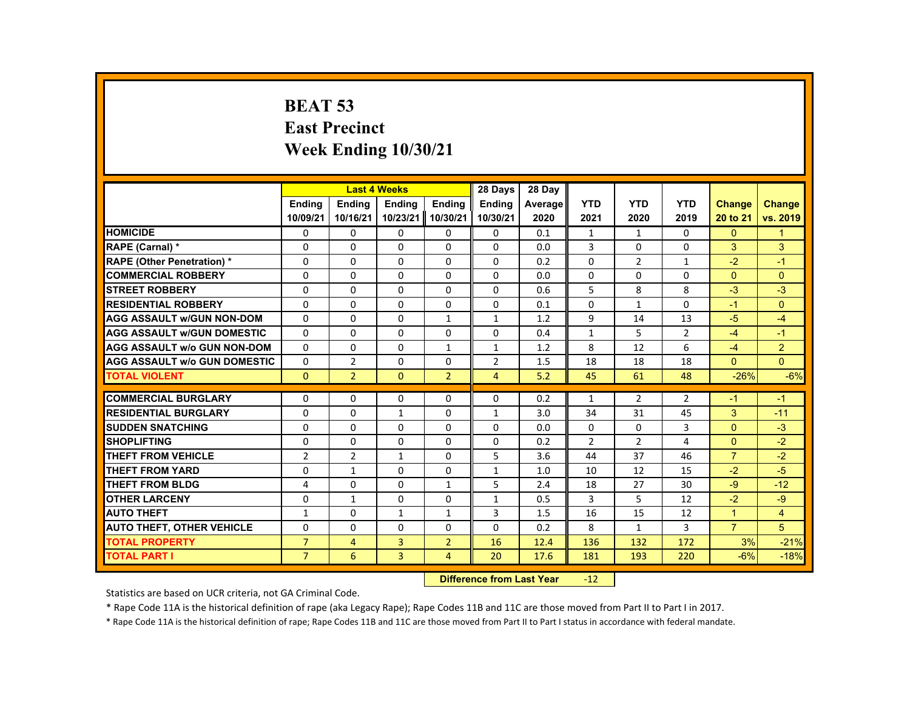# **BEAT 53 East Precinct Week Ending 10/30/21**

|                                     |                |                | <b>Last 4 Weeks</b> |                | 28 Days        | 28 Day  |                |                |                |                |                |
|-------------------------------------|----------------|----------------|---------------------|----------------|----------------|---------|----------------|----------------|----------------|----------------|----------------|
|                                     | <b>Endina</b>  | <b>Endina</b>  | <b>Endina</b>       | <b>Endina</b>  | <b>Endina</b>  | Average | <b>YTD</b>     | <b>YTD</b>     | <b>YTD</b>     | <b>Change</b>  | Change         |
|                                     | 10/09/21       | 10/16/21       | 10/23/21            | 10/30/21       | 10/30/21       | 2020    | 2021           | 2020           | 2019           | 20 to 21       | vs. 2019       |
| <b>HOMICIDE</b>                     | 0              | 0              | 0                   | 0              | 0              | 0.1     | 1              | 1              | 0              | $\mathbf{0}$   | $\mathbf{1}$   |
| RAPE (Carnal) *                     | $\Omega$       | $\Omega$       | $\Omega$            | $\Omega$       | $\Omega$       | 0.0     | 3              | $\Omega$       | $\Omega$       | 3              | 3              |
| <b>RAPE (Other Penetration) *</b>   | $\Omega$       | $\Omega$       | $\Omega$            | $\Omega$       | $\Omega$       | 0.2     | $\Omega$       | $\overline{2}$ | $\mathbf{1}$   | $-2$           | $-1$           |
| <b>COMMERCIAL ROBBERY</b>           | 0              | $\Omega$       | $\mathbf{0}$        | 0              | 0              | 0.0     | 0              | 0              | 0              | $\Omega$       | $\Omega$       |
| <b>STREET ROBBERY</b>               | $\Omega$       | $\Omega$       | $\Omega$            | $\Omega$       | $\Omega$       | 0.6     | 5              | 8              | 8              | $-3$           | $-3$           |
| <b>RESIDENTIAL ROBBERY</b>          | $\Omega$       | $\Omega$       | $\Omega$            | $\Omega$       | $\Omega$       | 0.1     | $\Omega$       | $\mathbf{1}$   | $\Omega$       | $-1$           | $\Omega$       |
| <b>AGG ASSAULT W/GUN NON-DOM</b>    | 0              | $\Omega$       | $\Omega$            | $\mathbf{1}$   | $\mathbf{1}$   | 1.2     | 9              | 14             | 13             | $-5$           | $-4$           |
| <b>AGG ASSAULT W/GUN DOMESTIC</b>   | $\Omega$       | $\Omega$       | $\Omega$            | $\Omega$       | $\Omega$       | 0.4     | $\mathbf{1}$   | 5              | $\overline{2}$ | $-4$           | $-1$           |
| <b>AGG ASSAULT w/o GUN NON-DOM</b>  | $\Omega$       | $\Omega$       | $\Omega$            | $\mathbf{1}$   | $\mathbf{1}$   | 1.2     | 8              | 12             | 6              | $-4$           | $\overline{2}$ |
| <b>AGG ASSAULT w/o GUN DOMESTIC</b> | $\Omega$       | $\overline{2}$ | $\Omega$            | $\Omega$       | $\overline{2}$ | 1.5     | 18             | 18             | 18             | $\Omega$       | $\Omega$       |
| <b>TOTAL VIOLENT</b>                | $\mathbf{0}$   | $\overline{2}$ | $\Omega$            | $\overline{2}$ | $\overline{4}$ | 5.2     | 45             | 61             | 48             | $-26%$         | $-6%$          |
|                                     |                |                |                     |                |                |         |                |                |                |                |                |
| <b>COMMERCIAL BURGLARY</b>          | $\Omega$       | $\Omega$       | $\Omega$            | $\Omega$       | $\Omega$       | 0.2     | $\mathbf{1}$   | $\overline{2}$ | $\overline{2}$ | $-1$           | $-1$           |
| <b>RESIDENTIAL BURGLARY</b>         | $\Omega$       | $\Omega$       | $\mathbf{1}$        | $\Omega$       | $\mathbf{1}$   | 3.0     | 34             | 31             | 45             | 3              | $-11$          |
| <b>SUDDEN SNATCHING</b>             | $\Omega$       | $\mathbf{0}$   | $\mathbf{0}$        | 0              | 0              | 0.0     | $\Omega$       | $\Omega$       | 3              | $\Omega$       | $-3$           |
| <b>SHOPLIFTING</b>                  | $\Omega$       | $\Omega$       | $\Omega$            | $\Omega$       | $\Omega$       | 0.2     | $\overline{2}$ | $\overline{2}$ | 4              | $\Omega$       | $-2$           |
| <b>THEFT FROM VEHICLE</b>           | $\overline{2}$ | $\overline{2}$ | $\mathbf{1}$        | $\Omega$       | 5              | 3.6     | 44             | 37             | 46             | $\overline{7}$ | $-2$           |
| <b>THEFT FROM YARD</b>              | $\Omega$       | $\mathbf{1}$   | $\Omega$            | $\Omega$       | $\mathbf{1}$   | 1.0     | 10             | 12             | 15             | $-2$           | $-5$           |
| <b>THEFT FROM BLDG</b>              | 4              | $\Omega$       | $\Omega$            | $\mathbf{1}$   | 5              | 2.4     | 18             | 27             | 30             | $-9$           | $-12$          |
| <b>OTHER LARCENY</b>                | 0              | $\mathbf{1}$   | $\mathbf{0}$        | 0              | $\mathbf{1}$   | 0.5     | 3              | 5              | 12             | $-2$           | $-9$           |
| <b>AUTO THEFT</b>                   | $\mathbf{1}$   | $\Omega$       | $\mathbf{1}$        | $\mathbf{1}$   | 3              | 1.5     | 16             | 15             | 12             | $\overline{1}$ | $\overline{4}$ |
| <b>AUTO THEFT, OTHER VEHICLE</b>    | $\Omega$       | $\Omega$       | $\Omega$            | $\Omega$       | $\Omega$       | 0.2     | 8              | $\mathbf{1}$   | 3              | $\overline{7}$ | 5              |
| <b>TOTAL PROPERTY</b>               | $\overline{7}$ | $\overline{4}$ | 3                   | $\overline{2}$ | 16             | 12.4    | 136            | 132            | 172            | 3%             | $-21%$         |
| <b>TOTAL PART I</b>                 | $\overline{7}$ | 6              | $\overline{3}$      | $\overline{4}$ | 20             | 17.6    | 181            | 193            | 220            | $-6%$          | $-18%$         |
|                                     |                |                |                     |                |                |         |                |                |                |                |                |

#### **Difference from Last Year**r -12

Statistics are based on UCR criteria, not GA Criminal Code.

\* Rape Code 11A is the historical definition of rape (aka Legacy Rape); Rape Codes 11B and 11C are those moved from Part II to Part I in 2017.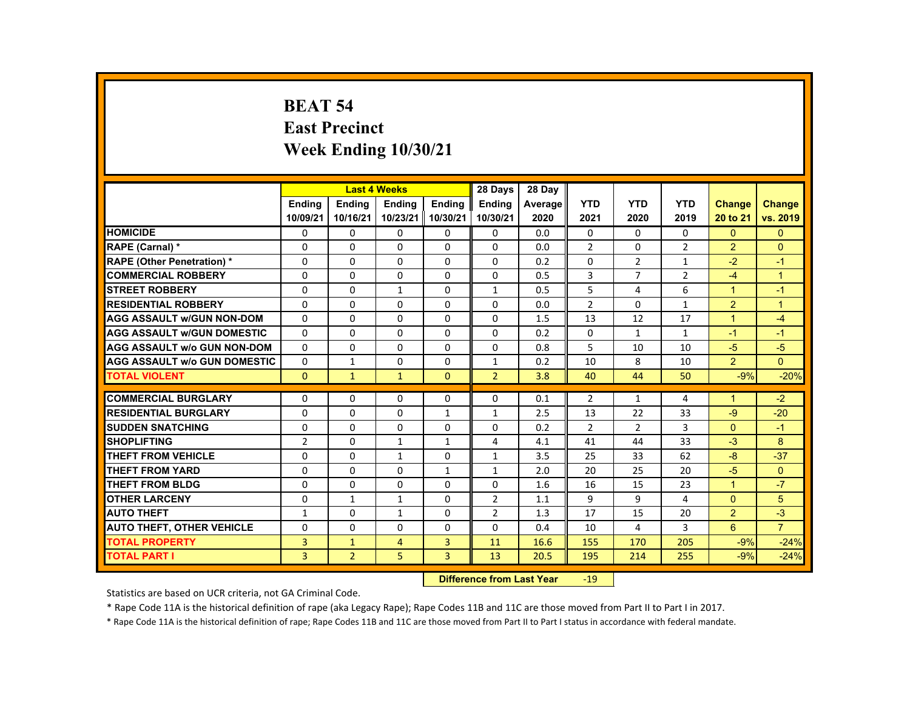# **BEAT 54 East Precinct Week Ending 10/30/21**

|                                     |                |                | <b>Last 4 Weeks</b> |                | 28 Days        | 28 Day  |                |                |                |                      |                |
|-------------------------------------|----------------|----------------|---------------------|----------------|----------------|---------|----------------|----------------|----------------|----------------------|----------------|
|                                     | <b>Endina</b>  | <b>Endina</b>  | <b>Endina</b>       | <b>Endina</b>  | <b>Endina</b>  | Average | <b>YTD</b>     | <b>YTD</b>     | <b>YTD</b>     | <b>Change</b>        | <b>Change</b>  |
|                                     | 10/09/21       | 10/16/21       | 10/23/21            | 10/30/21       | 10/30/21       | 2020    | 2021           | 2020           | 2019           | 20 to 21             | vs. 2019       |
| <b>HOMICIDE</b>                     | 0              | $\Omega$       | $\Omega$            | $\Omega$       | 0              | 0.0     | 0              | $\Omega$       | 0              | $\Omega$             | $\mathbf{0}$   |
| RAPE (Carnal) *                     | $\Omega$       | $\Omega$       | $\Omega$            | $\Omega$       | $\Omega$       | 0.0     | $\overline{2}$ | 0              | $\overline{2}$ | $\overline{2}$       | $\Omega$       |
| <b>RAPE (Other Penetration) *</b>   | $\Omega$       | $\Omega$       | $\Omega$            | $\Omega$       | $\Omega$       | 0.2     | $\Omega$       | $\overline{2}$ | $\mathbf{1}$   | $-2$                 | $-1$           |
| <b>COMMERCIAL ROBBERY</b>           | $\Omega$       | $\Omega$       | $\Omega$            | 0              | $\Omega$       | 0.5     | 3              | $\overline{7}$ | $\overline{2}$ | $-4$                 | $\mathbf{1}$   |
| <b>STREET ROBBERY</b>               | $\Omega$       | $\Omega$       | $\mathbf{1}$        | $\Omega$       | $\mathbf{1}$   | 0.5     | 5              | 4              | 6              | $\blacktriangleleft$ | $-1$           |
| <b>RESIDENTIAL ROBBERY</b>          | $\Omega$       | $\Omega$       | $\Omega$            | $\Omega$       | $\Omega$       | 0.0     | $\overline{2}$ | $\Omega$       | $\mathbf{1}$   | 2                    | $\overline{1}$ |
| <b>AGG ASSAULT W/GUN NON-DOM</b>    | $\Omega$       | $\Omega$       | $\Omega$            | $\Omega$       | $\Omega$       | 1.5     | 13             | 12             | 17             | $\mathbf{1}$         | $-4$           |
| <b>AGG ASSAULT W/GUN DOMESTIC</b>   | $\Omega$       | $\Omega$       | $\Omega$            | $\Omega$       | $\Omega$       | 0.2     | $\Omega$       | $\mathbf{1}$   | $\mathbf{1}$   | $-1$                 | $-1$           |
| <b>AGG ASSAULT w/o GUN NON-DOM</b>  | $\Omega$       | $\Omega$       | $\Omega$            | $\Omega$       | $\Omega$       | 0.8     | 5              | 10             | 10             | $-5$                 | $-5$           |
| <b>AGG ASSAULT W/o GUN DOMESTIC</b> | $\Omega$       | $\mathbf{1}$   | $\Omega$            | $\Omega$       | $\mathbf{1}$   | 0.2     | 10             | 8              | 10             | $\overline{2}$       | $\Omega$       |
| <b>TOTAL VIOLENT</b>                | $\Omega$       | $\mathbf 1$    | $\mathbf{1}$        | $\Omega$       | $\overline{2}$ | 3.8     | 40             | 44             | 50             | $-9%$                | $-20%$         |
|                                     |                |                |                     |                |                |         |                |                |                |                      |                |
| <b>COMMERCIAL BURGLARY</b>          | $\Omega$       | $\Omega$       | $\Omega$            | $\Omega$       | $\Omega$       | 0.1     | $\overline{2}$ | $\mathbf{1}$   | 4              | $\mathbf{1}$         | $-2$           |
| <b>RESIDENTIAL BURGLARY</b>         | $\Omega$       | $\Omega$       | $\Omega$            | $\mathbf{1}$   | $\mathbf{1}$   | 2.5     | 13             | 22             | 33             | -9                   | $-20$          |
| <b>SUDDEN SNATCHING</b>             | $\Omega$       | $\Omega$       | $\Omega$            | $\Omega$       | $\Omega$       | 0.2     | $\overline{2}$ | $\overline{2}$ | 3              | $\Omega$             | $-1$           |
| <b>SHOPLIFTING</b>                  | $\overline{2}$ | $\Omega$       | $\mathbf{1}$        | $\mathbf{1}$   | 4              | 4.1     | 41             | 44             | 33             | $-3$                 | 8              |
| THEFT FROM VEHICLE                  | $\Omega$       | $\Omega$       | $\mathbf{1}$        | $\Omega$       | $\mathbf{1}$   | 3.5     | 25             | 33             | 62             | -8                   | $-37$          |
| <b>THEFT FROM YARD</b>              | 0              | $\Omega$       | $\Omega$            | $\mathbf{1}$   | $\mathbf{1}$   | 2.0     | 20             | 25             | 20             | $-5$                 | $\Omega$       |
| <b>THEFT FROM BLDG</b>              | $\Omega$       | $\Omega$       | $\Omega$            | $\Omega$       | $\Omega$       | 1.6     | 16             | 15             | 23             | $\mathbf{1}$         | $-7$           |
| <b>OTHER LARCENY</b>                | $\Omega$       | $\mathbf{1}$   | $\mathbf{1}$        | $\Omega$       | $\overline{2}$ | 1.1     | 9              | 9              | 4              | $\Omega$             | 5              |
| <b>AUTO THEFT</b>                   | $\mathbf{1}$   | $\Omega$       | $\mathbf{1}$        | $\Omega$       | $\overline{2}$ | 1.3     | 17             | 15             | 20             | 2                    | $-3$           |
| <b>AUTO THEFT, OTHER VEHICLE</b>    | $\Omega$       | $\Omega$       | $\Omega$            | $\Omega$       | $\Omega$       | 0.4     | 10             | $\overline{4}$ | 3              | 6                    | $\overline{7}$ |
| <b>TOTAL PROPERTY</b>               | 3              | $\mathbf{1}$   | $\overline{4}$      | $\overline{3}$ | 11             | 16.6    | 155            | 170            | 205            | $-9%$                | $-24%$         |
| <b>TOTAL PART I</b>                 | 3              | $\overline{2}$ | 5                   | $\overline{3}$ | 13             | 20.5    | 195            | 214            | 255            | $-9%$                | $-24%$         |
|                                     |                |                |                     |                |                |         |                |                |                |                      |                |

#### **Difference from Last Year**r -19

Statistics are based on UCR criteria, not GA Criminal Code.

\* Rape Code 11A is the historical definition of rape (aka Legacy Rape); Rape Codes 11B and 11C are those moved from Part II to Part I in 2017.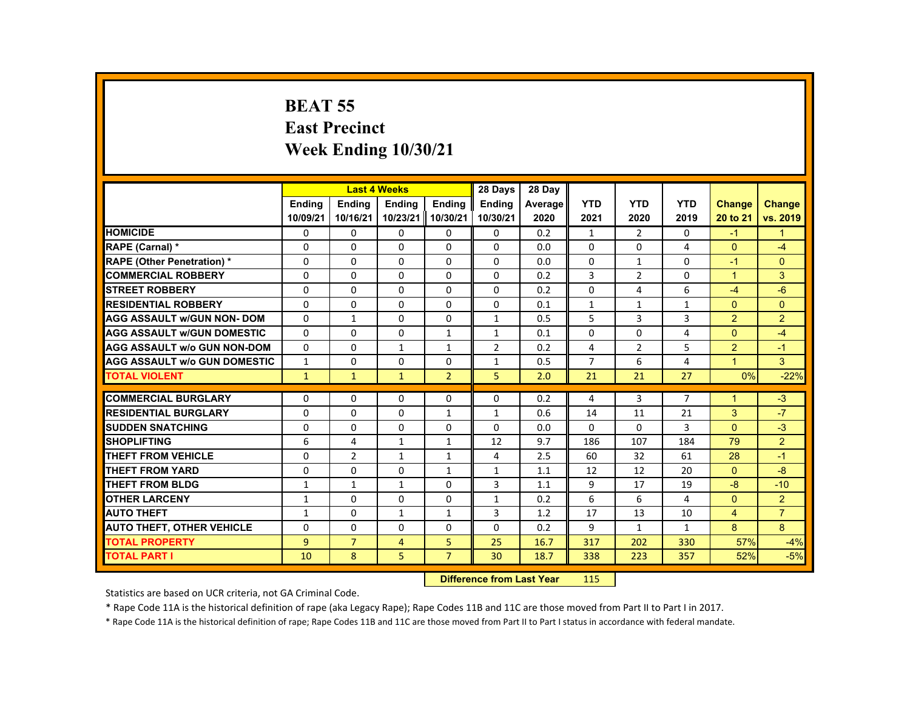# **BEAT 55 East Precinct Week Ending 10/30/21**

|                                     |                |                | <b>Last 4 Weeks</b> |                | 28 Days        | 28 Day  |                |                |                |                      |                |
|-------------------------------------|----------------|----------------|---------------------|----------------|----------------|---------|----------------|----------------|----------------|----------------------|----------------|
|                                     | <b>Endina</b>  | <b>Endina</b>  | <b>Endina</b>       | <b>Endina</b>  | <b>Endina</b>  | Average | <b>YTD</b>     | <b>YTD</b>     | <b>YTD</b>     | <b>Change</b>        | <b>Change</b>  |
|                                     | 10/09/21       | 10/16/21       | 10/23/21            | 10/30/21       | 10/30/21       | 2020    | 2021           | 2020           | 2019           | 20 to 21             | vs. 2019       |
| <b>HOMICIDE</b>                     | 0              | 0              | 0                   | 0              | 0              | 0.2     | $\mathbf{1}$   | 2              | $\Omega$       | $-1$                 | 1              |
| RAPE (Carnal) *                     | $\Omega$       | $\mathbf{0}$   | $\Omega$            | $\Omega$       | $\Omega$       | 0.0     | $\mathbf{0}$   | 0              | 4              | $\mathbf{0}$         | -4             |
| <b>RAPE (Other Penetration) *</b>   | $\Omega$       | $\Omega$       | $\Omega$            | $\Omega$       | $\Omega$       | 0.0     | $\Omega$       | $\mathbf{1}$   | $\Omega$       | $-1$                 | $\Omega$       |
| <b>COMMERCIAL ROBBERY</b>           | $\Omega$       | $\mathbf{0}$   | $\Omega$            | $\Omega$       | $\Omega$       | 0.2     | 3              | $\overline{2}$ | $\Omega$       | $\mathbf{1}$         | 3              |
| <b>STREET ROBBERY</b>               | $\Omega$       | $\Omega$       | $\Omega$            | $\Omega$       | $\Omega$       | 0.2     | $\Omega$       | 4              | 6              | $-4$                 | $-6$           |
| <b>RESIDENTIAL ROBBERY</b>          | $\Omega$       | $\Omega$       | $\Omega$            | $\Omega$       | $\Omega$       | 0.1     | $\mathbf{1}$   | $\mathbf{1}$   | $\mathbf{1}$   | $\Omega$             | $\Omega$       |
| <b>AGG ASSAULT w/GUN NON- DOM</b>   | $\Omega$       | $\mathbf{1}$   | $\Omega$            | $\Omega$       | $\mathbf{1}$   | 0.5     | 5              | 3              | 3              | $\overline{2}$       | $\overline{2}$ |
| <b>AGG ASSAULT W/GUN DOMESTIC</b>   | $\Omega$       | $\Omega$       | $\Omega$            | $\mathbf{1}$   | $\mathbf{1}$   | 0.1     | $\Omega$       | $\Omega$       | $\overline{4}$ | $\Omega$             | $-4$           |
| <b>AGG ASSAULT w/o GUN NON-DOM</b>  | $\Omega$       | $\Omega$       | $\mathbf{1}$        | $\mathbf{1}$   | $\overline{2}$ | 0.2     | 4              | $\overline{2}$ | 5              | $\overline{2}$       | $-1$           |
| <b>AGG ASSAULT W/o GUN DOMESTIC</b> | $\mathbf{1}$   | $\Omega$       | $\Omega$            | $\Omega$       | $\mathbf{1}$   | 0.5     | $\overline{7}$ | 6              | 4              | $\blacktriangleleft$ | 3              |
| <b>TOTAL VIOLENT</b>                | $\mathbf{1}$   | $\mathbf{1}$   | $\mathbf{1}$        | $\overline{2}$ | 5              | 2.0     | 21             | 21             | 27             | 0%                   | $-22%$         |
|                                     |                |                |                     |                |                |         |                |                |                |                      |                |
| <b>COMMERCIAL BURGLARY</b>          | $\Omega$       | $\Omega$       | $\Omega$            | $\Omega$       | $\Omega$       | 0.2     | 4              | 3              | $\overline{7}$ | $\mathbf{1}$         | $-3$           |
| <b>RESIDENTIAL BURGLARY</b>         | $\Omega$       | $\Omega$       | $\Omega$            | $\mathbf{1}$   | $\mathbf{1}$   | 0.6     | 14             | 11             | 21             | 3                    | $-7$           |
| <b>SUDDEN SNATCHING</b>             | $\Omega$       | $\Omega$       | $\Omega$            | $\Omega$       | $\Omega$       | 0.0     | $\Omega$       | $\Omega$       | 3              | $\Omega$             | $-3$           |
| <b>SHOPLIFTING</b>                  | 6              | 4              | $\mathbf{1}$        | $\mathbf{1}$   | 12             | 9.7     | 186            | 107            | 184            | 79                   | $\overline{2}$ |
| <b>THEFT FROM VEHICLE</b>           | $\Omega$       | $\overline{2}$ | $\mathbf{1}$        | $\mathbf{1}$   | 4              | 2.5     | 60             | 32             | 61             | 28                   | $-1$           |
| <b>THEFT FROM YARD</b>              | $\Omega$       | $\mathbf{0}$   | $\Omega$            | $\mathbf{1}$   | $\mathbf{1}$   | 1.1     | 12             | 12             | 20             | $\Omega$             | $-8$           |
| <b>THEFT FROM BLDG</b>              | $\mathbf{1}$   | $\mathbf{1}$   | $\mathbf{1}$        | $\Omega$       | 3              | 1.1     | 9              | 17             | 19             | $-8$                 | $-10$          |
| <b>OTHER LARCENY</b>                | $\mathbf{1}$   | $\Omega$       | $\Omega$            | $\Omega$       | $\mathbf{1}$   | 0.2     | 6              | 6              | 4              | $\Omega$             | $\overline{2}$ |
| <b>AUTO THEFT</b>                   | $\mathbf{1}$   | $\Omega$       | $\mathbf{1}$        | $\mathbf{1}$   | 3              | 1.2     | 17             | 13             | 10             | 4                    | $\overline{7}$ |
| <b>AUTO THEFT, OTHER VEHICLE</b>    | $\Omega$       | $\Omega$       | $\Omega$            | $\Omega$       | $\Omega$       | 0.2     | 9              | $\mathbf{1}$   | $\mathbf{1}$   | 8                    | 8              |
| <b>TOTAL PROPERTY</b>               | $\overline{9}$ | $\overline{7}$ | $\overline{4}$      | 5              | 25             | 16.7    | 317            | 202            | 330            | 57%                  | $-4%$          |
| <b>TOTAL PART I</b>                 | 10             | 8              | 5                   | $\overline{7}$ | 30             | 18.7    | 338            | 223            | 357            | 52%                  | $-5%$          |
|                                     |                |                |                     |                |                |         |                |                |                |                      |                |

#### **Difference from Last Yearr** 115

Statistics are based on UCR criteria, not GA Criminal Code.

\* Rape Code 11A is the historical definition of rape (aka Legacy Rape); Rape Codes 11B and 11C are those moved from Part II to Part I in 2017.